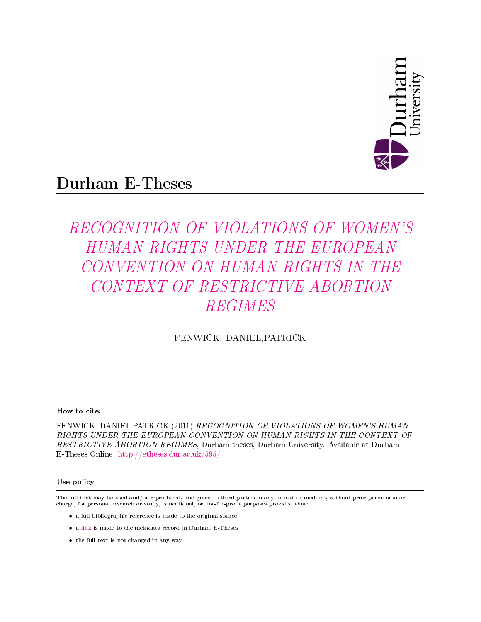

# Durham E-Theses

# RECOGNITION OF VIOLATIONS OF WOMEN'S HUMAN RIGHTS UNDER THE EUROPEAN CONVENTION ON HUMAN RIGHTS IN THE CONTEXT OF RESTRICTIVE ABORTION REGIMES

#### FENWICK, DANIEL,PATRICK

#### How to cite:

FENWICK, DANIEL,PATRICK (2011) RECOGNITION OF VIOLATIONS OF WOMEN'S HUMAN RIGHTS UNDER THE EUROPEAN CONVENTION ON HUMAN RIGHTS IN THE CONTEXT OF RESTRICTIVE ABORTION REGIMES, Durham theses, Durham University. Available at Durham E-Theses Online: <http://etheses.dur.ac.uk/595/>

#### Use policy

The full-text may be used and/or reproduced, and given to third parties in any format or medium, without prior permission or charge, for personal research or study, educational, or not-for-profit purposes provided that:

- a full bibliographic reference is made to the original source
- a [link]( http://etheses.dur.ac.uk/595/ ) is made to the metadata record in Durham E-Theses
- the full-text is not changed in any way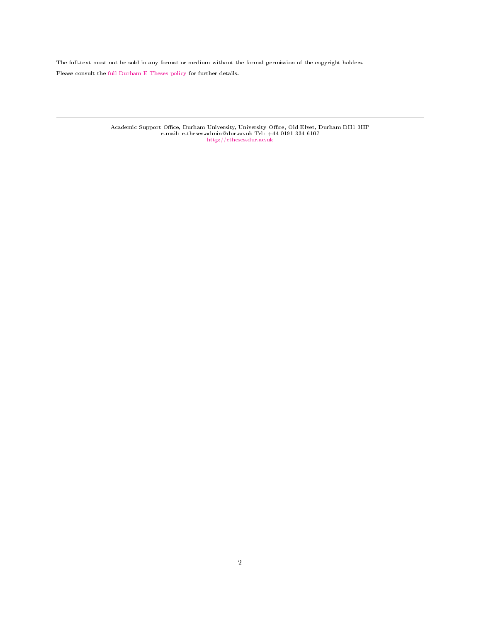The full-text must not be sold in any format or medium without the formal permission of the copyright holders. Please consult the [full Durham E-Theses policy](http://etheses.dur.ac.uk/policies/) for further details.

Academic Support Office, Durham University, University Office, Old Elvet, Durham DH1 3HP<br>e-mail: e-theses.admin@dur.ac.uk Tel: +44 0191 334 6107<br><http://etheses.dur.ac.uk>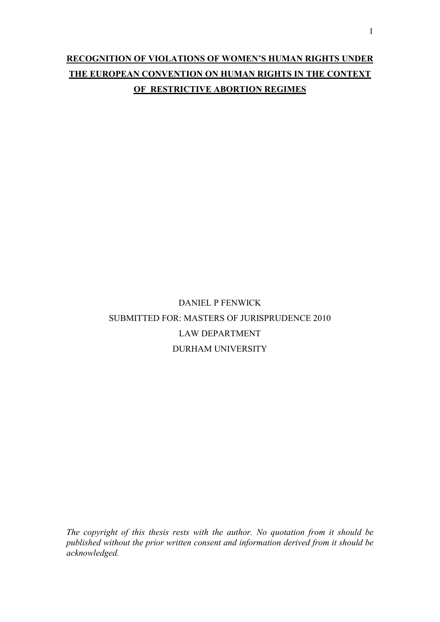### **RECOGNITION OF VIOLATIONS OF WOMEN'S HUMAN RIGHTS UNDER THE EUROPEAN CONVENTION ON HUMAN RIGHTS IN THE CONTEXT OF RESTRICTIVE ABORTION REGIMES**

## DANIEL P FENWICK SUBMITTED FOR: MASTERS OF JURISPRUDENCE 2010 LAW DEPARTMENT DURHAM UNIVERSITY

*The copyright of this thesis rests with the author. No quotation from it should be published without the prior written consent and information derived from it should be acknowledged.*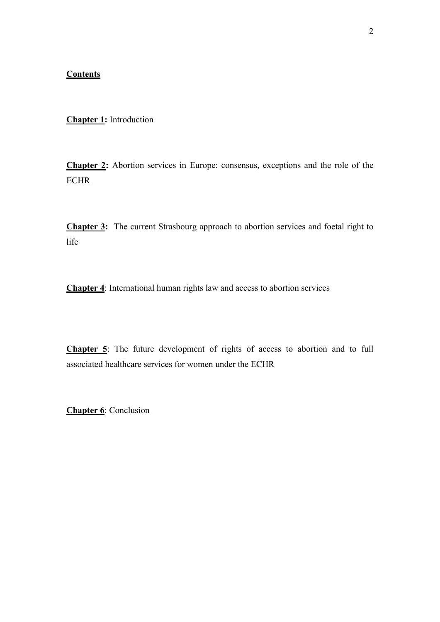#### **Contents**

**Chapter 1:** Introduction

**Chapter 2:** Abortion services in Europe: consensus, exceptions and the role of the ECHR

**Chapter 3:** The current Strasbourg approach to abortion services and foetal right to life

**Chapter 4**: International human rights law and access to abortion services

**Chapter 5**: The future development of rights of access to abortion and to full associated healthcare services for women under the ECHR

**Chapter 6**: Conclusion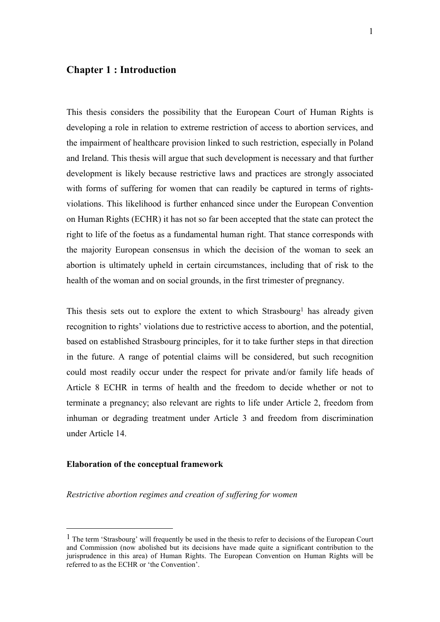#### **Chapter 1 : Introduction**

This thesis considers the possibility that the European Court of Human Rights is developing a role in relation to extreme restriction of access to abortion services, and the impairment of healthcare provision linked to such restriction, especially in Poland and Ireland. This thesis will argue that such development is necessary and that further development is likely because restrictive laws and practices are strongly associated with forms of suffering for women that can readily be captured in terms of rightsviolations. This likelihood is further enhanced since under the European Convention on Human Rights (ECHR) it has not so far been accepted that the state can protect the right to life of the foetus as a fundamental human right. That stance corresponds with the majority European consensus in which the decision of the woman to seek an abortion is ultimately upheld in certain circumstances, including that of risk to the health of the woman and on social grounds, in the first trimester of pregnancy.

This thesis sets out to explore the extent to which Strasbourg<sup>1</sup> has already given recognition to rights' violations due to restrictive access to abortion, and the potential, based on established Strasbourg principles, for it to take further steps in that direction in the future. A range of potential claims will be considered, but such recognition could most readily occur under the respect for private and/or family life heads of Article 8 ECHR in terms of health and the freedom to decide whether or not to terminate a pregnancy; also relevant are rights to life under Article 2, freedom from inhuman or degrading treatment under Article 3 and freedom from discrimination under Article 14.

#### **Elaboration of the conceptual framework**

<u>.</u>

#### *Restrictive abortion regimes and creation of suffering for women*

<sup>&</sup>lt;sup>1</sup> The term 'Strasbourg' will frequently be used in the thesis to refer to decisions of the European Court and Commission (now abolished but its decisions have made quite a significant contribution to the jurisprudence in this area) of Human Rights. The European Convention on Human Rights will be referred to as the ECHR or 'the Convention'.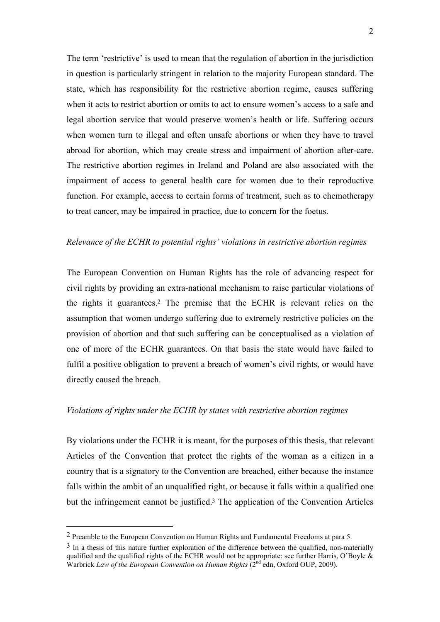The term 'restrictive' is used to mean that the regulation of abortion in the jurisdiction in question is particularly stringent in relation to the majority European standard. The state, which has responsibility for the restrictive abortion regime, causes suffering when it acts to restrict abortion or omits to act to ensure women's access to a safe and legal abortion service that would preserve women's health or life. Suffering occurs when women turn to illegal and often unsafe abortions or when they have to travel abroad for abortion, which may create stress and impairment of abortion after-care. The restrictive abortion regimes in Ireland and Poland are also associated with the impairment of access to general health care for women due to their reproductive function. For example, access to certain forms of treatment, such as to chemotherapy to treat cancer, may be impaired in practice, due to concern for the foetus.

#### *Relevance of the ECHR to potential rights' violations in restrictive abortion regimes*

The European Convention on Human Rights has the role of advancing respect for civil rights by providing an extra-national mechanism to raise particular violations of the rights it guarantees.<sup>2</sup> The premise that the ECHR is relevant relies on the assumption that women undergo suffering due to extremely restrictive policies on the provision of abortion and that such suffering can be conceptualised as a violation of one of more of the ECHR guarantees. On that basis the state would have failed to fulfil a positive obligation to prevent a breach of women's civil rights, or would have directly caused the breach.

#### *Violations of rights under the ECHR by states with restrictive abortion regimes*

By violations under the ECHR it is meant, for the purposes of this thesis, that relevant Articles of the Convention that protect the rights of the woman as a citizen in a country that is a signatory to the Convention are breached, either because the instance falls within the ambit of an unqualified right, or because it falls within a qualified one but the infringement cannot be justified.<sup>3</sup> The application of the Convention Articles

<sup>2</sup> Preamble to the European Convention on Human Rights and Fundamental Freedoms at para 5.

 $3 \text{ In a thesis of this nature further exploration of the difference between the qualified, non-materially.}$ qualified and the qualified rights of the ECHR would not be appropriate: see further Harris, O'Boyle  $\&$ Warbrick *Law of the European Convention on Human Rights* (2nd edn, Oxford OUP, 2009).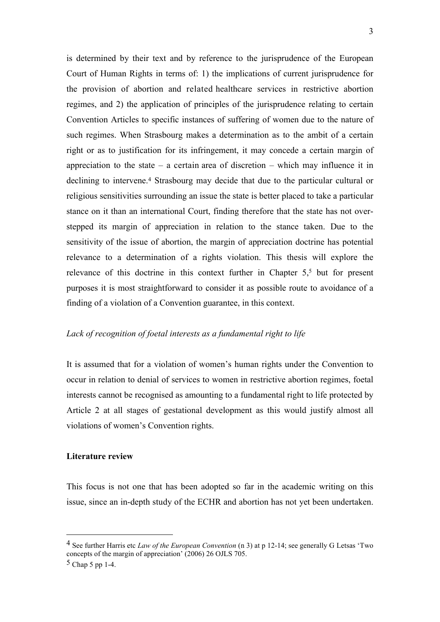is determined by their text and by reference to the jurisprudence of the European Court of Human Rights in terms of: 1) the implications of current jurisprudence for the provision of abortion and related healthcare services in restrictive abortion regimes, and 2) the application of principles of the jurisprudence relating to certain Convention Articles to specific instances of suffering of women due to the nature of such regimes. When Strasbourg makes a determination as to the ambit of a certain right or as to justification for its infringement, it may concede a certain margin of appreciation to the state – a certain area of discretion – which may influence it in declining to intervene.<sup>4</sup> Strasbourg may decide that due to the particular cultural or religious sensitivities surrounding an issue the state is better placed to take a particular stance on it than an international Court, finding therefore that the state has not overstepped its margin of appreciation in relation to the stance taken. Due to the sensitivity of the issue of abortion, the margin of appreciation doctrine has potential relevance to a determination of a rights violation. This thesis will explore the relevance of this doctrine in this context further in Chapter 5,<sup>5</sup> but for present purposes it is most straightforward to consider it as possible route to avoidance of a finding of a violation of a Convention guarantee, in this context.

#### *Lack of recognition of foetal interests as a fundamental right to life*

It is assumed that for a violation of women's human rights under the Convention to occur in relation to denial of services to women in restrictive abortion regimes, foetal interests cannot be recognised as amounting to a fundamental right to life protected by Article 2 at all stages of gestational development as this would justify almost all violations of women's Convention rights.

#### **Literature review**

This focus is not one that has been adopted so far in the academic writing on this issue, since an in-depth study of the ECHR and abortion has not yet been undertaken.

1

<sup>4</sup> See further Harris etc *Law of the European Convention* (n 3) at p 12-14; see generally G Letsas 'Two concepts of the margin of appreciation' (2006) 26 OJLS 705.

 $5$  Chap 5 pp 1-4.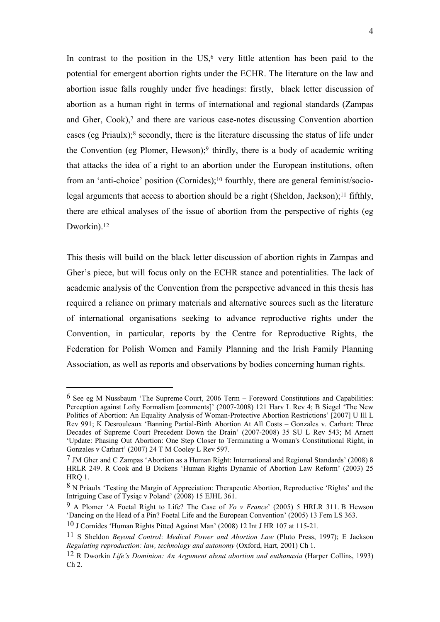In contrast to the position in the  $US<sub>1</sub>$ <sup>6</sup> very little attention has been paid to the potential for emergent abortion rights under the ECHR. The literature on the law and abortion issue falls roughly under five headings: firstly, black letter discussion of abortion as a human right in terms of international and regional standards (Zampas and Gher, Cook),<sup>7</sup> and there are various case-notes discussing Convention abortion cases (eg Priaulx);<sup>8</sup> secondly, there is the literature discussing the status of life under the Convention (eg Plomer, Hewson);<sup>9</sup> thirdly, there is a body of academic writing that attacks the idea of a right to an abortion under the European institutions, often from an 'anti-choice' position (Cornides);<sup>10</sup> fourthly, there are general feminist/sociolegal arguments that access to abortion should be a right (Sheldon, Jackson);<sup>11</sup> fifthly, there are ethical analyses of the issue of abortion from the perspective of rights (eg Dworkin).<sup>12</sup>

This thesis will build on the black letter discussion of abortion rights in Zampas and Gher's piece, but will focus only on the ECHR stance and potentialities. The lack of academic analysis of the Convention from the perspective advanced in this thesis has required a reliance on primary materials and alternative sources such as the literature of international organisations seeking to advance reproductive rights under the Convention, in particular, reports by the Centre for Reproductive Rights, the Federation for Polish Women and Family Planning and the Irish Family Planning Association, as well as reports and observations by bodies concerning human rights.

<sup>6</sup> See eg M Nussbaum 'The Supreme Court, 2006 Term – Foreword Constitutions and Capabilities: Perception against Lofty Formalism [comments]' (2007-2008) 121 Harv L Rev 4; B Siegel 'The New Politics of Abortion: An Equality Analysis of Woman-Protective Abortion Restrictions' [2007] U Ill L Rev 991; K Desrouleaux 'Banning Partial-Birth Abortion At All Costs – Gonzales v. Carhart: Three Decades of Supreme Court Precedent Down the Drain' (2007-2008) 35 SU L Rev 543; M Arnett 'Update: Phasing Out Abortion: One Step Closer to Terminating a Woman's Constitutional Right, in Gonzales v Carhart' (2007) 24 T M Cooley L Rev 597.

<sup>7</sup> JM Gher and C Zampas 'Abortion as a Human Right: International and Regional Standards' (2008) 8 HRLR 249. R Cook and B Dickens 'Human Rights Dynamic of Abortion Law Reform' (2003) 25 HRQ 1.

<sup>8</sup> N Priaulx 'Testing the Margin of Appreciation: Therapeutic Abortion, Reproductive 'Rights' and the Intriguing Case of Tysiąc v Poland' (2008) 15 EJHL 361.

<sup>9</sup> A Plomer 'A Foetal Right to Life? The Case of *Vo v France*' (2005) 5 HRLR 311. B Hewson 'Dancing on the Head of a Pin? Foetal Life and the European Convention' (2005) 13 Fem LS 363.

<sup>10</sup> J Cornides 'Human Rights Pitted Against Man' (2008) 12 Int J HR 107 at 115-21.

<sup>11</sup> S Sheldon *Beyond Control*: *Medical Power and Abortion Law* (Pluto Press, 1997); E Jackson *Regulating reproduction: law, technology and autonomy* (Oxford, Hart, 2001) Ch 1.

<sup>12</sup> R Dworkin *Life's Dominion: An Argument about abortion and euthanasia* (Harper Collins, 1993) Ch 2.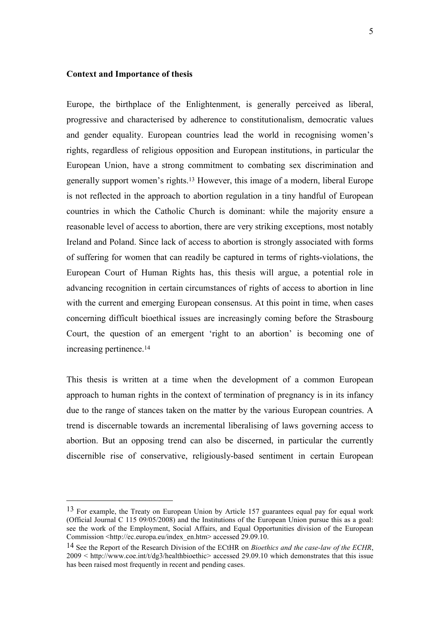#### **Context and Importance of thesis**

<u>.</u>

Europe, the birthplace of the Enlightenment, is generally perceived as liberal, progressive and characterised by adherence to constitutionalism, democratic values and gender equality. European countries lead the world in recognising women's rights, regardless of religious opposition and European institutions, in particular the European Union, have a strong commitment to combating sex discrimination and generally support women's rights.<sup>13</sup> However, this image of a modern, liberal Europe is not reflected in the approach to abortion regulation in a tiny handful of European countries in which the Catholic Church is dominant: while the majority ensure a reasonable level of access to abortion, there are very striking exceptions, most notably Ireland and Poland. Since lack of access to abortion is strongly associated with forms of suffering for women that can readily be captured in terms of rights-violations, the European Court of Human Rights has, this thesis will argue, a potential role in advancing recognition in certain circumstances of rights of access to abortion in line with the current and emerging European consensus. At this point in time, when cases concerning difficult bioethical issues are increasingly coming before the Strasbourg Court, the question of an emergent 'right to an abortion' is becoming one of increasing pertinence.<sup>14</sup>

This thesis is written at a time when the development of a common European approach to human rights in the context of termination of pregnancy is in its infancy due to the range of stances taken on the matter by the various European countries. A trend is discernable towards an incremental liberalising of laws governing access to abortion. But an opposing trend can also be discerned, in particular the currently discernible rise of conservative, religiously-based sentiment in certain European

<sup>&</sup>lt;sup>13</sup> For example, the Treaty on European Union by Article 157 guarantees equal pay for equal work (Official Journal C 115 09/05/2008) and the Institutions of the European Union pursue this as a goal: see the work of the Employment, Social Affairs, and Equal Opportunities division of the European Commission <http://ec.europa.eu/index\_en.htm> accessed 29.09.10.

<sup>14</sup> See the Report of the Research Division of the ECtHR on *Bioethics and the case-law of the ECHR*, 2009 < http://www.coe.int/t/dg3/healthbioethic> accessed 29.09.10 which demonstrates that this issue has been raised most frequently in recent and pending cases.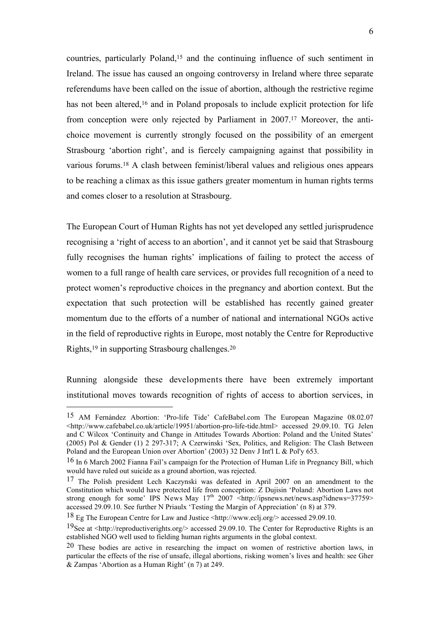countries, particularly Poland,<sup>15</sup> and the continuing influence of such sentiment in Ireland. The issue has caused an ongoing controversy in Ireland where three separate referendums have been called on the issue of abortion, although the restrictive regime has not been altered,<sup>16</sup> and in Poland proposals to include explicit protection for life from conception were only rejected by Parliament in 2007.<sup>17</sup> Moreover, the antichoice movement is currently strongly focused on the possibility of an emergent Strasbourg 'abortion right', and is fiercely campaigning against that possibility in various forums.<sup>18</sup> A clash between feminist/liberal values and religious ones appears to be reaching a climax as this issue gathers greater momentum in human rights terms and comes closer to a resolution at Strasbourg.

The European Court of Human Rights has not yet developed any settled jurisprudence recognising a 'right of access to an abortion', and it cannot yet be said that Strasbourg fully recognises the human rights' implications of failing to protect the access of women to a full range of health care services, or provides full recognition of a need to protect women's reproductive choices in the pregnancy and abortion context. But the expectation that such protection will be established has recently gained greater momentum due to the efforts of a number of national and international NGOs active in the field of reproductive rights in Europe, most notably the Centre for Reproductive Rights,<sup>19</sup> in supporting Strasbourg challenges.<sup>20</sup>

Running alongside these developments there have been extremely important institutional moves towards recognition of rights of access to abortion services, in

<sup>15</sup> AM Fernàndez Abortion: 'Pro-life Tide' CafeBabel.com The European Magazine 08.02.07 <http://www.cafebabel.co.uk/article/19951/abortion-pro-life-tide.html> accessed 29.09.10. TG Jelen and C Wilcox 'Continuity and Change in Attitudes Towards Abortion: Poland and the United States' (2005) Pol & Gender (1) 2 297-317; A Czerwinski 'Sex, Politics, and Religion: The Clash Between Poland and the European Union over Abortion' (2003) 32 Denv J Int'l L & Pol'y 653.

<sup>16</sup> In 6 March 2002 Fianna Fail's campaign for the Protection of Human Life in Pregnancy Bill, which would have ruled out suicide as a ground abortion, was rejected.

<sup>17</sup> The Polish president Lech Kaczynski was defeated in April 2007 on an amendment to the Constitution which would have protected life from conception: Z Dujisin 'Poland: Abortion Laws not strong enough for some' IPS News May  $17<sup>th</sup> 2007$  <http://ipsnews.net/news.asp?idnews=37759> accessed 29.09.10. See further N Priaulx 'Testing the Margin of Appreciation' (n 8) at 379.

<sup>18</sup> Eg The European Centre for Law and Justice <http://www.eclj.org/> accessed 29.09.10.

<sup>19</sup>See at <http://reproductiverights.org/> accessed 29.09.10. The Center for Reproductive Rights is an established NGO well used to fielding human rights arguments in the global context.

<sup>20</sup> These bodies are active in researching the impact on women of restrictive abortion laws, in particular the effects of the rise of unsafe, illegal abortions, risking women's lives and health: see Gher & Zampas 'Abortion as a Human Right' (n 7) at 249.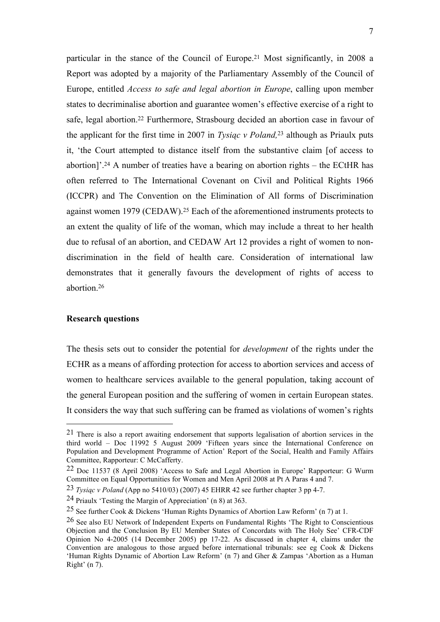particular in the stance of the Council of Europe.<sup>21</sup> Most significantly, in 2008 a Report was adopted by a majority of the Parliamentary Assembly of the Council of Europe, entitled *Access to safe and legal abortion in Europe*, calling upon member states to decriminalise abortion and guarantee women's effective exercise of a right to safe, legal abortion.<sup>22</sup> Furthermore, Strasbourg decided an abortion case in favour of the applicant for the first time in 2007 in *Tysiąc v Poland,*<sup>23</sup> although as Priaulx puts it, 'the Court attempted to distance itself from the substantive claim [of access to abortion]'.<sup>24</sup> A number of treaties have a bearing on abortion rights – the ECtHR has often referred to The International Covenant on Civil and Political Rights 1966 (ICCPR) and The Convention on the Elimination of All forms of Discrimination against women 1979 (CEDAW).<sup>25</sup> Each of the aforementioned instruments protects to an extent the quality of life of the woman, which may include a threat to her health due to refusal of an abortion, and CEDAW Art 12 provides a right of women to nondiscrimination in the field of health care. Consideration of international law demonstrates that it generally favours the development of rights of access to abortion.<sup>26</sup>

#### **Research questions**

<u>.</u>

The thesis sets out to consider the potential for *development* of the rights under the ECHR as a means of affording protection for access to abortion services and access of women to healthcare services available to the general population, taking account of the general European position and the suffering of women in certain European states. It considers the way that such suffering can be framed as violations of women's rights

<sup>21</sup> There is also a report awaiting endorsement that supports legalisation of abortion services in the third world – Doc 11992 5 August 2009 'Fifteen years since the International Conference on Population and Development Programme of Action' Report of the Social, Health and Family Affairs Committee, Rapporteur: C McCafferty.

<sup>22</sup> Doc 11537 (8 April 2008) 'Access to Safe and Legal Abortion in Europe' Rapporteur: G Wurm Committee on Equal Opportunities for Women and Men April 2008 at Pt A Paras 4 and 7.

<sup>23</sup> *Tysiąc v Poland* (App no 5410/03) (2007) 45 EHRR 42 see further chapter 3 pp 4-7.

<sup>24</sup> Priaulx 'Testing the Margin of Appreciation' (n 8) at 363.

<sup>25</sup> See further Cook & Dickens 'Human Rights Dynamics of Abortion Law Reform' (n 7) at 1.

<sup>26</sup> See also EU Network of Independent Experts on Fundamental Rights 'The Right to Conscientious Objection and the Conclusion By EU Member States of Concordats with The Holy See' CFR-CDF Opinion No 4-2005 (14 December 2005) pp 17-22. As discussed in chapter 4, claims under the Convention are analogous to those argued before international tribunals: see eg Cook & Dickens 'Human Rights Dynamic of Abortion Law Reform' (n 7) and Gher & Zampas 'Abortion as a Human Right' (n 7).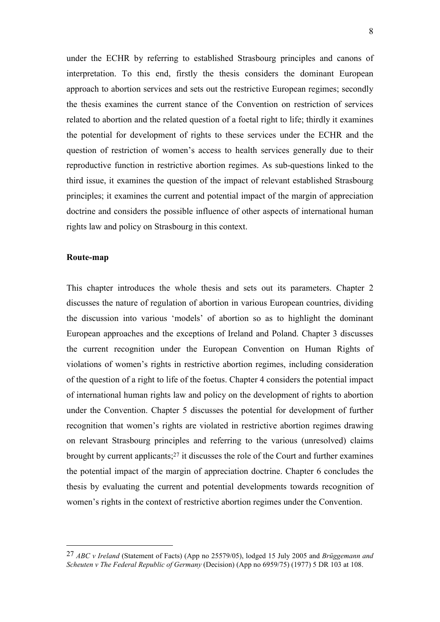under the ECHR by referring to established Strasbourg principles and canons of interpretation. To this end, firstly the thesis considers the dominant European approach to abortion services and sets out the restrictive European regimes; secondly the thesis examines the current stance of the Convention on restriction of services related to abortion and the related question of a foetal right to life; thirdly it examines the potential for development of rights to these services under the ECHR and the question of restriction of women's access to health services generally due to their reproductive function in restrictive abortion regimes. As sub-questions linked to the third issue, it examines the question of the impact of relevant established Strasbourg principles; it examines the current and potential impact of the margin of appreciation doctrine and considers the possible influence of other aspects of international human rights law and policy on Strasbourg in this context.

#### **Route-map**

<u>.</u>

This chapter introduces the whole thesis and sets out its parameters. Chapter 2 discusses the nature of regulation of abortion in various European countries, dividing the discussion into various 'models' of abortion so as to highlight the dominant European approaches and the exceptions of Ireland and Poland. Chapter 3 discusses the current recognition under the European Convention on Human Rights of violations of women's rights in restrictive abortion regimes, including consideration of the question of a right to life of the foetus. Chapter 4 considers the potential impact of international human rights law and policy on the development of rights to abortion under the Convention. Chapter 5 discusses the potential for development of further recognition that women's rights are violated in restrictive abortion regimes drawing on relevant Strasbourg principles and referring to the various (unresolved) claims brought by current applicants;<sup>27</sup> it discusses the role of the Court and further examines the potential impact of the margin of appreciation doctrine. Chapter 6 concludes the thesis by evaluating the current and potential developments towards recognition of women's rights in the context of restrictive abortion regimes under the Convention.

<sup>27</sup> *ABC v Ireland* (Statement of Facts) (App no 25579/05), lodged 15 July 2005 and *Brüggemann and Scheuten v The Federal Republic of Germany* (Decision) (App no 6959/75) (1977) 5 DR 103 at 108.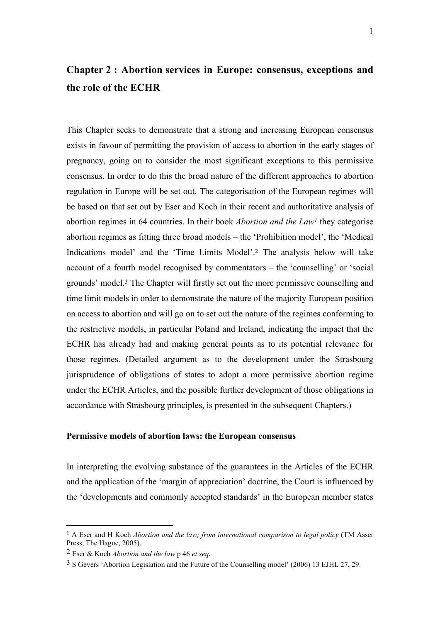## **Chapter 2 : Abortion services in Europe: consensus, exceptions and the role of the ECHR**

This Chapter seeks to demonstrate that a strong and increasing European consensus exists in favour of permitting the provision of access to abortion in the early stages of pregnancy, going on to consider the most significant exceptions to this permissive consensus. In order to do this the broad nature of the different approaches to abortion regulation in Europe will be set out. The categorisation of the European regimes will be based on that set out by Eser and Koch in their recent and authoritative analysis of abortion regimes in 64 countries. In their book *Abortion and the Law<sup>1</sup>* they categorise abortion regimes as fitting three broad models – the 'Prohibition model', the 'Medical Indications model' and the 'Time Limits Model'.<sup>2</sup> The analysis below will take account of a fourth model recognised by commentators – the 'counselling' or 'social grounds' model.<sup>3</sup> The Chapter will firstly set out the more permissive counselling and time limit models in order to demonstrate the nature of the majority European position on access to abortion and will go on to set out the nature of the regimes conforming to the restrictive models, in particular Poland and Ireland, indicating the impact that the ECHR has already had and making general points as to its potential relevance for those regimes. (Detailed argument as to the development under the Strasbourg jurisprudence of obligations of states to adopt a more permissive abortion regime under the ECHR Articles, and the possible further development of those obligations in accordance with Strasbourg principles, is presented in the subsequent Chapters.)

#### **Permissive models of abortion laws: the European consensus**

In interpreting the evolving substance of the guarantees in the Articles of the ECHR and the application of the 'margin of appreciation' doctrine, the Court is influenced by the 'developments and commonly accepted standards' in the European member states

<sup>1</sup> A Eser and H Koch *Abortion and the law; from international comparison to legal policy* (TM Asser Press, The Hague, 2005).

<sup>2</sup> Eser & Koch *Abortion and the law* p 46 *et seq*.

<sup>3</sup> S Gevers 'Abortion Legislation and the Future of the Counselling model' (2006) 13 EJHL 27, 29.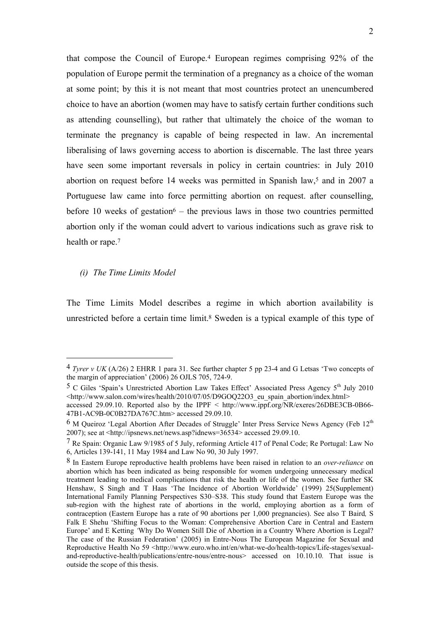that compose the Council of Europe.<sup>4</sup> European regimes comprising 92% of the population of Europe permit the termination of a pregnancy as a choice of the woman at some point; by this it is not meant that most countries protect an unencumbered choice to have an abortion (women may have to satisfy certain further conditions such as attending counselling), but rather that ultimately the choice of the woman to terminate the pregnancy is capable of being respected in law. An incremental liberalising of laws governing access to abortion is discernable. The last three years have seen some important reversals in policy in certain countries: in July 2010 abortion on request before 14 weeks was permitted in Spanish law,<sup>5</sup> and in 2007 a Portuguese law came into force permitting abortion on request. after counselling, before 10 weeks of gestation<sup> $6$ </sup> – the previous laws in those two countries permitted abortion only if the woman could advert to various indications such as grave risk to health or rape.<sup>7</sup>

*(i) The Time Limits Model*

<u>.</u>

The Time Limits Model describes a regime in which abortion availability is unrestricted before a certain time limit.<sup>8</sup> Sweden is a typical example of this type of

<sup>4</sup> *Tyrer v UK* (A/26) 2 EHRR 1 para 31. See further chapter 5 pp 23-4 and G Letsas 'Two concepts of the margin of appreciation' (2006) 26 OJLS 705, 724-9.

<sup>&</sup>lt;sup>5</sup> C Giles 'Spain's Unrestricted Abortion Law Takes Effect' Associated Press Agency 5<sup>th</sup> July 2010 <http://www.salon.com/wires/health/2010/07/05/D9GOQ22O3\_eu\_spain\_abortion/index.html>

accessed 29.09.10. Reported also by the IPPF < http://www.ippf.org/NR/exeres/26DBE3CB-0B66- 47B1-AC9B-0C0B27DA767C.htm> accessed 29.09.10.

 $6$  M Queiroz 'Legal Abortion After Decades of Struggle' Inter Press Service News Agency (Feb  $12<sup>th</sup>$ 2007); see at <http://ipsnews.net/news.asp?idnews=36534> accessed 29.09.10.

<sup>7</sup> Re Spain: Organic Law 9/1985 of 5 July, reforming Article 417 of Penal Code; Re Portugal: Law No 6, Articles 139-141, 11 May 1984 and Law No 90, 30 July 1997.

<sup>8</sup> In Eastern Europe reproductive health problems have been raised in relation to an *over-reliance* on abortion which has been indicated as being responsible for women undergoing unnecessary medical treatment leading to medical complications that risk the health or life of the women. See further SK Henshaw, S Singh and T Haas 'The Incidence of Abortion Worldwide' (1999) 25(Supplement) International Family Planning Perspectives S30–S38. This study found that Eastern Europe was the sub-region with the highest rate of abortions in the world, employing abortion as a form of contraception (Eastern Europe has a rate of 90 abortions per 1,000 pregnancies). See also T Baird*,* S Falk E Shehu 'Shifting Focus to the Woman: Comprehensive Abortion Care in Central and Eastern Europe' and E Ketting *'*Why Do Women Still Die of Abortion in a Country Where Abortion is Legal? The case of the Russian Federation' (2005) in Entre-Nous The European Magazine for Sexual and Reproductive Health No 59 <http://www.euro.who.int/en/what-we-do/health-topics/Life-stages/sexualand-reproductive-health/publications/entre-nous/entre-nous> accessed on 10.10.10*.* That issue is outside the scope of this thesis.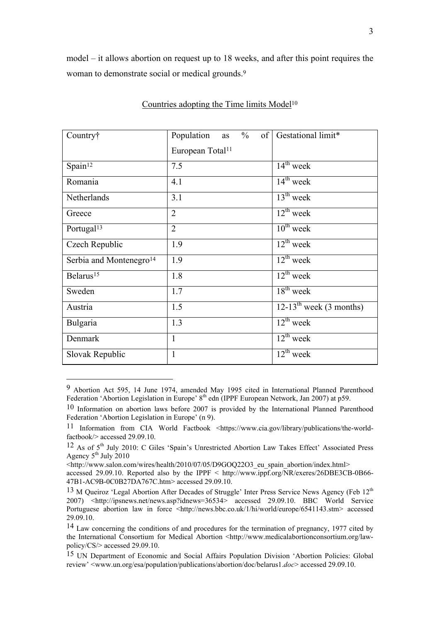model – it allows abortion on request up to 18 weeks, and after this point requires the woman to demonstrate social or medical grounds.<sup>9</sup>

| Country†                            | Population<br>$\frac{0}{0}$<br>of <sup>2</sup><br>as | Gestational limit*                    |  |
|-------------------------------------|------------------------------------------------------|---------------------------------------|--|
|                                     | European Total <sup>11</sup>                         |                                       |  |
| Spain <sup>12</sup>                 | 7.5                                                  | $14^{th}$ week                        |  |
| Romania                             | 4.1                                                  | $14th$ week                           |  |
| Netherlands                         | 3.1                                                  | $13^{th}$ week                        |  |
| Greece                              | $\overline{2}$                                       | $12^{th}$ week                        |  |
| Portugal <sup>13</sup>              | $\overline{2}$                                       | $10^{th}$ week                        |  |
| Czech Republic                      | 1.9                                                  | $12^{th}$ week                        |  |
| Serbia and Montenegro <sup>14</sup> | 1.9                                                  | $\overline{12^{th}}$ week             |  |
| Belarus <sup>15</sup>               | 1.8                                                  | $12^{th}$ week                        |  |
| Sweden                              | 1.7                                                  | $18^{th}$ week                        |  |
| Austria                             | 1.5                                                  | $12-13$ <sup>th</sup> week (3 months) |  |
| Bulgaria                            | 1.3                                                  | $12^{th}$ week                        |  |
| Denmark                             | 1                                                    | $12^{th}$ week                        |  |
| Slovak Republic                     | 1                                                    | $12^{th}$ week                        |  |

#### Countries adopting the Time limits Model<sup>10</sup>

<sup>9</sup> Abortion Act 595, 14 June 1974, amended May 1995 cited in International Planned Parenthood Federation 'Abortion Legislation in Europe' 8<sup>th</sup> edn (IPPF European Network, Jan 2007) at p59.

<sup>10</sup> Information on abortion laws before 2007 is provided by the International Planned Parenthood Federation 'Abortion Legislation in Europe' (n 9).

<sup>11</sup> Information from CIA World Factbook <https://www.cia.gov/library/publications/the-worldfactbook/> accessed 29.09.10.

<sup>12</sup> As of 5th July 2010: C Giles 'Spain's Unrestricted Abortion Law Takes Effect' Associated Press Agency  $5<sup>th</sup>$  July 2010

<sup>&</sup>lt;http://www.salon.com/wires/health/2010/07/05/D9GOQ22O3\_eu\_spain\_abortion/index.html>

accessed 29.09.10. Reported also by the IPPF  $\leq$  http://www.ippf.org/NR/exeres/26DBE3CB-0B66-47B1-AC9B-0C0B27DA767C.htm> accessed 29.09.10.

<sup>&</sup>lt;sup>13</sup> M Queiroz 'Legal Abortion After Decades of Struggle' Inter Press Service News Agency (Feb 12<sup>th</sup>) 2007) <http://ipsnews.net/news.asp?idnews=36534> accessed 29.09.10. BBC World Service Portuguese abortion law in force <http://news.bbc.co.uk/1/hi/world/europe/6541143.stm> accessed 29.09.10.

<sup>&</sup>lt;sup>14</sup> Law concerning the conditions of and procedures for the termination of pregnancy, 1977 cited by the International Consortium for Medical Abortion <http://www.medicalabortionconsortium.org/lawpolicy/CS/> accessed 29.09.10.

<sup>15</sup> UN Department of Economic and Social Affairs Population Division 'Abortion Policies: Global review' <www.un.org/esa/population/publications/abortion/doc/belarus1.*doc*> accessed 29.09.10.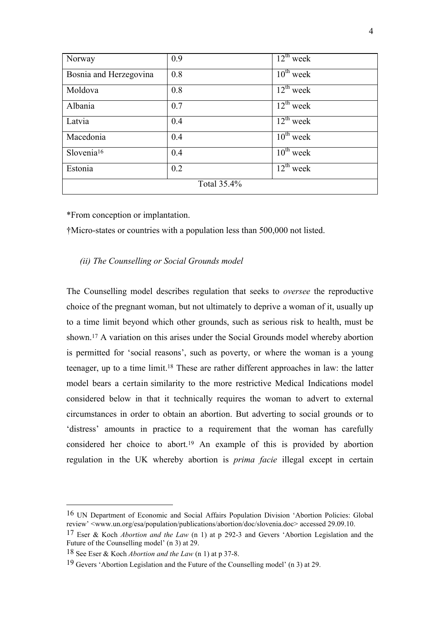| Norway                 | 0.9 | $12^{th}$ week            |
|------------------------|-----|---------------------------|
| Bosnia and Herzegovina | 0.8 | $10^{th}$ week            |
| Moldova                | 0.8 | $\overline{12^{th}}$ week |
| Albania                | 0.7 | $12^{th}$ week            |
| Latvia                 | 0.4 | $12^{th}$ week            |
| Macedonia              | 0.4 | $10^{th}$ week            |
| Slovenia <sup>16</sup> | 0.4 | $10^{th}$ week            |
| Estonia                | 0.2 | $12^{th}$ week            |
| Total 35.4%            |     |                           |

\*From conception or implantation.

†Micro-states or countries with a population less than 500,000 not listed.

#### *(ii) The Counselling or Social Grounds model*

The Counselling model describes regulation that seeks to *oversee* the reproductive choice of the pregnant woman, but not ultimately to deprive a woman of it, usually up to a time limit beyond which other grounds, such as serious risk to health, must be shown.<sup>17</sup> A variation on this arises under the Social Grounds model whereby abortion is permitted for 'social reasons', such as poverty, or where the woman is a young teenager, up to a time limit.<sup>18</sup> These are rather different approaches in law: the latter model bears a certain similarity to the more restrictive Medical Indications model considered below in that it technically requires the woman to advert to external circumstances in order to obtain an abortion. But adverting to social grounds or to 'distress' amounts in practice to a requirement that the woman has carefully considered her choice to abort.<sup>19</sup> An example of this is provided by abortion regulation in the UK whereby abortion is *prima facie* illegal except in certain

1

<sup>16</sup> UN Department of Economic and Social Affairs Population Division 'Abortion Policies: Global review' <www.un.org/esa/population/publications/abortion/doc/slovenia.doc> accessed 29.09.10.

<sup>17</sup> Eser & Koch *Abortion and the Law* (n 1) at p 292-3 and Gevers 'Abortion Legislation and the Future of the Counselling model' (n 3) at 29.

<sup>18</sup> See Eser & Koch *Abortion and the Law* (n 1) at p 37-8.

<sup>19</sup> Gevers 'Abortion Legislation and the Future of the Counselling model' (n 3) at 29.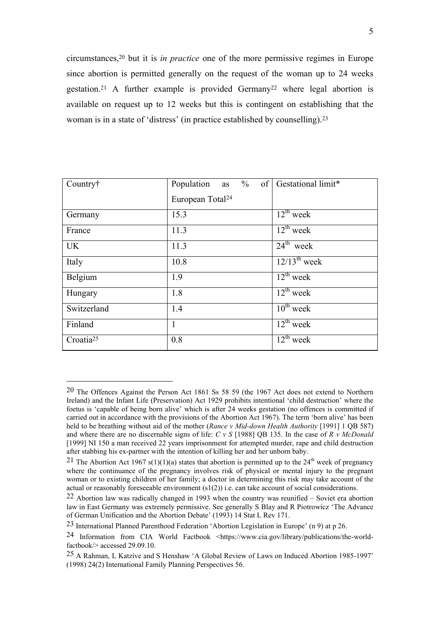circumstances,<sup>20</sup> but it is *in practice* one of the more permissive regimes in Europe since abortion is permitted generally on the request of the woman up to 24 weeks gestation.<sup>21</sup> A further example is provided Germany<sup>22</sup> where legal abortion is available on request up to 12 weeks but this is contingent on establishing that the woman is in a state of 'distress' (in practice established by counselling).<sup>23</sup>

| Country†              | Population as $\%$<br>of <sup>2</sup> | Gestational limit*        |
|-----------------------|---------------------------------------|---------------------------|
|                       | European Total <sup>24</sup>          |                           |
| Germany               | 15.3                                  | $12^{th}$ week            |
| France                | 11.3                                  | $12^{th}$ week            |
| <b>UK</b>             | 11.3                                  | $24^{\text{th}}$ week     |
| Italy                 | 10.8                                  | $12/13^{\text{th}}$ week  |
| Belgium               | 1.9                                   | $12^{\text{th}}$ week     |
| Hungary               | 1.8                                   | $12^{th}$ week            |
| Switzerland           | 1.4                                   | $10^{th}$ week            |
| Finland               | $\mathbf{1}$                          | $\overline{12^{th}}$ week |
| Croatia <sup>25</sup> | 0.8                                   | $12^{th}$ week            |

<sup>20</sup> The Offences Against the Person Act 1861 Ss 58 59 (the 1967 Act does not extend to Northern Ireland) and the Infant Life (Preservation) Act 1929 prohibits intentional 'child destruction' where the foetus is 'capable of being born alive' which is after 24 weeks gestation (no offences is committed if carried out in accordance with the provisions of the Abortion Act 1967). The term 'born alive' has been held to be breathing without aid of the mother (*Rance v Mid-down Health Authority* [1991] 1 QB 587) and where there are no discernable signs of life: *C v S* [1988] QB 135. In the case of *R v McDonald* [1999] NI 150 a man received 22 years imprisonment for attempted murder, rape and child destruction after stabbing his ex-partner with the intention of killing her and her unborn baby.

<sup>&</sup>lt;sup>21</sup> The Abortion Act 1967 s(1)(1)(a) states that abortion is permitted up to the  $24<sup>th</sup>$  week of pregnancy where the continuance of the pregnancy involves risk of physical or mental injury to the pregnant woman or to existing children of her family; a doctor in determining this risk may take account of the actual or reasonably foreseeable environment  $(s1(2))$  i.e. can take account of social considerations.

<sup>22</sup> Abortion law was radically changed in 1993 when the country was reunified – Soviet era abortion law in East Germany was extremely permissive. See generally S Blay and R Piotrowicz 'The Advance of German Unification and the Abortion Debate' (1993) 14 Stat L Rev 171.

<sup>23</sup> International Planned Parenthood Federation 'Abortion Legislation in Europe' (n 9) at p 26.

<sup>24</sup> Information from CIA World Factbook <https://www.cia.gov/library/publications/the-worldfactbook/> accessed 29.09.10.

<sup>25</sup> A Rahman, L Katzive and S Henshaw 'A Global Review of Laws on Induced Abortion 1985-1997' (1998) 24(2) International Family Planning Perspectives 56.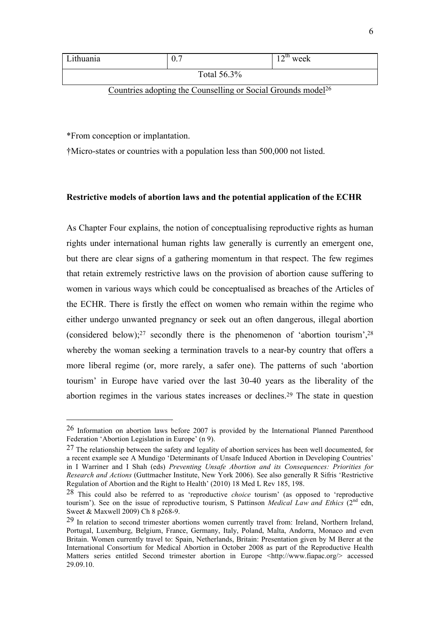| Lithuania   | 0.7 | $12^{th}$ week |
|-------------|-----|----------------|
| Total 56.3% |     |                |

Countries adopting the Counselling or Social Grounds model<sup>26</sup>

\*From conception or implantation.

<u>.</u>

†Micro-states or countries with a population less than 500,000 not listed.

#### **Restrictive models of abortion laws and the potential application of the ECHR**

As Chapter Four explains, the notion of conceptualising reproductive rights as human rights under international human rights law generally is currently an emergent one, but there are clear signs of a gathering momentum in that respect. The few regimes that retain extremely restrictive laws on the provision of abortion cause suffering to women in various ways which could be conceptualised as breaches of the Articles of the ECHR. There is firstly the effect on women who remain within the regime who either undergo unwanted pregnancy or seek out an often dangerous, illegal abortion (considered below);<sup>27</sup> secondly there is the phenomenon of 'abortion tourism',<sup>28</sup> whereby the woman seeking a termination travels to a near-by country that offers a more liberal regime (or, more rarely, a safer one). The patterns of such 'abortion tourism' in Europe have varied over the last 30-40 years as the liberality of the abortion regimes in the various states increases or declines.<sup>29</sup> The state in question

<sup>26</sup> Information on abortion laws before 2007 is provided by the International Planned Parenthood Federation 'Abortion Legislation in Europe' (n 9).

<sup>27</sup> The relationship between the safety and legality of abortion services has been well documented, for a recent example see A Mundigo 'Determinants of Unsafe Induced Abortion in Developing Countries' in I Warriner and I Shah (eds) *Preventing Unsafe Abortion and its Consequences: Priorities for Research and Actions* (Guttmacher Institute, New York 2006). See also generally R Sifris 'Restrictive Regulation of Abortion and the Right to Health' (2010) 18 Med L Rev 185, 198.

<sup>28</sup> This could also be referred to as 'reproductive *choice* tourism' (as opposed to 'reproductive tourism'). See on the issue of reproductive tourism, S Pattinson *Medical Law and Ethics* (2<sup>nd</sup> edn, Sweet & Maxwell 2009) Ch 8 p268-9.

<sup>29</sup> In relation to second trimester abortions women currently travel from: Ireland, Northern Ireland, Portugal, Luxemburg, Belgium, France, Germany, Italy, Poland, Malta, Andorra, Monaco and even Britain. Women currently travel to: Spain, Netherlands, Britain: Presentation given by M Berer at the International Consortium for Medical Abortion in October 2008 as part of the Reproductive Health Matters series entitled Second trimester abortion in Europe <http://www.fiapac.org/> accessed 29.09.10.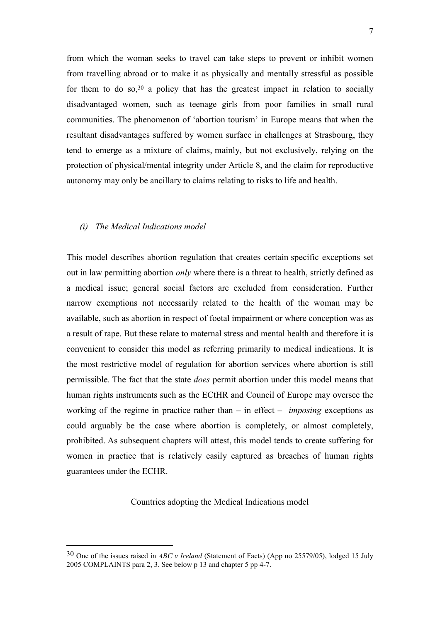from which the woman seeks to travel can take steps to prevent or inhibit women from travelling abroad or to make it as physically and mentally stressful as possible for them to do so,  $30$  a policy that has the greatest impact in relation to socially disadvantaged women, such as teenage girls from poor families in small rural communities. The phenomenon of 'abortion tourism' in Europe means that when the resultant disadvantages suffered by women surface in challenges at Strasbourg, they tend to emerge as a mixture of claims, mainly, but not exclusively, relying on the protection of physical/mental integrity under Article 8, and the claim for reproductive autonomy may only be ancillary to claims relating to risks to life and health.

#### *(i) The Medical Indications model*

<u>.</u>

This model describes abortion regulation that creates certain specific exceptions set out in law permitting abortion *only* where there is a threat to health, strictly defined as a medical issue; general social factors are excluded from consideration. Further narrow exemptions not necessarily related to the health of the woman may be available, such as abortion in respect of foetal impairment or where conception was as a result of rape. But these relate to maternal stress and mental health and therefore it is convenient to consider this model as referring primarily to medical indications. It is the most restrictive model of regulation for abortion services where abortion is still permissible. The fact that the state *does* permit abortion under this model means that human rights instruments such as the ECtHR and Council of Europe may oversee the working of the regime in practice rather than – in effect – *imposing* exceptions as could arguably be the case where abortion is completely, or almost completely, prohibited. As subsequent chapters will attest, this model tends to create suffering for women in practice that is relatively easily captured as breaches of human rights guarantees under the ECHR.

#### Countries adopting the Medical Indications model

<sup>30</sup> One of the issues raised in *ABC v Ireland* (Statement of Facts) (App no 25579/05), lodged 15 July 2005 COMPLAINTS para 2, 3. See below p 13 and chapter 5 pp 4-7.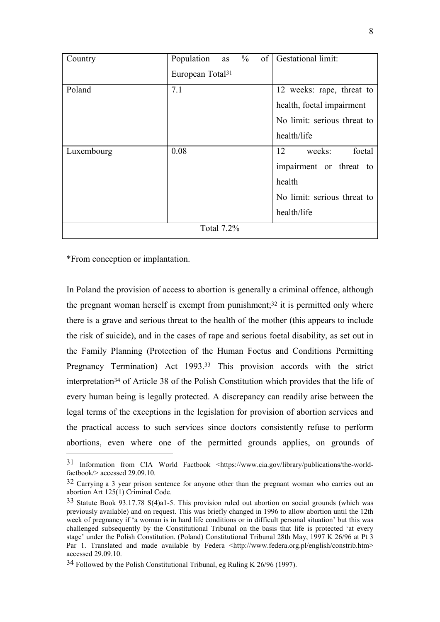| Country    | $\%$<br>$\sigma$ f<br>Population<br>as | Gestational limit:          |
|------------|----------------------------------------|-----------------------------|
|            | European Total <sup>31</sup>           |                             |
| Poland     | 7.1                                    | 12 weeks: rape, threat to   |
|            |                                        | health, foetal impairment   |
|            |                                        | No limit: serious threat to |
|            |                                        | health/life                 |
| Luxembourg | 0.08                                   | 12<br>foetal<br>weeks:      |
|            |                                        | impairment or threat to     |
|            |                                        | health                      |
|            |                                        | No limit: serious threat to |
|            |                                        | health/life                 |
|            | Total 7.2%                             |                             |

\*From conception or implantation.

1

In Poland the provision of access to abortion is generally a criminal offence, although the pregnant woman herself is exempt from punishment;<sup>32</sup> it is permitted only where there is a grave and serious threat to the health of the mother (this appears to include the risk of suicide), and in the cases of rape and serious foetal disability, as set out in the Family Planning (Protection of the Human Foetus and Conditions Permitting Pregnancy Termination) Act 1993.<sup>33</sup> This provision accords with the strict interpretation<sup>34</sup> of Article 38 of the Polish Constitution which provides that the life of every human being is legally protected. A discrepancy can readily arise between the legal terms of the exceptions in the legislation for provision of abortion services and the practical access to such services since doctors consistently refuse to perform abortions, even where one of the permitted grounds applies, on grounds of

<sup>31</sup> Information from CIA World Factbook <https://www.cia.gov/library/publications/the-worldfactbook/> accessed 29.09.10.

<sup>32</sup> Carrying a 3 year prison sentence for anyone other than the pregnant woman who carries out an abortion Art 125(1) Criminal Code.

<sup>33</sup> Statute Book 93.17.78 S(4)a1-5. This provision ruled out abortion on social grounds (which was previously available) and on request. This was briefly changed in 1996 to allow abortion until the 12th week of pregnancy if 'a woman is in hard life conditions or in difficult personal situation' but this was challenged subsequently by the Constitutional Tribunal on the basis that life is protected 'at every stage' under the Polish Constitution. (Poland) Constitutional Tribunal 28th May, 1997 K 26/96 at Pt 3 Par 1. Translated and made available by Federa <http://www.federa.org.pl/english/constrib.htm> accessed 29.09.10.

<sup>34</sup> Followed by the Polish Constitutional Tribunal, eg Ruling K 26/96 (1997).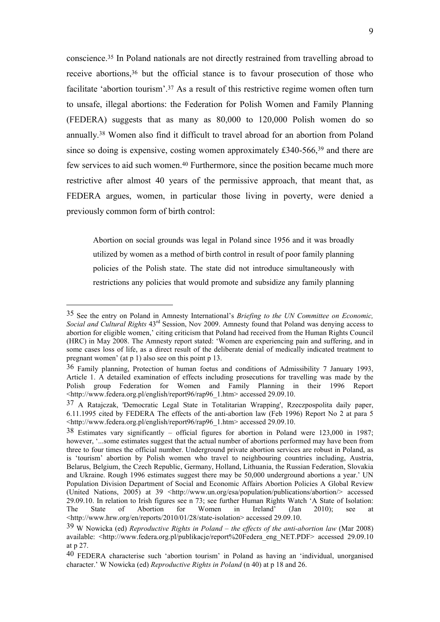conscience.<sup>35</sup> In Poland nationals are not directly restrained from travelling abroad to receive abortions,<sup>36</sup> but the official stance is to favour prosecution of those who facilitate 'abortion tourism'.<sup>37</sup> As a result of this restrictive regime women often turn to unsafe, illegal abortions: the Federation for Polish Women and Family Planning (FEDERA) suggests that as many as 80,000 to 120,000 Polish women do so annually. <sup>38</sup> Women also find it difficult to travel abroad for an abortion from Poland since so doing is expensive, costing women approximately £340-566,<sup>39</sup> and there are few services to aid such women.<sup>40</sup> Furthermore, since the position became much more restrictive after almost 40 years of the permissive approach, that meant that, as FEDERA argues, women, in particular those living in poverty, were denied a previously common form of birth control:

Abortion on social grounds was legal in Poland since 1956 and it was broadly utilized by women as a method of birth control in result of poor family planning policies of the Polish state. The state did not introduce simultaneously with restrictions any policies that would promote and subsidize any family planning

<sup>35</sup> See the entry on Poland in Amnesty International's *Briefing to the UN Committee on Economic, Social and Cultural Rights* 43rd Session, Nov 2009. Amnesty found that Poland was denying access to abortion for eligible women,' citing criticism that Poland had received from the Human Rights Council (HRC) in May 2008. The Amnesty report stated: 'Women are experiencing pain and suffering, and in some cases loss of life, as a direct result of the deliberate denial of medically indicated treatment to pregnant women' (at p 1) also see on this point p 13.

<sup>36</sup> Family planning, Protection of human foetus and conditions of Admissibility 7 January 1993, Article 1. A detailed examination of effects including prosecutions for travelling was made by the Polish group Federation for Women and Family Planning in their 1996 Report <http://www.federa.org.pl/english/report96/rap96\_1.htm> accessed 29.09.10.

<sup>37</sup> A Ratajczak, 'Democratic Legal State in Totalitarian Wrapping', Rzeczpospolita daily paper, 6.11.1995 cited by FEDERA The effects of the anti-abortion law (Feb 1996) Report No 2 at para 5 <http://www.federa.org.pl/english/report96/rap96\_1.htm> accessed 29.09.10.

<sup>38</sup> Estimates vary significantly – official figures for abortion in Poland were 123,000 in 1987; however, '...some estimates suggest that the actual number of abortions performed may have been from three to four times the official number. Underground private abortion services are robust in Poland, as is 'tourism' abortion by Polish women who travel to neighbouring countries including, Austria, Belarus, Belgium, the Czech Republic, Germany, Holland, Lithuania, the Russian Federation, Slovakia and Ukraine. Rough 1996 estimates suggest there may be 50,000 underground abortions a year.' UN Population Division Department of Social and Economic Affairs Abortion Policies A Global Review (United Nations, 2005) at 39 <http://www.un.org/esa/population/publications/abortion/> accessed 29.09.10. In relation to Irish figures see n 73; see further Human Rights Watch 'A State of Isolation: The State of Abortion for Women in Ireland' (Jan 2010); see at <http://www.hrw.org/en/reports/2010/01/28/state-isolation> accessed 29.09.10.

<sup>39</sup> W Nowicka (ed) *Reproductive Rights in Poland – the effects of the anti-abortion law* (Mar 2008) available: <http://www.federa.org.pl/publikacje/report%20Federa\_eng\_NET.PDF>\_accessed 29.09.10 at p 27.

<sup>40</sup> FEDERA characterise such 'abortion tourism' in Poland as having an 'individual, unorganised character.' W Nowicka (ed) *Reproductive Rights in Poland* (n 40) at p 18 and 26.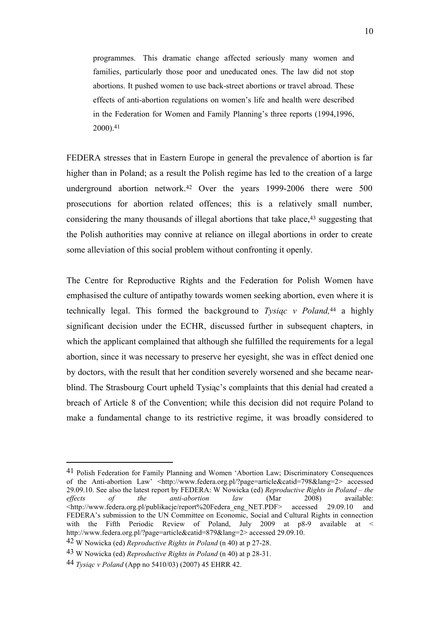programmes. This dramatic change affected seriously many women and families, particularly those poor and uneducated ones. The law did not stop abortions. It pushed women to use back-street abortions or travel abroad. These effects of anti-abortion regulations on women's life and health were described in the Federation for Women and Family Planning's three reports (1994,1996,  $2000$ ).<sup>41</sup>

FEDERA stresses that in Eastern Europe in general the prevalence of abortion is far higher than in Poland; as a result the Polish regime has led to the creation of a large underground abortion network.<sup>42</sup> Over the years 1999-2006 there were 500 prosecutions for abortion related offences; this is a relatively small number, considering the many thousands of illegal abortions that take place,<sup>43</sup> suggesting that the Polish authorities may connive at reliance on illegal abortions in order to create some alleviation of this social problem without confronting it openly.

The Centre for Reproductive Rights and the Federation for Polish Women have emphasised the culture of antipathy towards women seeking abortion, even where it is technically legal. This formed the background to *Tysiąc v Poland,*<sup>44</sup> a highly significant decision under the ECHR, discussed further in subsequent chapters, in which the applicant complained that although she fulfilled the requirements for a legal abortion, since it was necessary to preserve her eyesight, she was in effect denied one by doctors, with the result that her condition severely worsened and she became nearblind. The Strasbourg Court upheld Tysiąc's complaints that this denial had created a breach of Article 8 of the Convention; while this decision did not require Poland to make a fundamental change to its restrictive regime, it was broadly considered to

<sup>41</sup> Polish Federation for Family Planning and Women 'Abortion Law; Discriminatory Consequences of the Anti-abortion Law' <http://www.federa.org.pl/?page=article&catid=798&lang=2> accessed 29.09.10. See also the latest report by FEDERA: W Nowicka (ed) *Reproductive Rights in Poland – the of the anti-abortion law* (Mar 2008) available: <http://www.federa.org.pl/publikacje/report%20Federa\_eng\_NET.PDF> accessed 29.09.10 and FEDERA's submission to the UN Committee on Economic, Social and Cultural Rights in connection with the Fifth Periodic Review of Poland, July 2009 at p8-9 available at < http://www.federa.org.pl/?page=article&catid=879&lang=2> accessed 29.09.10.

<sup>42</sup> W Nowicka (ed) *Reproductive Rights in Poland* (n 40) at p 27-28.

<sup>43</sup> W Nowicka (ed) *Reproductive Rights in Poland* (n 40) at p 28-31.

<sup>44</sup> *Tysiąc v Poland* (App no 5410/03) (2007) 45 EHRR 42.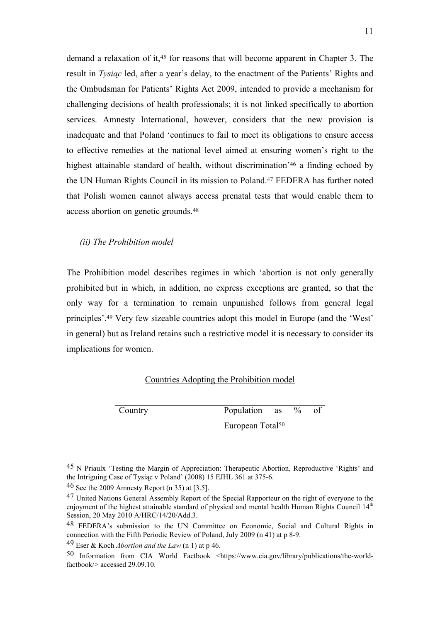demand a relaxation of it,<sup>45</sup> for reasons that will become apparent in Chapter 3. The result in *Tysiąc* led, after a year's delay, to the enactment of the Patients' Rights and the Ombudsman for Patients' Rights Act 2009, intended to provide a mechanism for challenging decisions of health professionals; it is not linked specifically to abortion services. Amnesty International, however, considers that the new provision is inadequate and that Poland 'continues to fail to meet its obligations to ensure access to effective remedies at the national level aimed at ensuring women's right to the highest attainable standard of health, without discrimination'<sup>46</sup> a finding echoed by the UN Human Rights Council in its mission to Poland.<sup>47</sup> FEDERA has further noted that Polish women cannot always access prenatal tests that would enable them to access abortion on genetic grounds.<sup>48</sup>

#### *(ii) The Prohibition model*

The Prohibition model describes regimes in which 'abortion is not only generally prohibited but in which, in addition, no express exceptions are granted, so that the only way for a termination to remain unpunished follows from general legal principles'.<sup>49</sup> Very few sizeable countries adopt this model in Europe (and the 'West' in general) but as Ireland retains such a restrictive model it is necessary to consider its implications for women.

#### Countries Adopting the Prohibition model

| Country | Population as                | $\%$ |  |
|---------|------------------------------|------|--|
|         | European Total <sup>50</sup> |      |  |

<sup>45</sup> N Priaulx 'Testing the Margin of Appreciation: Therapeutic Abortion, Reproductive 'Rights' and the Intriguing Case of Tysiąc v Poland' (2008) 15 EJHL 361 at 375-6.

<sup>46</sup> See the 2009 Amnesty Report (n 35) at [3.5].

<sup>47</sup> United Nations General Assembly Report of the Special Rapporteur on the right of everyone to the enjoyment of the highest attainable standard of physical and mental health Human Rights Council 14<sup>th</sup> Session, 20 May 2010 A/HRC/14/20/Add.3.

<sup>48</sup> FEDERA's submission to the UN Committee on Economic, Social and Cultural Rights in connection with the Fifth Periodic Review of Poland, July 2009 (n 41) at p 8-9.

<sup>49</sup> Eser & Koch *Abortion and the Law* (n 1) at p 46.

<sup>50</sup> Information from CIA World Factbook <https://www.cia.gov/library/publications/the-worldfactbook/> accessed 29.09.10.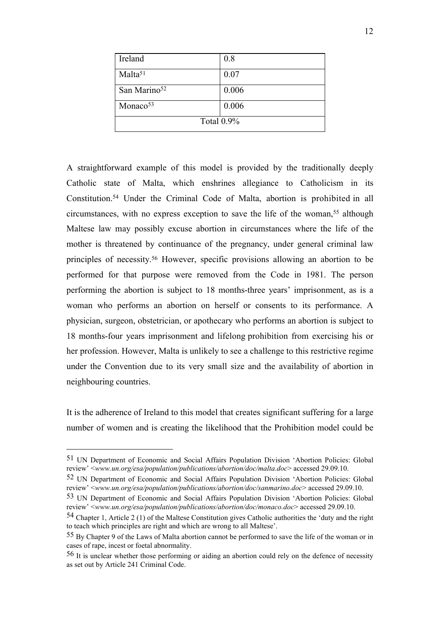| Ireland                  | 0.8   |  |
|--------------------------|-------|--|
| Malta <sup>51</sup>      | 0.07  |  |
| San Marino <sup>52</sup> | 0.006 |  |
| Monaco <sup>53</sup>     | 0.006 |  |
| Total $0.9\%$            |       |  |

A straightforward example of this model is provided by the traditionally deeply Catholic state of Malta, which enshrines allegiance to Catholicism in its Constitution.<sup>54</sup> Under the Criminal Code of Malta, abortion is prohibited in all circumstances, with no express exception to save the life of the woman,<sup>55</sup> although Maltese law may possibly excuse abortion in circumstances where the life of the mother is threatened by continuance of the pregnancy, under general criminal law principles of necessity. <sup>56</sup> However, specific provisions allowing an abortion to be performed for that purpose were removed from the Code in 1981. The person performing the abortion is subject to 18 months-three years' imprisonment, as is a woman who performs an abortion on herself or consents to its performance. A physician, surgeon, obstetrician, or apothecary who performs an abortion is subject to 18 months-four years imprisonment and lifelong prohibition from exercising his or her profession. However, Malta is unlikely to see a challenge to this restrictive regime under the Convention due to its very small size and the availability of abortion in neighbouring countries.

It is the adherence of Ireland to this model that creates significant suffering for a large number of women and is creating the likelihood that the Prohibition model could be

1

<sup>51</sup> UN Department of Economic and Social Affairs Population Division 'Abortion Policies: Global review' <*www.un.org/esa/population/publications/abortion/doc/malta.doc*> accessed 29.09.10.

<sup>52</sup> UN Department of Economic and Social Affairs Population Division 'Abortion Policies: Global review' <*www.un.org/esa/population/publications/abortion/doc/sanmarino.doc*> accessed 29.09.10.

<sup>53</sup> UN Department of Economic and Social Affairs Population Division 'Abortion Policies: Global review' <*www.un.org/esa/population/publications/abortion/doc/monaco.doc*> accessed 29.09.10.

<sup>54</sup> Chapter 1, Article 2 (1) of the Maltese Constitution gives Catholic authorities the 'duty and the right to teach which principles are right and which are wrong to all Maltese'.

<sup>55</sup> By Chapter 9 of the Laws of Malta abortion cannot be performed to save the life of the woman or in cases of rape, incest or foetal abnormality.

<sup>56</sup> It is unclear whether those performing or aiding an abortion could rely on the defence of necessity as set out by Article 241 Criminal Code.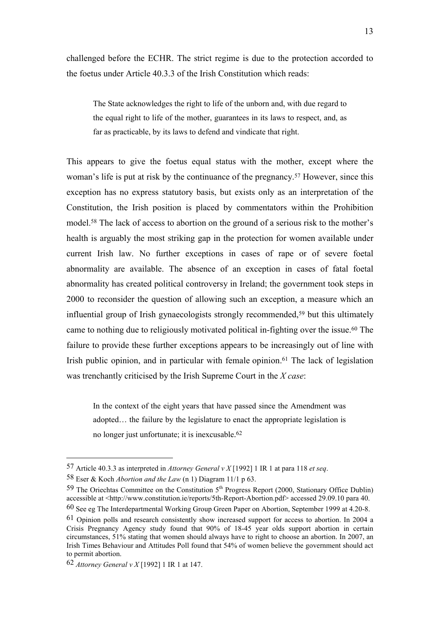challenged before the ECHR. The strict regime is due to the protection accorded to the foetus under Article 40.3.3 of the Irish Constitution which reads:

The State acknowledges the right to life of the unborn and, with due regard to the equal right to life of the mother, guarantees in its laws to respect, and, as far as practicable, by its laws to defend and vindicate that right.

This appears to give the foetus equal status with the mother, except where the woman's life is put at risk by the continuance of the pregnancy. <sup>57</sup> However, since this exception has no express statutory basis, but exists only as an interpretation of the Constitution, the Irish position is placed by commentators within the Prohibition model. <sup>58</sup> The lack of access to abortion on the ground of a serious risk to the mother's health is arguably the most striking gap in the protection for women available under current Irish law. No further exceptions in cases of rape or of severe foetal abnormality are available. The absence of an exception in cases of fatal foetal abnormality has created political controversy in Ireland; the government took steps in 2000 to reconsider the question of allowing such an exception, a measure which an influential group of Irish gynaecologists strongly recommended,<sup>59</sup> but this ultimately came to nothing due to religiously motivated political in-fighting over the issue.<sup>60</sup> The failure to provide these further exceptions appears to be increasingly out of line with Irish public opinion, and in particular with female opinion.<sup>61</sup> The lack of legislation was trenchantly criticised by the Irish Supreme Court in the *X case*:

In the context of the eight years that have passed since the Amendment was adopted… the failure by the legislature to enact the appropriate legislation is no longer just unfortunate; it is inexcusable. 62

<sup>57</sup> Article 40.3.3 as interpreted in *Attorney General v X* [1992] 1 IR 1 at para 118 *et seq*.

<sup>58</sup> Eser & Koch *Abortion and the Law* (n 1) Diagram 11/1 p 63.

<sup>&</sup>lt;sup>59</sup> The Oriechtas Committee on the Constitution  $5<sup>th</sup>$  Progress Report (2000, Stationary Office Dublin) accessible at <http://www.constitution.ie/reports/5th-Report-Abortion.pdf> accessed 29.09.10 para 40.

<sup>60</sup> See eg The Interdepartmental Working Group Green Paper on Abortion, September 1999 at 4.20-8.

<sup>61</sup> Opinion polls and research consistently show increased support for access to abortion. In 2004 a Crisis Pregnancy Agency study found that 90% of 18-45 year olds support abortion in certain circumstances, 51% stating that women should always have to right to choose an abortion. In 2007, an Irish Times Behaviour and Attitudes Poll found that 54% of women believe the government should act to permit abortion.

<sup>62</sup> *Attorney General v X* [1992] 1 IR 1 at 147.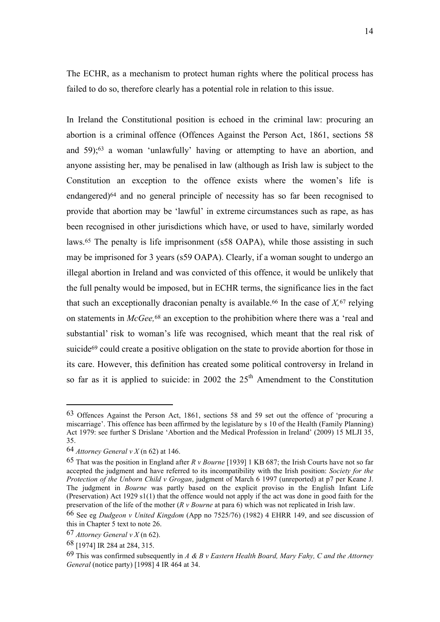The ECHR, as a mechanism to protect human rights where the political process has failed to do so, therefore clearly has a potential role in relation to this issue.

In Ireland the Constitutional position is echoed in the criminal law: procuring an abortion is a criminal offence (Offences Against the Person Act, 1861, sections 58 and 59);<sup>63</sup> a woman 'unlawfully' having or attempting to have an abortion, and anyone assisting her, may be penalised in law (although as Irish law is subject to the Constitution an exception to the offence exists where the women's life is endangered)<sup>64</sup> and no general principle of necessity has so far been recognised to provide that abortion may be 'lawful' in extreme circumstances such as rape, as has been recognised in other jurisdictions which have, or used to have, similarly worded laws. <sup>65</sup> The penalty is life imprisonment (s58 OAPA), while those assisting in such may be imprisoned for 3 years (s59 OAPA). Clearly, if a woman sought to undergo an illegal abortion in Ireland and was convicted of this offence, it would be unlikely that the full penalty would be imposed, but in ECHR terms, the significance lies in the fact that such an exceptionally draconian penalty is available.<sup>66</sup> In the case of  $X$ , <sup>67</sup> relying on statements in *McGee,*<sup>68</sup> an exception to the prohibition where there was a 'real and substantial' risk to woman's life was recognised, which meant that the real risk of suicide<sup>69</sup> could create a positive obligation on the state to provide abortion for those in its care. However, this definition has created some political controversy in Ireland in so far as it is applied to suicide: in 2002 the  $25<sup>th</sup>$  Amendment to the Constitution

<sup>63</sup> Offences Against the Person Act, 1861, sections 58 and 59 set out the offence of 'procuring a miscarriage'. This offence has been affirmed by the legislature by s 10 of the Health (Family Planning) Act 1979: see further S Drislane 'Abortion and the Medical Profession in Ireland' (2009) 15 MLJI 35, 35.

<sup>64</sup> *Attorney General v X* (n 62) at 146.

<sup>65</sup> That was the position in England after *R v Bourne* [1939] 1 KB 687; the Irish Courts have not so far accepted the judgment and have referred to its incompatibility with the Irish position: *Society for the Protection of the Unborn Child v Grogan*, judgment of March 6 1997 (unreported) at p7 per Keane J. The judgment in *Bourne* was partly based on the explicit proviso in the English Infant Life (Preservation) Act 1929 s1(1) that the offence would not apply if the act was done in good faith for the preservation of the life of the mother (*R v Bourne* at para 6) which was not replicated in Irish law.

<sup>66</sup> See eg *Dudgeon v United Kingdom* (App no 7525/76) (1982) 4 EHRR 149, and see discussion of this in Chapter 5 text to note 26.

<sup>67</sup> *Attorney General v X* (n 62).

<sup>68</sup> [1974] IR 284 at 284, 315.

<sup>69</sup> This was confirmed subsequently in *A & B v Eastern Health Board, Mary Fahy, C and the Attorney General* (notice party) [1998] 4 IR 464 at 34.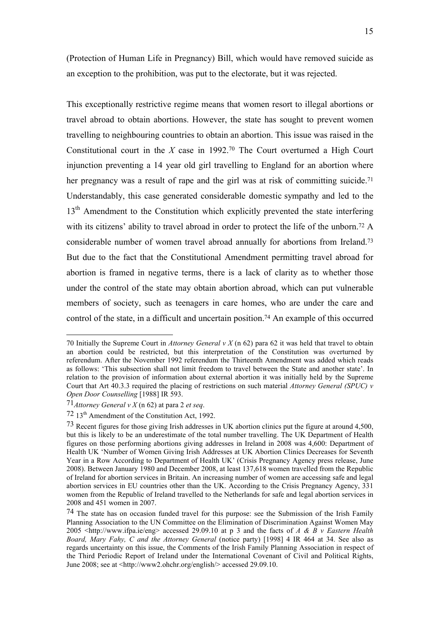(Protection of Human Life in Pregnancy) Bill, which would have removed suicide as an exception to the prohibition, was put to the electorate, but it was rejected.

This exceptionally restrictive regime means that women resort to illegal abortions or travel abroad to obtain abortions. However, the state has sought to prevent women travelling to neighbouring countries to obtain an abortion. This issue was raised in the Constitutional court in the *X* case in 1992.<sup>70</sup> The Court overturned a High Court injunction preventing a 14 year old girl travelling to England for an abortion where her pregnancy was a result of rape and the girl was at risk of committing suicide.<sup>71</sup> Understandably, this case generated considerable domestic sympathy and led to the 13<sup>th</sup> Amendment to the Constitution which explicitly prevented the state interfering with its citizens' ability to travel abroad in order to protect the life of the unborn.<sup>72</sup> A considerable number of women travel abroad annually for abortions from Ireland.<sup>73</sup> But due to the fact that the Constitutional Amendment permitting travel abroad for abortion is framed in negative terms, there is a lack of clarity as to whether those under the control of the state may obtain abortion abroad, which can put vulnerable members of society, such as teenagers in care homes, who are under the care and control of the state, in a difficult and uncertain position.<sup>74</sup> An example of this occurred

<sup>70</sup> Initially the Supreme Court in *Attorney General v X* (n 62) para 62 it was held that travel to obtain an abortion could be restricted, but this interpretation of the Constitution was overturned by referendum. After the November 1992 referendum the Thirteenth Amendment was added which reads as follows: 'This subsection shall not limit freedom to travel between the State and another state'. In relation to the provision of information about external abortion it was initially held by the Supreme Court that Art 40.3.3 required the placing of restrictions on such material *Attorney General (SPUC) v Open Door Counselling* [1988] IR 593.

<sup>71</sup>*Attorney General v X* (n 62) at para 2 *et seq*.

<sup>72</sup> 13th Amendment of the Constitution Act, 1992.

<sup>73</sup> Recent figures for those giving Irish addresses in UK abortion clinics put the figure at around 4,500, but this is likely to be an underestimate of the total number travelling. The UK Department of Health figures on those performing abortions giving addresses in Ireland in 2008 was 4,600: Department of Health UK 'Number of Women Giving Irish Addresses at UK Abortion Clinics Decreases for Seventh Year in a Row According to Department of Health UK' (Crisis Pregnancy Agency press release, June 2008). Between January 1980 and December 2008, at least 137,618 women travelled from the Republic of Ireland for abortion services in Britain. An increasing number of women are accessing safe and legal abortion services in EU countries other than the UK. According to the Crisis Pregnancy Agency, 331 women from the Republic of Ireland travelled to the Netherlands for safe and legal abortion services in 2008 and 451 women in 2007.

<sup>74</sup> The state has on occasion funded travel for this purpose: see the Submission of the Irish Family Planning Association to the UN Committee on the Elimination of Discrimination Against Women May 2005 <http://www.ifpa.ie/eng> accessed 29.09.10 at p 3 and the facts of *A & B v Eastern Health Board, Mary Fahy, C and the Attorney General* (notice party) [1998] 4 IR 464 at 34. See also as regards uncertainty on this issue, the Comments of the Irish Family Planning Association in respect of the Third Periodic Report of Ireland under the International Covenant of Civil and Political Rights, June 2008; see at <http://www2.ohchr.org/english/> accessed 29.09.10.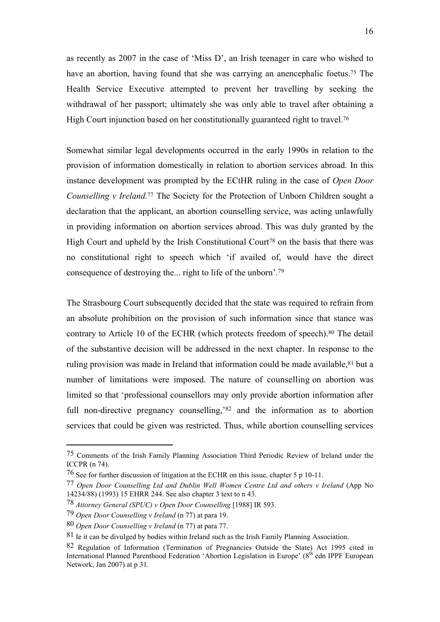as recently as 2007 in the case of 'Miss D', an Irish teenager in care who wished to have an abortion, having found that she was carrying an anencephalic foetus.<sup>75</sup> The Health Service Executive attempted to prevent her travelling by seeking the withdrawal of her passport; ultimately she was only able to travel after obtaining a High Court injunction based on her constitutionally guaranteed right to travel.<sup>76</sup>

Somewhat similar legal developments occurred in the early 1990s in relation to the provision of information domestically in relation to abortion services abroad. In this instance development was prompted by the ECtHR ruling in the case of *Open Door Counselling v Ireland.*<sup>77</sup> The Society for the Protection of Unborn Children sought a declaration that the applicant, an abortion counselling service, was acting unlawfully in providing information on abortion services abroad. This was duly granted by the High Court and upheld by the Irish Constitutional Court<sup>78</sup> on the basis that there was no constitutional right to speech which 'if availed of, would have the direct consequence of destroying the... right to life of the unborn'.<sup>79</sup>

The Strasbourg Court subsequently decided that the state was required to refrain from an absolute prohibition on the provision of such information since that stance was contrary to Article 10 of the ECHR (which protects freedom of speech).<sup>80</sup> The detail of the substantive decision will be addressed in the next chapter. In response to the ruling provision was made in Ireland that information could be made available,<sup>81</sup> but a number of limitations were imposed. The nature of counselling on abortion was limited so that 'professional counsellors may only provide abortion information after full non-directive pregnancy counselling, <sup>82</sup> and the information as to abortion services that could be given was restricted. Thus, while abortion counselling services

1

<sup>75</sup> Comments of the Irish Family Planning Association Third Periodic Review of Ireland under the ICCPR (n 74).

<sup>76</sup> See for further discussion of litigation at the ECHR on this issue, chapter 5 p 10-11.

<sup>77</sup> *Open Door Counselling Ltd and Dublin Well Women Centre Ltd and others v Ireland* (App No 14234/88) (1993) 15 EHRR 244. See also chapter 3 text to n 43.

<sup>78</sup> *Attorney General (SPUC) v Open Door Counselling* [1988] IR 593.

<sup>79</sup> *Open Door Counselling v Ireland* (n 77) at para 19.

<sup>80</sup> *Open Door Counselling v Ireland* (n 77) at para 77.

<sup>81</sup> Ie it can be divulged by bodies within Ireland such as the Irish Family Planning Association.

<sup>82</sup> Regulation of Information (Termination of Pregnancies Outside the State) Act 1995 cited in International Planned Parenthood Federation 'Abortion Legislation in Europe' (8<sup>th</sup> edn IPPF European Network, Jan 2007) at p 31.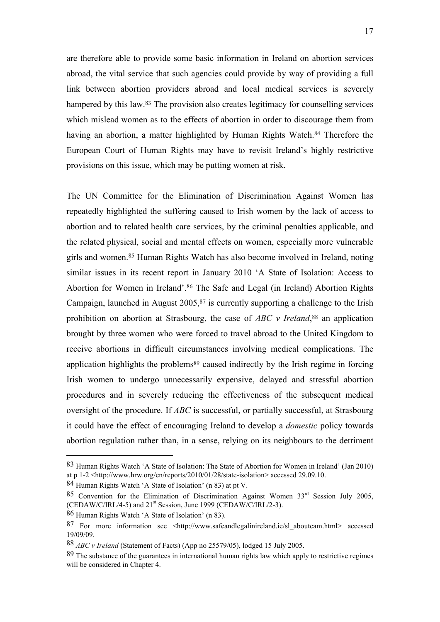are therefore able to provide some basic information in Ireland on abortion services abroad, the vital service that such agencies could provide by way of providing a full link between abortion providers abroad and local medical services is severely hampered by this law.<sup>83</sup> The provision also creates legitimacy for counselling services which mislead women as to the effects of abortion in order to discourage them from having an abortion, a matter highlighted by Human Rights Watch.<sup>84</sup> Therefore the European Court of Human Rights may have to revisit Ireland's highly restrictive provisions on this issue, which may be putting women at risk.

The UN Committee for the Elimination of Discrimination Against Women has repeatedly highlighted the suffering caused to Irish women by the lack of access to abortion and to related health care services, by the criminal penalties applicable, and the related physical, social and mental effects on women, especially more vulnerable girls and women.<sup>85</sup> Human Rights Watch has also become involved in Ireland, noting similar issues in its recent report in January 2010 'A State of Isolation: Access to Abortion for Women in Ireland'.<sup>86</sup> The Safe and Legal (in Ireland) Abortion Rights Campaign, launched in August 2005,<sup>87</sup> is currently supporting a challenge to the Irish prohibition on abortion at Strasbourg, the case of *ABC v Ireland*, <sup>88</sup> an application brought by three women who were forced to travel abroad to the United Kingdom to receive abortions in difficult circumstances involving medical complications. The application highlights the problems<sup>89</sup> caused indirectly by the Irish regime in forcing Irish women to undergo unnecessarily expensive, delayed and stressful abortion procedures and in severely reducing the effectiveness of the subsequent medical oversight of the procedure. If *ABC* is successful, or partially successful, at Strasbourg it could have the effect of encouraging Ireland to develop a *domestic* policy towards abortion regulation rather than, in a sense, relying on its neighbours to the detriment

<sup>83</sup> Human Rights Watch 'A State of Isolation: The State of Abortion for Women in Ireland' (Jan 2010) at p 1-2 <http://www.hrw.org/en/reports/2010/01/28/state-isolation> accessed 29.09.10.

<sup>84</sup> Human Rights Watch 'A State of Isolation' (n 83) at pt V.

<sup>85</sup> Convention for the Elimination of Discrimination Against Women 33<sup>rd</sup> Session July 2005, (CEDAW/C/IRL/4-5) and 21st Session, June 1999 (CEDAW/C/IRL/2-3).

<sup>86</sup> Human Rights Watch 'A State of Isolation' (n 83).

<sup>87</sup> For more information see <http://www.safeandlegalinireland.ie/sl aboutcam.html> accessed 19/09/09.

<sup>88</sup> *ABC v Ireland* (Statement of Facts) (App no 25579/05), lodged 15 July 2005.

<sup>89</sup> The substance of the guarantees in international human rights law which apply to restrictive regimes will be considered in Chapter 4.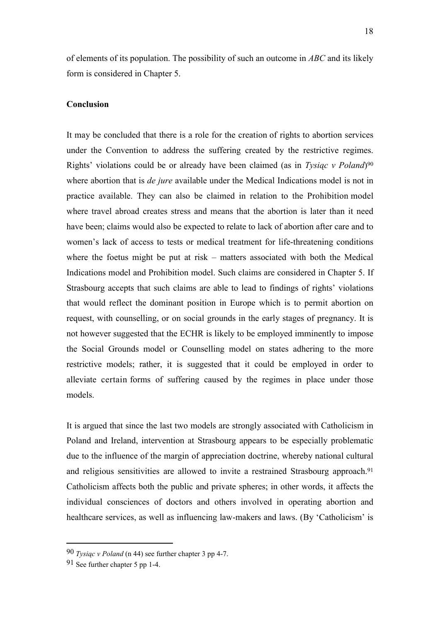of elements of its population. The possibility of such an outcome in *ABC* and its likely form is considered in Chapter 5.

#### **Conclusion**

It may be concluded that there is a role for the creation of rights to abortion services under the Convention to address the suffering created by the restrictive regimes. Rights' violations could be or already have been claimed (as in *Tysiąc v Poland*) 90 where abortion that is *de jure* available under the Medical Indications model is not in practice available. They can also be claimed in relation to the Prohibition model where travel abroad creates stress and means that the abortion is later than it need have been; claims would also be expected to relate to lack of abortion after care and to women's lack of access to tests or medical treatment for life-threatening conditions where the foetus might be put at risk – matters associated with both the Medical Indications model and Prohibition model. Such claims are considered in Chapter 5. If Strasbourg accepts that such claims are able to lead to findings of rights' violations that would reflect the dominant position in Europe which is to permit abortion on request, with counselling, or on social grounds in the early stages of pregnancy. It is not however suggested that the ECHR is likely to be employed imminently to impose the Social Grounds model or Counselling model on states adhering to the more restrictive models; rather, it is suggested that it could be employed in order to alleviate certain forms of suffering caused by the regimes in place under those models.

It is argued that since the last two models are strongly associated with Catholicism in Poland and Ireland, intervention at Strasbourg appears to be especially problematic due to the influence of the margin of appreciation doctrine, whereby national cultural and religious sensitivities are allowed to invite a restrained Strasbourg approach.<sup>91</sup> Catholicism affects both the public and private spheres; in other words, it affects the individual consciences of doctors and others involved in operating abortion and healthcare services, as well as influencing law-makers and laws. (By 'Catholicism' is

<sup>90</sup> *Tysiąc v Poland* (n 44) see further chapter 3 pp 4-7.

<sup>91</sup> See further chapter 5 pp 1-4.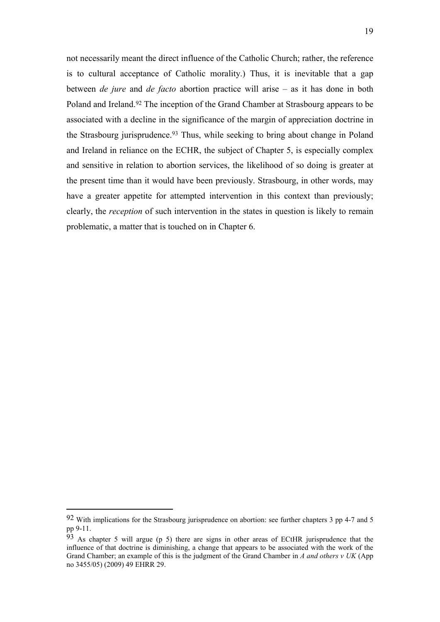not necessarily meant the direct influence of the Catholic Church; rather, the reference is to cultural acceptance of Catholic morality.) Thus, it is inevitable that a gap between *de jure* and *de facto* abortion practice will arise – as it has done in both Poland and Ireland.<sup>92</sup> The inception of the Grand Chamber at Strasbourg appears to be associated with a decline in the significance of the margin of appreciation doctrine in the Strasbourg jurisprudence.<sup>93</sup> Thus, while seeking to bring about change in Poland and Ireland in reliance on the ECHR, the subject of Chapter 5, is especially complex and sensitive in relation to abortion services, the likelihood of so doing is greater at the present time than it would have been previously. Strasbourg, in other words, may have a greater appetite for attempted intervention in this context than previously; clearly, the *reception* of such intervention in the states in question is likely to remain problematic, a matter that is touched on in Chapter 6.

1

<sup>92</sup> With implications for the Strasbourg jurisprudence on abortion: see further chapters 3 pp 4-7 and 5 pp 9-11.

<sup>93</sup> As chapter 5 will argue (p 5) there are signs in other areas of ECtHR jurisprudence that the influence of that doctrine is diminishing, a change that appears to be associated with the work of the Grand Chamber; an example of this is the judgment of the Grand Chamber in *A and others v UK* (App no 3455/05) (2009) 49 EHRR 29.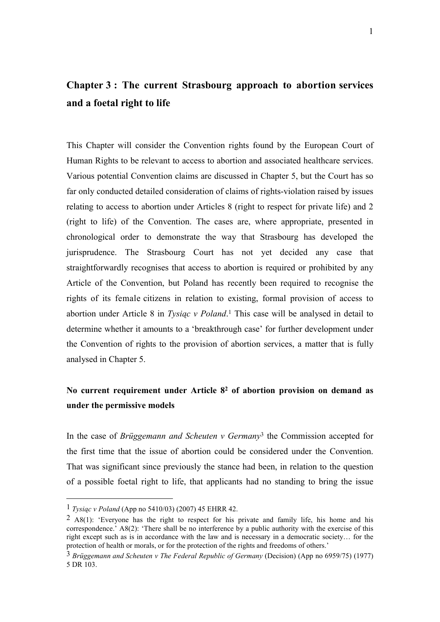## **Chapter 3 : The current Strasbourg approach to abortion services and a foetal right to life**

This Chapter will consider the Convention rights found by the European Court of Human Rights to be relevant to access to abortion and associated healthcare services. Various potential Convention claims are discussed in Chapter 5, but the Court has so far only conducted detailed consideration of claims of rights-violation raised by issues relating to access to abortion under Articles 8 (right to respect for private life) and 2 (right to life) of the Convention. The cases are, where appropriate, presented in chronological order to demonstrate the way that Strasbourg has developed the jurisprudence. The Strasbourg Court has not yet decided any case that straightforwardly recognises that access to abortion is required or prohibited by any Article of the Convention, but Poland has recently been required to recognise the rights of its female citizens in relation to existing, formal provision of access to abortion under Article 8 in *Tysiąc v Poland*. <sup>1</sup> This case will be analysed in detail to determine whether it amounts to a 'breakthrough case' for further development under the Convention of rights to the provision of abortion services, a matter that is fully analysed in Chapter 5.

### **No current requirement under Article 8<sup>2</sup> of abortion provision on demand as under the permissive models**

In the case of *Brüggemann and Scheuten v Germany*<sup>3</sup> the Commission accepted for the first time that the issue of abortion could be considered under the Convention. That was significant since previously the stance had been, in relation to the question of a possible foetal right to life, that applicants had no standing to bring the issue

<sup>1</sup> *Tysiąc v Poland* (App no 5410/03) (2007) 45 EHRR 42.

<sup>&</sup>lt;sup>2</sup> A8(1): 'Everyone has the right to respect for his private and family life, his home and his correspondence.' A8(2): 'There shall be no interference by a public authority with the exercise of this right except such as is in accordance with the law and is necessary in a democratic society… for the protection of health or morals, or for the protection of the rights and freedoms of others.'

<sup>3</sup> *Brüggemann and Scheuten v The Federal Republic of Germany* (Decision) (App no 6959/75) (1977) 5 DR 103.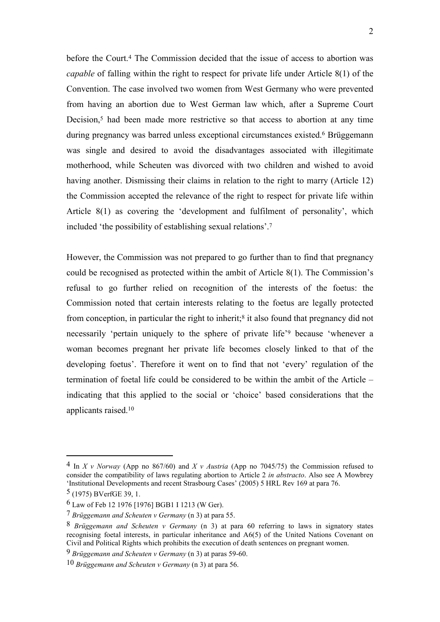before the Court.<sup>4</sup> The Commission decided that the issue of access to abortion was *capable* of falling within the right to respect for private life under Article 8(1) of the Convention. The case involved two women from West Germany who were prevented from having an abortion due to West German law which, after a Supreme Court Decision,<sup>5</sup> had been made more restrictive so that access to abortion at any time during pregnancy was barred unless exceptional circumstances existed.<sup>6</sup> Brüggemann was single and desired to avoid the disadvantages associated with illegitimate motherhood, while Scheuten was divorced with two children and wished to avoid having another. Dismissing their claims in relation to the right to marry (Article 12) the Commission accepted the relevance of the right to respect for private life within Article 8(1) as covering the 'development and fulfilment of personality', which included 'the possibility of establishing sexual relations'.<sup>7</sup>

However, the Commission was not prepared to go further than to find that pregnancy could be recognised as protected within the ambit of Article 8(1). The Commission's refusal to go further relied on recognition of the interests of the foetus: the Commission noted that certain interests relating to the foetus are legally protected from conception, in particular the right to inherit;<sup>8</sup> it also found that pregnancy did not necessarily 'pertain uniquely to the sphere of private life'<sup>9</sup> because 'whenever a woman becomes pregnant her private life becomes closely linked to that of the developing foetus'. Therefore it went on to find that not 'every' regulation of the termination of foetal life could be considered to be within the ambit of the Article – indicating that this applied to the social or 'choice' based considerations that the applicants raised.<sup>10</sup>

<sup>4</sup> In *X v Norway* (App no 867/60) and *X v Austria* (App no 7045/75) the Commission refused to consider the compatibility of laws regulating abortion to Article 2 *in abstracto*. Also see A Mowbrey 'Institutional Developments and recent Strasbourg Cases' (2005) 5 HRL Rev 169 at para 76.

<sup>5</sup> (1975) BVerfGE 39, 1.

<sup>6</sup> Law of Feb 12 1976 [1976] BGB1 I 1213 (W Ger).

<sup>7</sup> *Brüggemann and Scheuten v Germany* (n 3) at para 55.

<sup>8</sup> *Brüggemann and Scheuten v Germany* (n 3) at para 60 referring to laws in signatory states recognising foetal interests, in particular inheritance and A6(5) of the United Nations Covenant on Civil and Political Rights which prohibits the execution of death sentences on pregnant women.

<sup>9</sup> *Brüggemann and Scheuten v Germany* (n 3) at paras 59-60.

<sup>10</sup> *Brüggemann and Scheuten v Germany* (n 3) at para 56.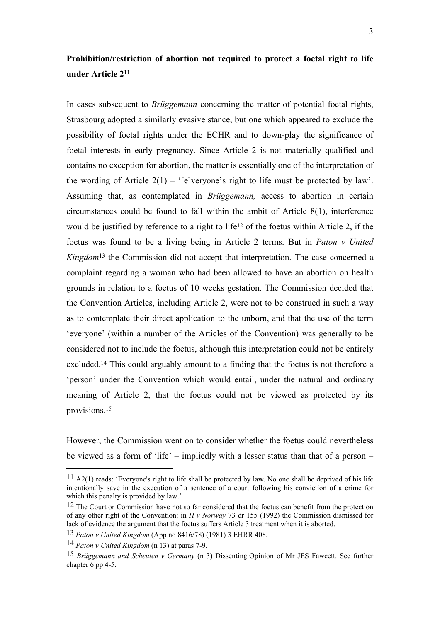### **Prohibition/restriction of abortion not required to protect a foetal right to life under Article 2<sup>11</sup>**

In cases subsequent to *Brüggemann* concerning the matter of potential foetal rights, Strasbourg adopted a similarly evasive stance, but one which appeared to exclude the possibility of foetal rights under the ECHR and to down-play the significance of foetal interests in early pregnancy. Since Article 2 is not materially qualified and contains no exception for abortion, the matter is essentially one of the interpretation of the wording of Article  $2(1)$  – '[e]veryone's right to life must be protected by law'. Assuming that, as contemplated in *Brüggemann,* access to abortion in certain circumstances could be found to fall within the ambit of Article 8(1), interference would be justified by reference to a right to life<sup>12</sup> of the foetus within Article 2, if the foetus was found to be a living being in Article 2 terms. But in *Paton v United Kingdom*<sup>13</sup> the Commission did not accept that interpretation. The case concerned a complaint regarding a woman who had been allowed to have an abortion on health grounds in relation to a foetus of 10 weeks gestation. The Commission decided that the Convention Articles, including Article 2, were not to be construed in such a way as to contemplate their direct application to the unborn, and that the use of the term 'everyone' (within a number of the Articles of the Convention) was generally to be considered not to include the foetus, although this interpretation could not be entirely excluded.<sup>14</sup> This could arguably amount to a finding that the foetus is not therefore a 'person' under the Convention which would entail, under the natural and ordinary meaning of Article 2, that the foetus could not be viewed as protected by its provisions.<sup>15</sup>

However, the Commission went on to consider whether the foetus could nevertheless be viewed as a form of 'life' – impliedly with a lesser status than that of a person –

 $11$  A2(1) reads: 'Everyone's right to life shall be protected by law. No one shall be deprived of his life intentionally save in the execution of a sentence of a court following his conviction of a crime for which this penalty is provided by law.'

<sup>&</sup>lt;sup>12</sup> The Court or Commission have not so far considered that the foetus can benefit from the protection of any other right of the Convention: in *H v Norway* 73 dr 155 (1992) the Commission dismissed for lack of evidence the argument that the foetus suffers Article 3 treatment when it is aborted.

<sup>13</sup> *Paton v United Kingdom* (App no 8416/78) (1981) 3 EHRR 408.

<sup>14</sup> *Paton v United Kingdom* (n 13) at paras 7-9.

<sup>15</sup> *Brüggemann and Scheuten v Germany* (n 3) Dissenting Opinion of Mr JES Fawcett. See further chapter 6 pp 4-5.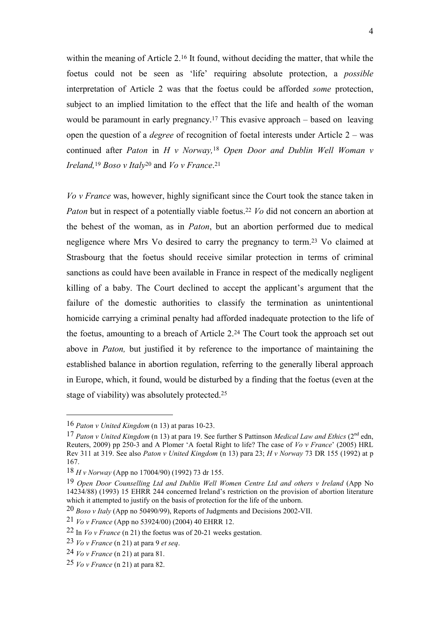within the meaning of Article 2.<sup>16</sup> It found, without deciding the matter, that while the foetus could not be seen as 'life' requiring absolute protection, a *possible* interpretation of Article 2 was that the foetus could be afforded *some* protection, subject to an implied limitation to the effect that the life and health of the woman would be paramount in early pregnancy. <sup>17</sup> This evasive approach – based on leaving open the question of a *degree* of recognition of foetal interests under Article 2 – was continued after *Paton* in *H v Norway,*<sup>18</sup> *Open Door and Dublin Well Woman v Ireland,*<sup>19</sup> *Boso v Italy*<sup>20</sup> and *Vo v France*. 21

*Vo v France* was, however, highly significant since the Court took the stance taken in *Paton* but in respect of a potentially viable foetus.<sup>22</sup> *Vo* did not concern an abortion at the behest of the woman, as in *Paton*, but an abortion performed due to medical negligence where Mrs Vo desired to carry the pregnancy to term.<sup>23</sup> Vo claimed at Strasbourg that the foetus should receive similar protection in terms of criminal sanctions as could have been available in France in respect of the medically negligent killing of a baby. The Court declined to accept the applicant's argument that the failure of the domestic authorities to classify the termination as unintentional homicide carrying a criminal penalty had afforded inadequate protection to the life of the foetus, amounting to a breach of Article 2.<sup>24</sup> The Court took the approach set out above in *Paton,* but justified it by reference to the importance of maintaining the established balance in abortion regulation, referring to the generally liberal approach in Europe, which, it found, would be disturbed by a finding that the foetus (even at the stage of viability) was absolutely protected.<sup>25</sup>

<sup>16</sup> *Paton v United Kingdom* (n 13) at paras 10-23.

<sup>17</sup> *Paton v United Kingdom* (n 13) at para 19. See further S Pattinson *Medical Law and Ethics* (2nd edn, Reuters, 2009) pp 250-3 and A Plomer 'A foetal Right to life? The case of *Vo v France*' (2005) HRL Rev 311 at 319. See also *Paton v United Kingdom* (n 13) para 23; *H v Norway* 73 DR 155 (1992) at p 167.

<sup>18</sup> *H v Norway* (App no 17004/90) (1992) 73 dr 155.

<sup>19</sup> *Open Door Counselling Ltd and Dublin Well Women Centre Ltd and others v Ireland* (App No 14234/88) (1993) 15 EHRR 244 concerned Ireland's restriction on the provision of abortion literature which it attempted to justify on the basis of protection for the life of the unborn.

<sup>20</sup> *Boso v Italy* (App no 50490/99), Reports of Judgments and Decisions 2002-VII.

<sup>21</sup> *Vo v France* (App no 53924/00) (2004) 40 EHRR 12.

<sup>22</sup> In *Vo v France* (n 21) the foetus was of 20-21 weeks gestation.

<sup>23</sup> *Vo v France* (n 21) at para 9 *et seq*.

<sup>24</sup> *Vo v France* (n 21) at para 81.

<sup>25</sup> *Vo v France* (n 21) at para 82.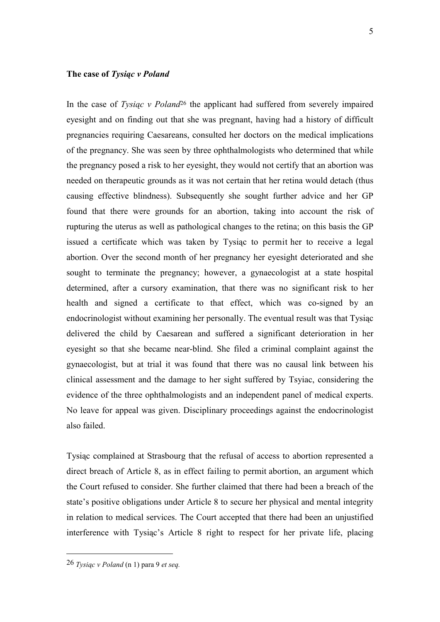#### **The case of** *Tysiąc v Poland*

In the case of *Tysiąc v Poland*<sup>26</sup> the applicant had suffered from severely impaired eyesight and on finding out that she was pregnant, having had a history of difficult pregnancies requiring Caesareans, consulted her doctors on the medical implications of the pregnancy. She was seen by three ophthalmologists who determined that while the pregnancy posed a risk to her eyesight, they would not certify that an abortion was needed on therapeutic grounds as it was not certain that her retina would detach (thus causing effective blindness). Subsequently she sought further advice and her GP found that there were grounds for an abortion, taking into account the risk of rupturing the uterus as well as pathological changes to the retina; on this basis the GP issued a certificate which was taken by Tysiąc to permit her to receive a legal abortion. Over the second month of her pregnancy her eyesight deteriorated and she sought to terminate the pregnancy; however, a gynaecologist at a state hospital determined, after a cursory examination, that there was no significant risk to her health and signed a certificate to that effect, which was co-signed by an endocrinologist without examining her personally. The eventual result was that Tysiąc delivered the child by Caesarean and suffered a significant deterioration in her eyesight so that she became near-blind. She filed a criminal complaint against the gynaecologist, but at trial it was found that there was no causal link between his clinical assessment and the damage to her sight suffered by Tsyiac, considering the evidence of the three ophthalmologists and an independent panel of medical experts. No leave for appeal was given. Disciplinary proceedings against the endocrinologist also failed.

Tysiąc complained at Strasbourg that the refusal of access to abortion represented a direct breach of Article 8, as in effect failing to permit abortion, an argument which the Court refused to consider. She further claimed that there had been a breach of the state's positive obligations under Article 8 to secure her physical and mental integrity in relation to medical services. The Court accepted that there had been an unjustified interference with Tysiąc's Article 8 right to respect for her private life, placing

<sup>26</sup> *Tysiąc v Poland* (n 1) para 9 *et seq.*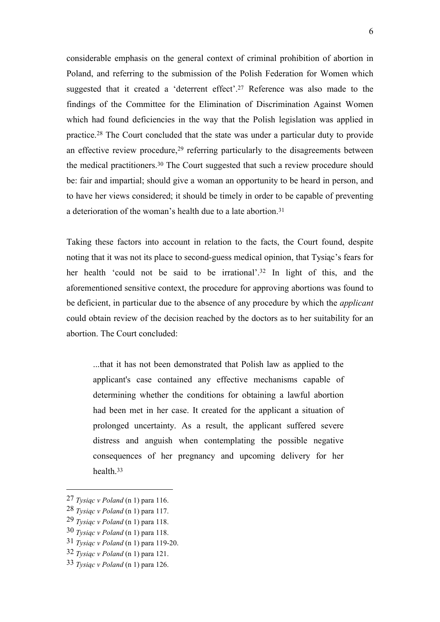considerable emphasis on the general context of criminal prohibition of abortion in Poland, and referring to the submission of the Polish Federation for Women which suggested that it created a 'deterrent effect'.<sup>27</sup> Reference was also made to the findings of the Committee for the Elimination of Discrimination Against Women which had found deficiencies in the way that the Polish legislation was applied in practice.<sup>28</sup> The Court concluded that the state was under a particular duty to provide an effective review procedure,<sup>29</sup> referring particularly to the disagreements between the medical practitioners.<sup>30</sup> The Court suggested that such a review procedure should be: fair and impartial; should give a woman an opportunity to be heard in person, and to have her views considered; it should be timely in order to be capable of preventing a deterioration of the woman's health due to a late abortion.<sup>31</sup>

Taking these factors into account in relation to the facts, the Court found, despite noting that it was not its place to second-guess medical opinion, that Tysiąc's fears for her health 'could not be said to be irrational'.<sup>32</sup> In light of this, and the aforementioned sensitive context, the procedure for approving abortions was found to be deficient, in particular due to the absence of any procedure by which the *applicant*  could obtain review of the decision reached by the doctors as to her suitability for an abortion. The Court concluded:

...that it has not been demonstrated that Polish law as applied to the applicant's case contained any effective mechanisms capable of determining whether the conditions for obtaining a lawful abortion had been met in her case. It created for the applicant a situation of prolonged uncertainty. As a result, the applicant suffered severe distress and anguish when contemplating the possible negative consequences of her pregnancy and upcoming delivery for her health.<sup>33</sup>

<sup>27</sup> *Tysiąc v Poland* (n 1) para 116.

<sup>28</sup> *Tysiąc v Poland* (n 1) para 117.

<sup>29</sup> *Tysiąc v Poland* (n 1) para 118.

<sup>30</sup> *Tysiąc v Poland* (n 1) para 118.

<sup>31</sup> *Tysiąc v Poland* (n 1) para 119-20.

<sup>32</sup> *Tysiąc v Poland* (n 1) para 121.

<sup>33</sup> *Tysiąc v Poland* (n 1) para 126.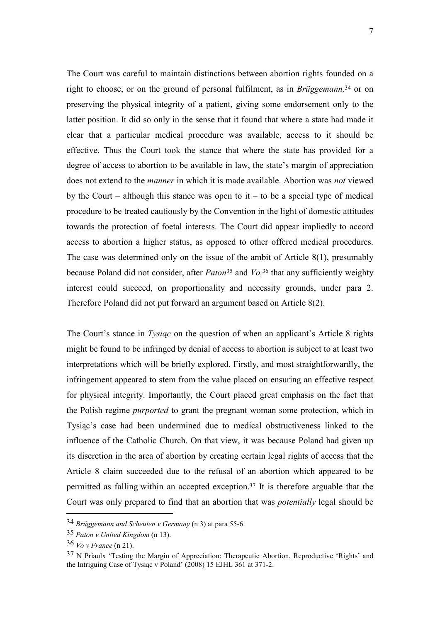The Court was careful to maintain distinctions between abortion rights founded on a right to choose, or on the ground of personal fulfilment, as in *Brüggemann,*<sup>34</sup> or on preserving the physical integrity of a patient, giving some endorsement only to the latter position. It did so only in the sense that it found that where a state had made it clear that a particular medical procedure was available, access to it should be effective. Thus the Court took the stance that where the state has provided for a degree of access to abortion to be available in law, the state's margin of appreciation does not extend to the *manner* in which it is made available. Abortion was *not* viewed by the Court – although this stance was open to it – to be a special type of medical procedure to be treated cautiously by the Convention in the light of domestic attitudes towards the protection of foetal interests. The Court did appear impliedly to accord access to abortion a higher status, as opposed to other offered medical procedures. The case was determined only on the issue of the ambit of Article 8(1), presumably because Poland did not consider, after *Paton*<sup>35</sup> and *Vo,* <sup>36</sup> that any sufficiently weighty interest could succeed, on proportionality and necessity grounds, under para 2. Therefore Poland did not put forward an argument based on Article 8(2).

The Court's stance in *Tysiąc* on the question of when an applicant's Article 8 rights might be found to be infringed by denial of access to abortion is subject to at least two interpretations which will be briefly explored. Firstly, and most straightforwardly, the infringement appeared to stem from the value placed on ensuring an effective respect for physical integrity. Importantly, the Court placed great emphasis on the fact that the Polish regime *purported* to grant the pregnant woman some protection, which in Tysiąc's case had been undermined due to medical obstructiveness linked to the influence of the Catholic Church. On that view, it was because Poland had given up its discretion in the area of abortion by creating certain legal rights of access that the Article 8 claim succeeded due to the refusal of an abortion which appeared to be permitted as falling within an accepted exception.<sup>37</sup> It is therefore arguable that the Court was only prepared to find that an abortion that was *potentially* legal should be

<sup>34</sup> *Brüggemann and Scheuten v Germany* (n 3) at para 55-6.

<sup>35</sup> *Paton v United Kingdom* (n 13).

<sup>36</sup> *Vo v France* (n 21).

<sup>37</sup> N Priaulx 'Testing the Margin of Appreciation: Therapeutic Abortion, Reproductive 'Rights' and the Intriguing Case of Tysiąc v Poland' (2008) 15 EJHL 361 at 371-2.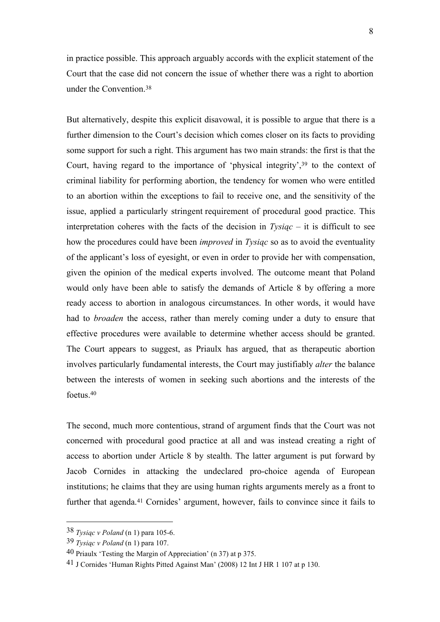in practice possible. This approach arguably accords with the explicit statement of the Court that the case did not concern the issue of whether there was a right to abortion under the Convention. 38

But alternatively, despite this explicit disavowal, it is possible to argue that there is a further dimension to the Court's decision which comes closer on its facts to providing some support for such a right. This argument has two main strands: the first is that the Court, having regard to the importance of 'physical integrity',<sup>39</sup> to the context of criminal liability for performing abortion, the tendency for women who were entitled to an abortion within the exceptions to fail to receive one, and the sensitivity of the issue, applied a particularly stringent requirement of procedural good practice. This interpretation coheres with the facts of the decision in *Tysiąc* – it is difficult to see how the procedures could have been *improved* in *Tysiąc* so as to avoid the eventuality of the applicant's loss of eyesight, or even in order to provide her with compensation, given the opinion of the medical experts involved. The outcome meant that Poland would only have been able to satisfy the demands of Article 8 by offering a more ready access to abortion in analogous circumstances. In other words, it would have had to *broaden* the access, rather than merely coming under a duty to ensure that effective procedures were available to determine whether access should be granted. The Court appears to suggest, as Priaulx has argued, that as therapeutic abortion involves particularly fundamental interests, the Court may justifiably *alter* the balance between the interests of women in seeking such abortions and the interests of the foetus.<sup>40</sup>

The second, much more contentious, strand of argument finds that the Court was not concerned with procedural good practice at all and was instead creating a right of access to abortion under Article 8 by stealth. The latter argument is put forward by Jacob Cornides in attacking the undeclared pro-choice agenda of European institutions; he claims that they are using human rights arguments merely as a front to further that agenda.<sup>41</sup> Cornides' argument, however, fails to convince since it fails to

<sup>38</sup> *Tysiąc v Poland* (n 1) para 105-6.

<sup>39</sup> *Tysiąc v Poland* (n 1) para 107.

<sup>40</sup> Priaulx 'Testing the Margin of Appreciation' (n 37) at p 375.

<sup>41</sup> J Cornides 'Human Rights Pitted Against Man' (2008) 12 Int J HR 1 107 at p 130.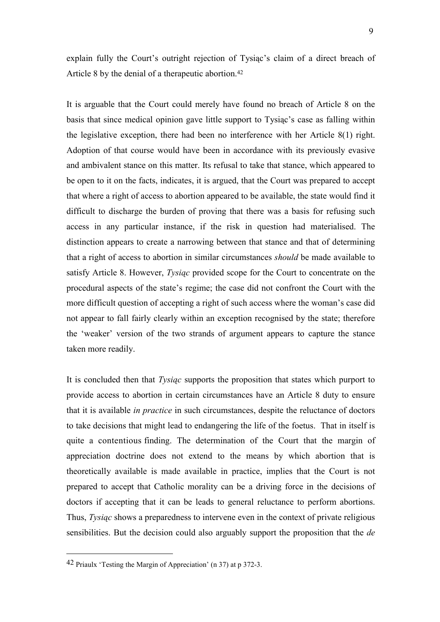explain fully the Court's outright rejection of Tysiąc's claim of a direct breach of Article 8 by the denial of a therapeutic abortion.<sup>42</sup>

It is arguable that the Court could merely have found no breach of Article 8 on the basis that since medical opinion gave little support to Tysiąc's case as falling within the legislative exception, there had been no interference with her Article 8(1) right. Adoption of that course would have been in accordance with its previously evasive and ambivalent stance on this matter. Its refusal to take that stance, which appeared to be open to it on the facts, indicates, it is argued, that the Court was prepared to accept that where a right of access to abortion appeared to be available, the state would find it difficult to discharge the burden of proving that there was a basis for refusing such access in any particular instance, if the risk in question had materialised. The distinction appears to create a narrowing between that stance and that of determining that a right of access to abortion in similar circumstances *should* be made available to satisfy Article 8. However, *Tysiąc* provided scope for the Court to concentrate on the procedural aspects of the state's regime; the case did not confront the Court with the more difficult question of accepting a right of such access where the woman's case did not appear to fall fairly clearly within an exception recognised by the state; therefore the 'weaker' version of the two strands of argument appears to capture the stance taken more readily.

It is concluded then that *Tysiąc* supports the proposition that states which purport to provide access to abortion in certain circumstances have an Article 8 duty to ensure that it is available *in practice* in such circumstances, despite the reluctance of doctors to take decisions that might lead to endangering the life of the foetus. That in itself is quite a contentious finding. The determination of the Court that the margin of appreciation doctrine does not extend to the means by which abortion that is theoretically available is made available in practice, implies that the Court is not prepared to accept that Catholic morality can be a driving force in the decisions of doctors if accepting that it can be leads to general reluctance to perform abortions. Thus, *Tysiąc* shows a preparedness to intervene even in the context of private religious sensibilities. But the decision could also arguably support the proposition that the *de* 

<sup>42</sup> Priaulx 'Testing the Margin of Appreciation' (n 37) at p 372-3.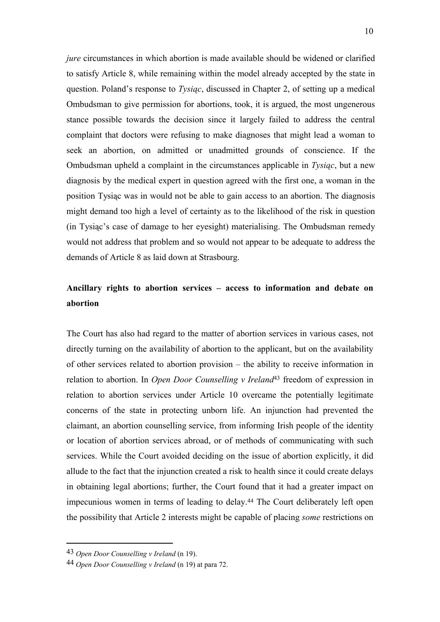*jure* circumstances in which abortion is made available should be widened or clarified to satisfy Article 8, while remaining within the model already accepted by the state in question. Poland's response to *Tysiąc*, discussed in Chapter 2, of setting up a medical Ombudsman to give permission for abortions, took, it is argued, the most ungenerous stance possible towards the decision since it largely failed to address the central complaint that doctors were refusing to make diagnoses that might lead a woman to seek an abortion, on admitted or unadmitted grounds of conscience. If the Ombudsman upheld a complaint in the circumstances applicable in *Tysiąc*, but a new diagnosis by the medical expert in question agreed with the first one, a woman in the position Tysiąc was in would not be able to gain access to an abortion. The diagnosis might demand too high a level of certainty as to the likelihood of the risk in question (in Tysiąc's case of damage to her eyesight) materialising. The Ombudsman remedy would not address that problem and so would not appear to be adequate to address the demands of Article 8 as laid down at Strasbourg.

## **Ancillary rights to abortion services – access to information and debate on abortion**

The Court has also had regard to the matter of abortion services in various cases, not directly turning on the availability of abortion to the applicant, but on the availability of other services related to abortion provision – the ability to receive information in relation to abortion. In *Open Door Counselling v Ireland*<sup>43</sup> freedom of expression in relation to abortion services under Article 10 overcame the potentially legitimate concerns of the state in protecting unborn life. An injunction had prevented the claimant, an abortion counselling service, from informing Irish people of the identity or location of abortion services abroad, or of methods of communicating with such services. While the Court avoided deciding on the issue of abortion explicitly, it did allude to the fact that the injunction created a risk to health since it could create delays in obtaining legal abortions; further, the Court found that it had a greater impact on impecunious women in terms of leading to delay.<sup>44</sup> The Court deliberately left open the possibility that Article 2 interests might be capable of placing *some* restrictions on

<sup>43</sup> *Open Door Counselling v Ireland* (n 19).

<sup>44</sup> *Open Door Counselling v Ireland* (n 19) at para 72.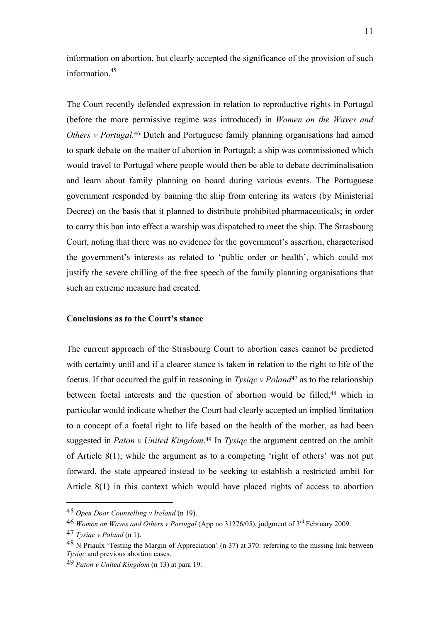information on abortion, but clearly accepted the significance of the provision of such information $45$ 

The Court recently defended expression in relation to reproductive rights in Portugal (before the more permissive regime was introduced) in *Women on the Waves and Others v Portugal.*<sup>46</sup> Dutch and Portuguese family planning organisations had aimed to spark debate on the matter of abortion in Portugal; a ship was commissioned which would travel to Portugal where people would then be able to debate decriminalisation and learn about family planning on board during various events. The Portuguese government responded by banning the ship from entering its waters (by Ministerial Decree) on the basis that it planned to distribute prohibited pharmaceuticals; in order to carry this ban into effect a warship was dispatched to meet the ship. The Strasbourg Court, noting that there was no evidence for the government's assertion, characterised the government's interests as related to 'public order or health', which could not justify the severe chilling of the free speech of the family planning organisations that such an extreme measure had created.

### **Conclusions as to the Court's stance**

The current approach of the Strasbourg Court to abortion cases cannot be predicted with certainty until and if a clearer stance is taken in relation to the right to life of the foetus. If that occurred the gulf in reasoning in *Tysiąc v Poland*<sup>47</sup> as to the relationship between foetal interests and the question of abortion would be filled,<sup>48</sup> which in particular would indicate whether the Court had clearly accepted an implied limitation to a concept of a foetal right to life based on the health of the mother, as had been suggested in *Paton v United Kingdom*. <sup>49</sup> In *Tysiąc* the argument centred on the ambit of Article 8(1); while the argument as to a competing 'right of others' was not put forward, the state appeared instead to be seeking to establish a restricted ambit for Article 8(1) in this context which would have placed rights of access to abortion

<sup>45</sup> *Open Door Counselling v Ireland* (n 19).

<sup>46</sup> *Women on Waves and Others v Portugal* (App no 31276/05), judgment of 3rd February 2009.

<sup>47</sup> *Tysiąc v Poland* (n 1).

<sup>48</sup> N Priaulx 'Testing the Margin of Appreciation' (n 37) at 370: referring to the missing link between *Tysiąc* and previous abortion cases.

<sup>49</sup> *Paton v United Kingdom* (n 13) at para 19.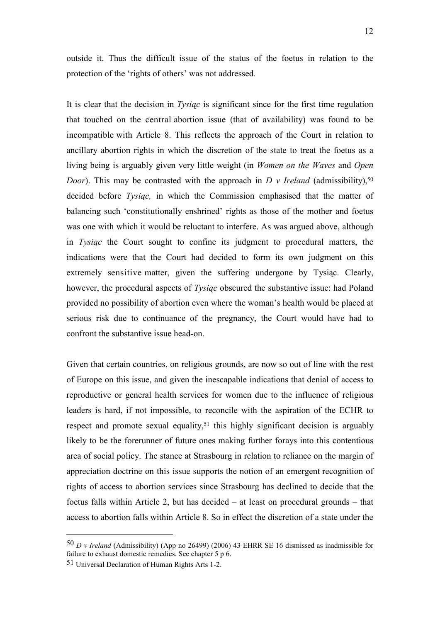outside it. Thus the difficult issue of the status of the foetus in relation to the protection of the 'rights of others' was not addressed.

It is clear that the decision in *Tysiąc* is significant since for the first time regulation that touched on the central abortion issue (that of availability) was found to be incompatible with Article 8. This reflects the approach of the Court in relation to ancillary abortion rights in which the discretion of the state to treat the foetus as a living being is arguably given very little weight (in *Women on the Waves* and *Open Door*). This may be contrasted with the approach in *D v Ireland* (admissibility),<sup>50</sup> decided before *Tysiąc,* in which the Commission emphasised that the matter of balancing such 'constitutionally enshrined' rights as those of the mother and foetus was one with which it would be reluctant to interfere. As was argued above, although in *Tysiąc* the Court sought to confine its judgment to procedural matters, the indications were that the Court had decided to form its own judgment on this extremely sensitive matter, given the suffering undergone by Tysiąc. Clearly, however, the procedural aspects of *Tysiąc* obscured the substantive issue: had Poland provided no possibility of abortion even where the woman's health would be placed at serious risk due to continuance of the pregnancy, the Court would have had to confront the substantive issue head-on.

Given that certain countries, on religious grounds, are now so out of line with the rest of Europe on this issue, and given the inescapable indications that denial of access to reproductive or general health services for women due to the influence of religious leaders is hard, if not impossible, to reconcile with the aspiration of the ECHR to respect and promote sexual equality, <sup>51</sup> this highly significant decision is arguably likely to be the forerunner of future ones making further forays into this contentious area of social policy. The stance at Strasbourg in relation to reliance on the margin of appreciation doctrine on this issue supports the notion of an emergent recognition of rights of access to abortion services since Strasbourg has declined to decide that the foetus falls within Article 2, but has decided – at least on procedural grounds – that access to abortion falls within Article 8. So in effect the discretion of a state under the

<sup>50</sup> *D v Ireland* (Admissibility) (App no 26499) (2006) 43 EHRR SE 16 dismissed as inadmissible for failure to exhaust domestic remedies. See chapter 5 p 6.

<sup>51</sup> Universal Declaration of Human Rights Arts 1-2.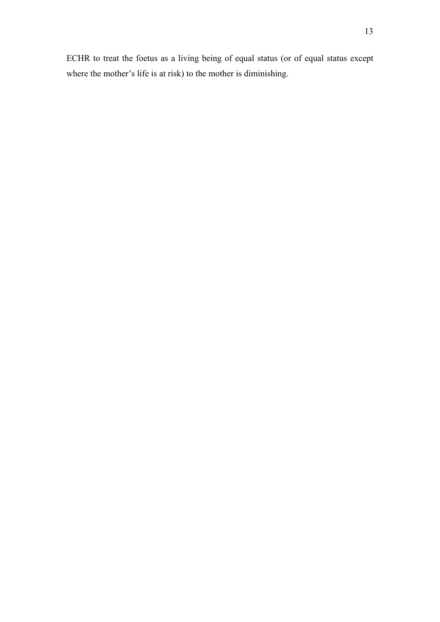ECHR to treat the foetus as a living being of equal status (or of equal status except where the mother's life is at risk) to the mother is diminishing.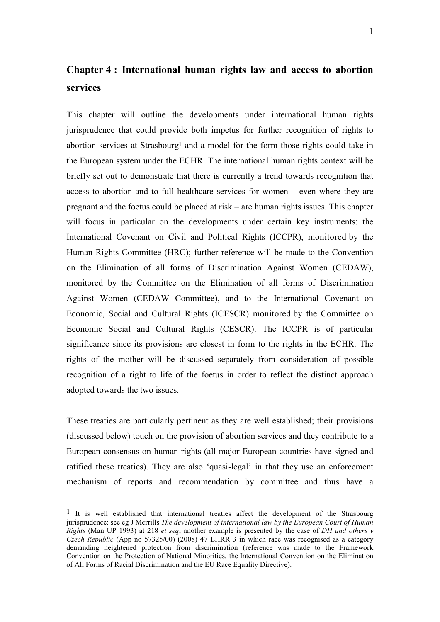## **Chapter 4 : International human rights law and access to abortion services**

This chapter will outline the developments under international human rights jurisprudence that could provide both impetus for further recognition of rights to abortion services at Strasbourg<sup>1</sup> and a model for the form those rights could take in the European system under the ECHR. The international human rights context will be briefly set out to demonstrate that there is currently a trend towards recognition that access to abortion and to full healthcare services for women – even where they are pregnant and the foetus could be placed at risk – are human rights issues. This chapter will focus in particular on the developments under certain key instruments: the International Covenant on Civil and Political Rights (ICCPR), monitored by the Human Rights Committee (HRC); further reference will be made to the Convention on the Elimination of all forms of Discrimination Against Women (CEDAW), monitored by the Committee on the Elimination of all forms of Discrimination Against Women (CEDAW Committee), and to the International Covenant on Economic, Social and Cultural Rights (ICESCR) monitored by the Committee on Economic Social and Cultural Rights (CESCR). The ICCPR is of particular significance since its provisions are closest in form to the rights in the ECHR. The rights of the mother will be discussed separately from consideration of possible recognition of a right to life of the foetus in order to reflect the distinct approach adopted towards the two issues.

These treaties are particularly pertinent as they are well established; their provisions (discussed below) touch on the provision of abortion services and they contribute to a European consensus on human rights (all major European countries have signed and ratified these treaties). They are also 'quasi-legal' in that they use an enforcement mechanism of reports and recommendation by committee and thus have a

 $<sup>1</sup>$  It is well established that international treaties affect the development of the Strasbourg</sup> jurisprudence: see eg J Merrills *The development of international law by the European Court of Human Rights* (Man UP 1993) at 218 *et seq*; another example is presented by the case of *DH and others v Czech Republic* (App no 57325/00) (2008) 47 EHRR 3 in which race was recognised as a category demanding heightened protection from discrimination (reference was made to the Framework Convention on the Protection of National Minorities, the International Convention on the Elimination of All Forms of Racial Discrimination and the EU Race Equality Directive).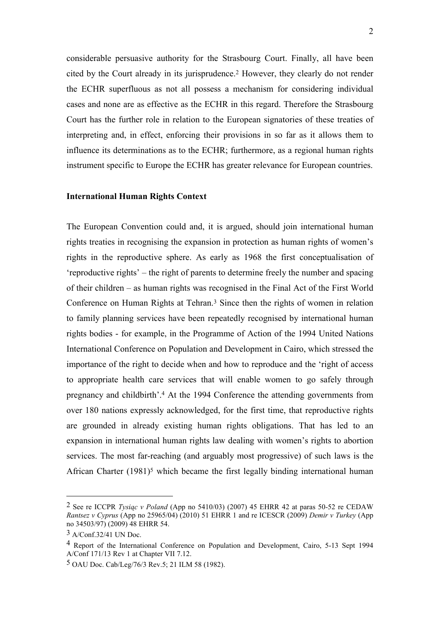considerable persuasive authority for the Strasbourg Court. Finally, all have been cited by the Court already in its jurisprudence.<sup>2</sup> However, they clearly do not render the ECHR superfluous as not all possess a mechanism for considering individual cases and none are as effective as the ECHR in this regard. Therefore the Strasbourg Court has the further role in relation to the European signatories of these treaties of interpreting and, in effect, enforcing their provisions in so far as it allows them to influence its determinations as to the ECHR; furthermore, as a regional human rights instrument specific to Europe the ECHR has greater relevance for European countries.

### **International Human Rights Context**

The European Convention could and, it is argued, should join international human rights treaties in recognising the expansion in protection as human rights of women's rights in the reproductive sphere. As early as 1968 the first conceptualisation of 'reproductive rights' – the right of parents to determine freely the number and spacing of their children – as human rights was recognised in the Final Act of the First World Conference on Human Rights at Tehran.<sup>3</sup> Since then the rights of women in relation to family planning services have been repeatedly recognised by international human rights bodies - for example, in the Programme of Action of the 1994 United Nations International Conference on Population and Development in Cairo, which stressed the importance of the right to decide when and how to reproduce and the 'right of access to appropriate health care services that will enable women to go safely through pregnancy and childbirth'.<sup>4</sup> At the 1994 Conference the attending governments from over 180 nations expressly acknowledged, for the first time, that reproductive rights are grounded in already existing human rights obligations. That has led to an expansion in international human rights law dealing with women's rights to abortion services. The most far-reaching (and arguably most progressive) of such laws is the African Charter  $(1981)^5$  which became the first legally binding international human

<sup>2</sup> See re ICCPR *Tysiąc v Poland* (App no 5410/03) (2007) 45 EHRR 42 at paras 50-52 re CEDAW *Rantsez v Cyprus* (App no 25965/04) (2010) 51 EHRR 1 and re ICESCR (2009) *Demir v Turkey* (App no 34503/97) (2009) 48 EHRR 54.

<sup>3</sup> A/Conf.32/41 UN Doc.

<sup>4</sup> Report of the International Conference on Population and Development, Cairo, 5-13 Sept 1994 A/Conf 171/13 Rev 1 at Chapter VII 7.12.

<sup>5</sup> OAU Doc. Cab/Leg/76/3 Rev.5; 21 ILM 58 (1982).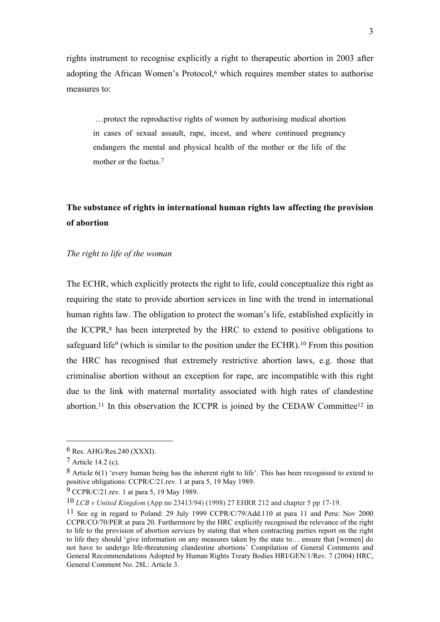rights instrument to recognise explicitly a right to therapeutic abortion in 2003 after adopting the African Women's Protocol,<sup>6</sup> which requires member states to authorise measures to:

…protect the reproductive rights of women by authorising medical abortion in cases of sexual assault, rape, incest, and where continued pregnancy endangers the mental and physical health of the mother or the life of the mother or the foetus. 7

## **The substance of rights in international human rights law affecting the provision of abortion**

### *The right to life of the woman*

The ECHR, which explicitly protects the right to life, could conceptualize this right as requiring the state to provide abortion services in line with the trend in international human rights law. The obligation to protect the woman's life, established explicitly in the ICCPR,<sup>8</sup> has been interpreted by the HRC to extend to positive obligations to safeguard life<sup>9</sup> (which is similar to the position under the ECHR).<sup>10</sup> From this position the HRC has recognised that extremely restrictive abortion laws, e.g. those that criminalise abortion without an exception for rape, are incompatible with this right due to the link with maternal mortality associated with high rates of clandestine abortion.<sup>11</sup> In this observation the ICCPR is joined by the CEDAW Committee<sup>12</sup> in

<sup>6</sup> Res. AHG/Res.240 (XXXI).

<sup>7</sup> Article 14.2 (c).

<sup>8</sup> Article 6(1) 'every human being has the inherent right to life'. This has been recognised to extend to positive obligations: CCPR/C/21.rev. 1 at para 5, 19 May 1989.

<sup>9</sup> CCPR/C/21.rev. 1 at para 5, 19 May 1989.

<sup>10</sup> *LCB v United Kingdom* (App no 23413/94) (1998) 27 EHRR 212 and chapter 5 pp 17-19.

<sup>11</sup> See eg in regard to Poland: 29 July 1999 CCPR/C/79/Add.110 at para 11 and Peru: Nov 2000 CCPR/CO/70/PER at para 20. Furthermore by the HRC explicitly recognised the relevance of the right to life to the provision of abortion services by stating that when contracting parties report on the right to life they should 'give information on any measures taken by the state to… ensure that [women] do not have to undergo life-threatening clandestine abortions' Compilation of General Comments and General Recommendations Adopted by Human Rights Treaty Bodies HRI/GEN/1/Rev. 7 (2004) HRC, General Comment No. 28L: Article 3.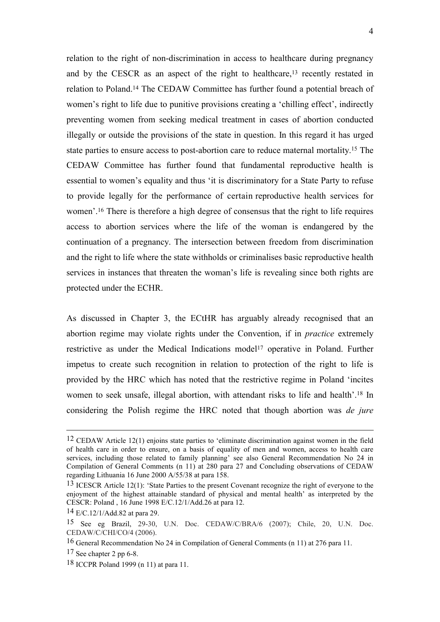relation to the right of non-discrimination in access to healthcare during pregnancy and by the CESCR as an aspect of the right to healthcare,<sup>13</sup> recently restated in relation to Poland.<sup>14</sup> The CEDAW Committee has further found a potential breach of women's right to life due to punitive provisions creating a 'chilling effect', indirectly preventing women from seeking medical treatment in cases of abortion conducted illegally or outside the provisions of the state in question. In this regard it has urged state parties to ensure access to post-abortion care to reduce maternal mortality. <sup>15</sup> The CEDAW Committee has further found that fundamental reproductive health is essential to women's equality and thus 'it is discriminatory for a State Party to refuse to provide legally for the performance of certain reproductive health services for women'.<sup>16</sup> There is therefore a high degree of consensus that the right to life requires access to abortion services where the life of the woman is endangered by the continuation of a pregnancy. The intersection between freedom from discrimination and the right to life where the state withholds or criminalises basic reproductive health services in instances that threaten the woman's life is revealing since both rights are protected under the ECHR.

As discussed in Chapter 3, the ECtHR has arguably already recognised that an abortion regime may violate rights under the Convention, if in *practice* extremely restrictive as under the Medical Indications model<sup>17</sup> operative in Poland. Further impetus to create such recognition in relation to protection of the right to life is provided by the HRC which has noted that the restrictive regime in Poland 'incites women to seek unsafe, illegal abortion, with attendant risks to life and health'.<sup>18</sup> In considering the Polish regime the HRC noted that though abortion was *de jure* 

<sup>12</sup> CEDAW Article 12(1) enjoins state parties to 'eliminate discrimination against women in the field of health care in order to ensure, on a basis of equality of men and women, access to health care services, including those related to family planning' see also General Recommendation No 24 in Compilation of General Comments (n 11) at 280 para 27 and Concluding observations of CEDAW regarding Lithuania 16 June 2000 A/55/38 at para 158.

<sup>13</sup> ICESCR Article 12(1): 'State Parties to the present Covenant recognize the right of everyone to the enjoyment of the highest attainable standard of physical and mental health' as interpreted by the CESCR: Poland , 16 June 1998 E/C.12/1/Add.26 at para 12.

<sup>14</sup> E/C.12/1/Add.82 at para 29.

<sup>15</sup> See eg Brazil, 29-30, U.N. Doc. CEDAW/C/BRA/6 (2007); Chile, 20, U.N. Doc. CEDAW/C/CHI/CO/4 (2006).

<sup>16</sup> General Recommendation No 24 in Compilation of General Comments (n 11) at 276 para 11.

<sup>17</sup> See chapter 2 pp 6-8.

<sup>18</sup> ICCPR Poland 1999 (n 11) at para 11.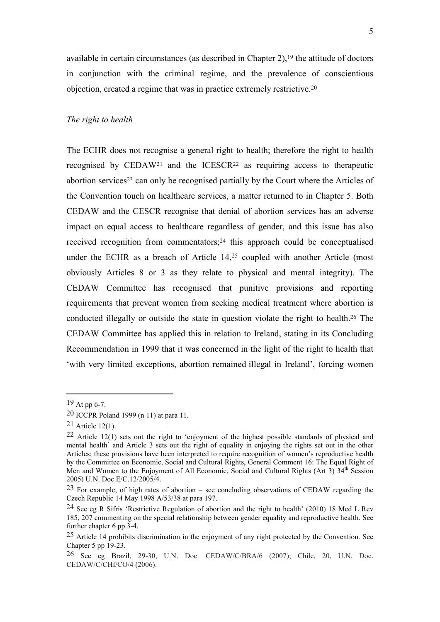available in certain circumstances (as described in Chapter  $2$ ),<sup>19</sup> the attitude of doctors in conjunction with the criminal regime, and the prevalence of conscientious objection, created a regime that was in practice extremely restrictive.<sup>20</sup>

### *The right to health*

The ECHR does not recognise a general right to health; therefore the right to health recognised by CEDAW<sup>21</sup> and the ICESCR<sup>22</sup> as requiring access to therapeutic abortion services<sup>23</sup> can only be recognised partially by the Court where the Articles of the Convention touch on healthcare services, a matter returned to in Chapter 5. Both CEDAW and the CESCR recognise that denial of abortion services has an adverse impact on equal access to healthcare regardless of gender, and this issue has also received recognition from commentators;<sup>24</sup> this approach could be conceptualised under the ECHR as a breach of Article 14,<sup>25</sup> coupled with another Article (most obviously Articles 8 or 3 as they relate to physical and mental integrity). The CEDAW Committee has recognised that punitive provisions and reporting requirements that prevent women from seeking medical treatment where abortion is conducted illegally or outside the state in question violate the right to health.<sup>26</sup> The CEDAW Committee has applied this in relation to Ireland, stating in its Concluding Recommendation in 1999 that it was concerned in the light of the right to health that 'with very limited exceptions, abortion remained illegal in Ireland', forcing women

<sup>19</sup> At pp 6-7.

<sup>20</sup> ICCPR Poland 1999 (n 11) at para 11.

<sup>21</sup> Article 12(1).

<sup>22</sup> Article 12(1) sets out the right to 'enjoyment of the highest possible standards of physical and mental health' and Article 3 sets out the right of equality in enjoying the rights set out in the other Articles; these provisions have been interpreted to require recognition of women's reproductive health by the Committee on Economic, Social and Cultural Rights, General Comment 16: The Equal Right of Men and Women to the Enjoyment of All Economic, Social and Cultural Rights (Art 3)  $34<sup>th</sup>$  Session 2005) U.N. Doc E/C.12/2005/4.

<sup>23</sup> For example, of high rates of abortion – see concluding observations of CEDAW regarding the Czech Republic 14 May 1998 A/53/38 at para 197.

<sup>24</sup> See eg R Sifris 'Restrictive Regulation of abortion and the right to health' (2010) 18 Med L Rev 185, 207 commenting on the special relationship between gender equality and reproductive health. See further chapter 6 pp  $3-4$ .

<sup>25</sup> Article 14 prohibits discrimination in the enjoyment of any right protected by the Convention. See Chapter 5 pp 19-23.

<sup>26</sup> See eg Brazil, 29-30, U.N. Doc. CEDAW/C/BRA/6 (2007); Chile, 20, U.N. Doc. CEDAW/C/CHI/CO/4 (2006).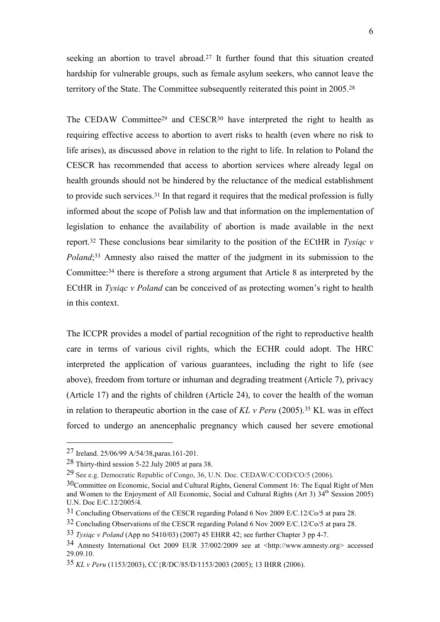seeking an abortion to travel abroad.<sup>27</sup> It further found that this situation created hardship for vulnerable groups, such as female asylum seekers, who cannot leave the territory of the State. The Committee subsequently reiterated this point in 2005.<sup>28</sup>

The CEDAW Committee<sup>29</sup> and CESCR<sup>30</sup> have interpreted the right to health as requiring effective access to abortion to avert risks to health (even where no risk to life arises), as discussed above in relation to the right to life. In relation to Poland the CESCR has recommended that access to abortion services where already legal on health grounds should not be hindered by the reluctance of the medical establishment to provide such services.<sup>31</sup> In that regard it requires that the medical profession is fully informed about the scope of Polish law and that information on the implementation of legislation to enhance the availability of abortion is made available in the next report.<sup>32</sup> These conclusions bear similarity to the position of the ECtHR in *Tysiąc v Poland*; <sup>33</sup> Amnesty also raised the matter of the judgment in its submission to the Committee:<sup>34</sup> there is therefore a strong argument that Article 8 as interpreted by the ECtHR in *Tysiąc v Poland* can be conceived of as protecting women's right to health in this context.

The ICCPR provides a model of partial recognition of the right to reproductive health care in terms of various civil rights, which the ECHR could adopt. The HRC interpreted the application of various guarantees, including the right to life (see above), freedom from torture or inhuman and degrading treatment (Article 7), privacy (Article 17) and the rights of children (Article 24), to cover the health of the woman in relation to therapeutic abortion in the case of *KL v Peru* (2005).<sup>35</sup> KL was in effect forced to undergo an anencephalic pregnancy which caused her severe emotional

<sup>27</sup> Ireland. 25/06/99 A/54/38,paras.161-201.

<sup>28</sup> Thirty-third session 5-22 July 2005 at para 38.

<sup>29</sup> See e.g. Democratic Republic of Congo, 36, U.N. Doc. CEDAW/C/COD/CO/5 (2006).

<sup>30</sup>Committee on Economic, Social and Cultural Rights, General Comment 16: The Equal Right of Men and Women to the Enjoyment of All Economic, Social and Cultural Rights (Art 3) 34th Session 2005) U.N. Doc E/C.12/2005/4.

<sup>31</sup> Concluding Observations of the CESCR regarding Poland 6 Nov 2009 E/C.12/Co/5 at para 28.

<sup>32</sup> Concluding Observations of the CESCR regarding Poland 6 Nov 2009 E/C.12/Co/5 at para 28.

<sup>33</sup> *Tysiąc v Poland* (App no 5410/03) (2007) 45 EHRR 42; see further Chapter 3 pp 4-7.

<sup>34</sup> Amnesty International Oct 2009 EUR 37/002/2009 see at <http://www.amnesty.org> accessed 29.09.10.

<sup>35</sup> *KL v Peru* (1153/2003), CC{R/DC/85/D/1153/2003 (2005); 13 IHRR (2006).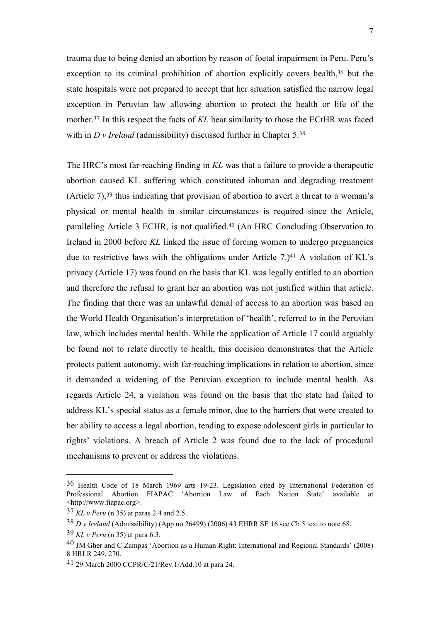trauma due to being denied an abortion by reason of foetal impairment in Peru. Peru's exception to its criminal prohibition of abortion explicitly covers health,<sup>36</sup> but the state hospitals were not prepared to accept that her situation satisfied the narrow legal exception in Peruvian law allowing abortion to protect the health or life of the mother.<sup>37</sup> In this respect the facts of *KL* bear similarity to those the ECtHR was faced with in *D v Ireland* (admissibility) discussed further in Chapter 5.<sup>38</sup>

The HRC's most far-reaching finding in *KL* was that a failure to provide a therapeutic abortion caused KL suffering which constituted inhuman and degrading treatment (Article 7),<sup>39</sup> thus indicating that provision of abortion to avert a threat to a woman's physical or mental health in similar circumstances is required since the Article, paralleling Article 3 ECHR, is not qualified.<sup>40</sup> (An HRC Concluding Observation to Ireland in 2000 before *KL* linked the issue of forcing women to undergo pregnancies due to restrictive laws with the obligations under Article  $7.141$  A violation of KL's privacy (Article 17) was found on the basis that KL was legally entitled to an abortion and therefore the refusal to grant her an abortion was not justified within that article. The finding that there was an unlawful denial of access to an abortion was based on the World Health Organisation's interpretation of 'health', referred to in the Peruvian law, which includes mental health. While the application of Article 17 could arguably be found not to relate directly to health, this decision demonstrates that the Article protects patient autonomy, with far-reaching implications in relation to abortion, since it demanded a widening of the Peruvian exception to include mental health. As regards Article 24, a violation was found on the basis that the state had failed to address KL's special status as a female minor, due to the barriers that were created to her ability to access a legal abortion, tending to expose adolescent girls in particular to rights' violations. A breach of Article 2 was found due to the lack of procedural mechanisms to prevent or address the violations.

<sup>36</sup> Health Code of 18 March 1969 arts 19-23. Legislation cited by International Federation of Professional Abortion FIAPAC 'Abortion Law of Each Nation State' available at <http://www.fiapac.org>.

<sup>37</sup> *KL v Peru* (n 35) at paras 2.4 and 2.5.

<sup>38</sup> *D v Ireland* (Admissibility) (App no 26499) (2006) 43 EHRR SE 16 see Ch 5 text to note 68.

<sup>39</sup> *KL v Peru* (n 35) at para 6.3.

<sup>40</sup> JM Gher and C Zampas 'Abortion as a Human Right: International and Regional Standards' (2008) 8 HRLR 249, 270.

<sup>41</sup> 29 March 2000 CCPR/C/21/Rev.1/Add.10 at para 24.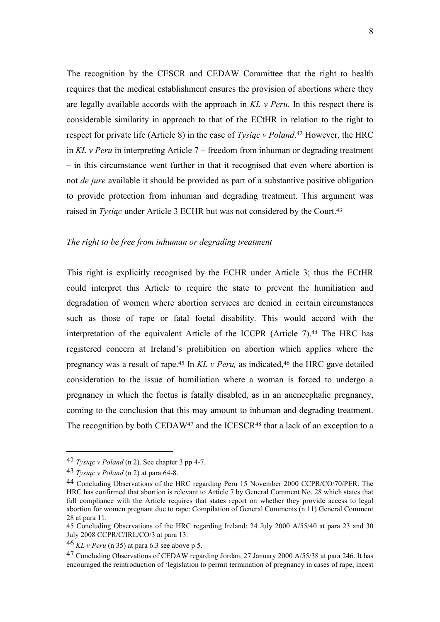The recognition by the CESCR and CEDAW Committee that the right to health requires that the medical establishment ensures the provision of abortions where they are legally available accords with the approach in *KL v Peru.* In this respect there is considerable similarity in approach to that of the ECtHR in relation to the right to respect for private life (Article 8) in the case of *Tysiąc v Poland*. <sup>42</sup> However, the HRC in *KL v Peru* in interpreting Article 7 – freedom from inhuman or degrading treatment – in this circumstance went further in that it recognised that even where abortion is not *de jure* available it should be provided as part of a substantive positive obligation to provide protection from inhuman and degrading treatment. This argument was raised in *Tysiąc* under Article 3 ECHR but was not considered by the Court.<sup>43</sup>

### *The right to be free from inhuman or degrading treatment*

This right is explicitly recognised by the ECHR under Article 3; thus the ECtHR could interpret this Article to require the state to prevent the humiliation and degradation of women where abortion services are denied in certain circumstances such as those of rape or fatal foetal disability. This would accord with the interpretation of the equivalent Article of the ICCPR (Article 7).<sup>44</sup> The HRC has registered concern at Ireland's prohibition on abortion which applies where the pregnancy was a result of rape.<sup>45</sup> In *KL v Peru,* as indicated,<sup>46</sup> the HRC gave detailed consideration to the issue of humiliation where a woman is forced to undergo a pregnancy in which the foetus is fatally disabled, as in an anencephalic pregnancy, coming to the conclusion that this may amount to inhuman and degrading treatment. The recognition by both CEDAW<sup>47</sup> and the ICESCR<sup>48</sup> that a lack of an exception to a

<sup>42</sup> *Tysiąc v Poland* (n 2). See chapter 3 pp 4-7.

<sup>43</sup> *Tysiąc v Poland* (n 2) at para 64-8.

<sup>44</sup> Concluding Observations of the HRC regarding Peru 15 November 2000 CCPR/CO/70/PER. The HRC has confirmed that abortion is relevant to Article 7 by General Comment No. 28 which states that full compliance with the Article requires that states report on whether they provide access to legal abortion for women pregnant due to rape: Compilation of General Comments (n 11) General Comment 28 at para 11.

<sup>45</sup> Concluding Observations of the HRC regarding Ireland: 24 July 2000 A/55/40 at para 23 and 30 July 2008 CCPR/C/IRL/CO/3 at para 13.

<sup>46</sup> *KL v Peru* (n 35) at para 6.3 see above p 5.

<sup>47</sup> Concluding Observations of CEDAW regarding Jordan, 27 January 2000 A/55/38 at para 246. It has encouraged the reintroduction of 'legislation to permit termination of pregnancy in cases of rape, incest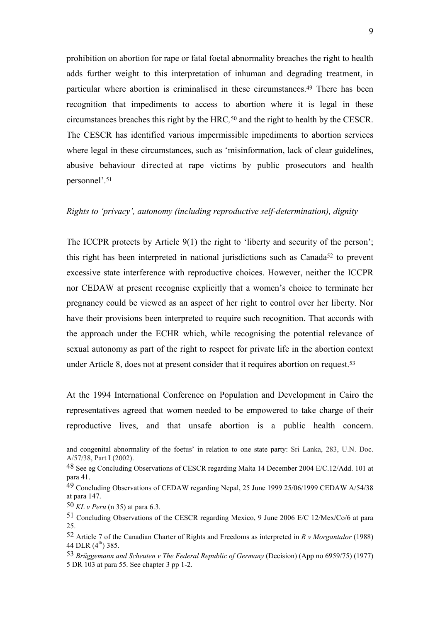prohibition on abortion for rape or fatal foetal abnormality breaches the right to health adds further weight to this interpretation of inhuman and degrading treatment, in particular where abortion is criminalised in these circumstances.<sup>49</sup> There has been recognition that impediments to access to abortion where it is legal in these circumstances breaches this right by the HRC*,* <sup>50</sup> and the right to health by the CESCR. The CESCR has identified various impermissible impediments to abortion services where legal in these circumstances, such as 'misinformation, lack of clear guidelines, abusive behaviour directed at rape victims by public prosecutors and health personnel'.<sup>51</sup>

### *Rights to 'privacy', autonomy (including reproductive self-determination), dignity*

The ICCPR protects by Article 9(1) the right to 'liberty and security of the person'; this right has been interpreted in national jurisdictions such as Canada<sup>52</sup> to prevent excessive state interference with reproductive choices. However, neither the ICCPR nor CEDAW at present recognise explicitly that a women's choice to terminate her pregnancy could be viewed as an aspect of her right to control over her liberty. Nor have their provisions been interpreted to require such recognition. That accords with the approach under the ECHR which, while recognising the potential relevance of sexual autonomy as part of the right to respect for private life in the abortion context under Article 8, does not at present consider that it requires abortion on request.<sup>53</sup>

At the 1994 International Conference on Population and Development in Cairo the representatives agreed that women needed to be empowered to take charge of their reproductive lives, and that unsafe abortion is a public health concern.

and congenital abnormality of the foetus' in relation to one state party: Sri Lanka, 283, U.N. Doc. A/57/38, Part I (2002).

<sup>48</sup> See eg Concluding Observations of CESCR regarding Malta 14 December 2004 E/C.12/Add. 101 at para 41.

<sup>49</sup> Concluding Observations of CEDAW regarding Nepal, 25 June 1999 25/06/1999 CEDAW A/54/38 at para 147.

<sup>50</sup> *KL v Peru* (n 35) at para 6.3.

<sup>51</sup> Concluding Observations of the CESCR regarding Mexico, 9 June 2006 E/C 12/Mex/Co/6 at para 25.

<sup>52</sup> Article 7 of the Canadian Charter of Rights and Freedoms as interpreted in *R v Morgantalor* (1988) 44 DLR  $(4^{th})$  385.

<sup>53</sup> *Brüggemann and Scheuten v The Federal Republic of Germany* (Decision) (App no 6959/75) (1977) 5 DR 103 at para 55. See chapter 3 pp 1-2.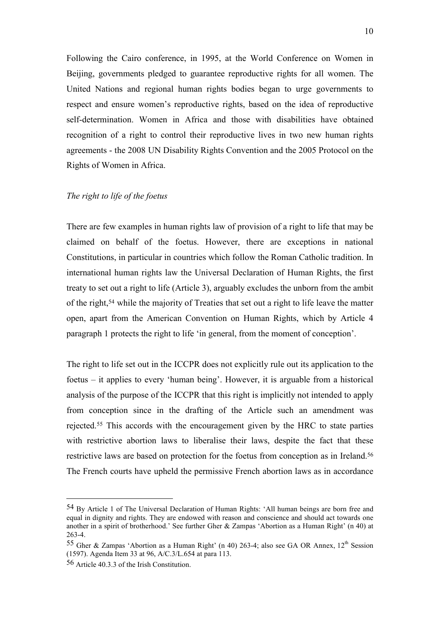Following the Cairo conference, in 1995, at the World Conference on Women in Beijing, governments pledged to guarantee reproductive rights for all women. The United Nations and regional human rights bodies began to urge governments to respect and ensure women's reproductive rights, based on the idea of reproductive self-determination. Women in Africa and those with disabilities have obtained recognition of a right to control their reproductive lives in two new human rights agreements - the 2008 UN Disability Rights Convention and the 2005 Protocol on the Rights of Women in Africa.

### *The right to life of the foetus*

There are few examples in human rights law of provision of a right to life that may be claimed on behalf of the foetus. However, there are exceptions in national Constitutions, in particular in countries which follow the Roman Catholic tradition. In international human rights law the Universal Declaration of Human Rights, the first treaty to set out a right to life (Article 3), arguably excludes the unborn from the ambit of the right,<sup>54</sup> while the majority of Treaties that set out a right to life leave the matter open, apart from the American Convention on Human Rights, which by Article 4 paragraph 1 protects the right to life 'in general, from the moment of conception'.

The right to life set out in the ICCPR does not explicitly rule out its application to the foetus – it applies to every 'human being'. However, it is arguable from a historical analysis of the purpose of the ICCPR that this right is implicitly not intended to apply from conception since in the drafting of the Article such an amendment was rejected.<sup>55</sup> This accords with the encouragement given by the HRC to state parties with restrictive abortion laws to liberalise their laws, despite the fact that these restrictive laws are based on protection for the foetus from conception as in Ireland.<sup>56</sup> The French courts have upheld the permissive French abortion laws as in accordance

<sup>54</sup> By Article 1 of The Universal Declaration of Human Rights: 'All human beings are born free and equal in dignity and rights. They are endowed with reason and conscience and should act towards one another in a spirit of brotherhood.' See further Gher & Zampas 'Abortion as a Human Right' (n 40) at 263-4.

<sup>55</sup> Gher & Zampas 'Abortion as a Human Right' (n 40) 263-4; also see GA OR Annex,  $12<sup>th</sup>$  Session (1597). Agenda Item 33 at 96, A/C.3/L.654 at para 113.

<sup>56</sup> Article 40.3.3 of the Irish Constitution.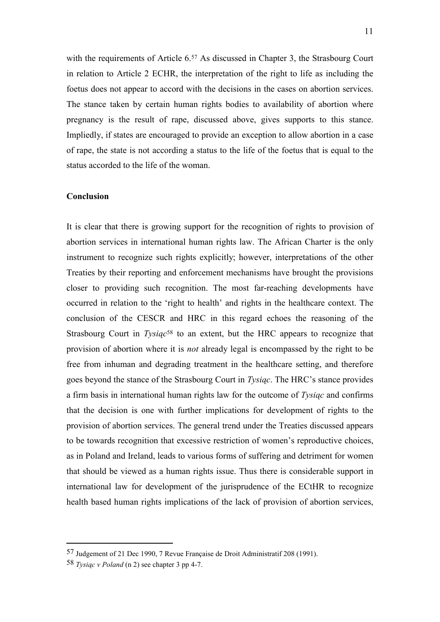with the requirements of Article 6.<sup>57</sup> As discussed in Chapter 3, the Strasbourg Court in relation to Article 2 ECHR, the interpretation of the right to life as including the foetus does not appear to accord with the decisions in the cases on abortion services. The stance taken by certain human rights bodies to availability of abortion where pregnancy is the result of rape, discussed above, gives supports to this stance. Impliedly, if states are encouraged to provide an exception to allow abortion in a case of rape, the state is not according a status to the life of the foetus that is equal to the status accorded to the life of the woman.

### **Conclusion**

It is clear that there is growing support for the recognition of rights to provision of abortion services in international human rights law. The African Charter is the only instrument to recognize such rights explicitly; however, interpretations of the other Treaties by their reporting and enforcement mechanisms have brought the provisions closer to providing such recognition. The most far-reaching developments have occurred in relation to the 'right to health' and rights in the healthcare context. The conclusion of the CESCR and HRC in this regard echoes the reasoning of the Strasbourg Court in *Tysiąc*<sup>58</sup> to an extent, but the HRC appears to recognize that provision of abortion where it is *not* already legal is encompassed by the right to be free from inhuman and degrading treatment in the healthcare setting, and therefore goes beyond the stance of the Strasbourg Court in *Tysiąc*. The HRC's stance provides a firm basis in international human rights law for the outcome of *Tysiąc* and confirms that the decision is one with further implications for development of rights to the provision of abortion services. The general trend under the Treaties discussed appears to be towards recognition that excessive restriction of women's reproductive choices, as in Poland and Ireland, leads to various forms of suffering and detriment for women that should be viewed as a human rights issue. Thus there is considerable support in international law for development of the jurisprudence of the ECtHR to recognize health based human rights implications of the lack of provision of abortion services,

<sup>57</sup> Judgement of 21 Dec 1990, 7 Revue Française de Droit Administratif 208 (1991).

<sup>58</sup> *Tysiąc v Poland* (n 2) see chapter 3 pp 4-7.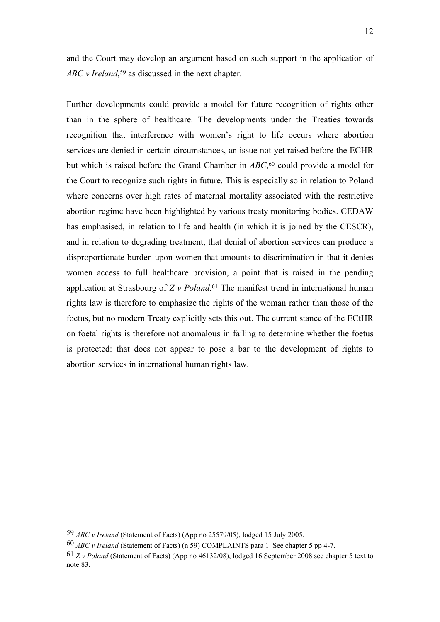and the Court may develop an argument based on such support in the application of *ABC v Ireland*, <sup>59</sup> as discussed in the next chapter.

Further developments could provide a model for future recognition of rights other than in the sphere of healthcare. The developments under the Treaties towards recognition that interference with women's right to life occurs where abortion services are denied in certain circumstances, an issue not yet raised before the ECHR but which is raised before the Grand Chamber in *ABC*, <sup>60</sup> could provide a model for the Court to recognize such rights in future. This is especially so in relation to Poland where concerns over high rates of maternal mortality associated with the restrictive abortion regime have been highlighted by various treaty monitoring bodies. CEDAW has emphasised, in relation to life and health (in which it is joined by the CESCR), and in relation to degrading treatment, that denial of abortion services can produce a disproportionate burden upon women that amounts to discrimination in that it denies women access to full healthcare provision, a point that is raised in the pending application at Strasbourg of *Z v Poland*. <sup>61</sup> The manifest trend in international human rights law is therefore to emphasize the rights of the woman rather than those of the foetus, but no modern Treaty explicitly sets this out. The current stance of the ECtHR on foetal rights is therefore not anomalous in failing to determine whether the foetus is protected: that does not appear to pose a bar to the development of rights to abortion services in international human rights law.

<sup>59</sup> *ABC v Ireland* (Statement of Facts) (App no 25579/05), lodged 15 July 2005.

<sup>60</sup> *ABC v Ireland* (Statement of Facts) (n 59) COMPLAINTS para 1. See chapter 5 pp 4-7.

<sup>61</sup> *Z v Poland* (Statement of Facts) (App no 46132/08), lodged 16 September 2008 see chapter 5 text to note 83.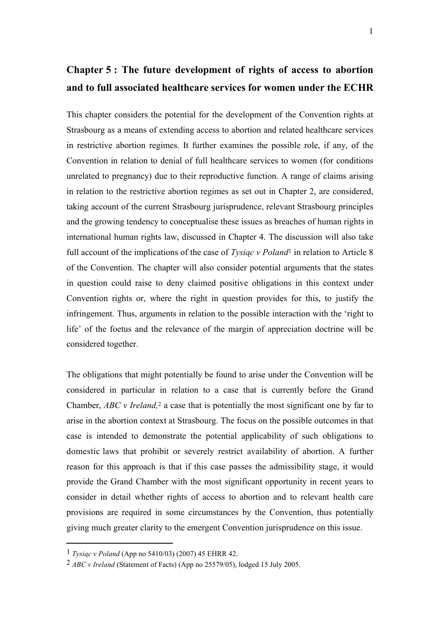# **Chapter 5 : The future development of rights of access to abortion and to full associated healthcare services for women under the ECHR**

This chapter considers the potential for the development of the Convention rights at Strasbourg as a means of extending access to abortion and related healthcare services in restrictive abortion regimes. It further examines the possible role, if any, of the Convention in relation to denial of full healthcare services to women (for conditions unrelated to pregnancy) due to their reproductive function. A range of claims arising in relation to the restrictive abortion regimes as set out in Chapter 2, are considered, taking account of the current Strasbourg jurisprudence, relevant Strasbourg principles and the growing tendency to conceptualise these issues as breaches of human rights in international human rights law, discussed in Chapter 4. The discussion will also take full account of the implications of the case of *Tysiąc v Poland*<sup>1</sup> in relation to Article 8 of the Convention. The chapter will also consider potential arguments that the states in question could raise to deny claimed positive obligations in this context under Convention rights or, where the right in question provides for this, to justify the infringement. Thus, arguments in relation to the possible interaction with the 'right to life' of the foetus and the relevance of the margin of appreciation doctrine will be considered together.

The obligations that might potentially be found to arise under the Convention will be considered in particular in relation to a case that is currently before the Grand Chamber, *ABC v Ireland,*<sup>2</sup> a case that is potentially the most significant one by far to arise in the abortion context at Strasbourg. The focus on the possible outcomes in that case is intended to demonstrate the potential applicability of such obligations to domestic laws that prohibit or severely restrict availability of abortion. A further reason for this approach is that if this case passes the admissibility stage, it would provide the Grand Chamber with the most significant opportunity in recent years to consider in detail whether rights of access to abortion and to relevant health care provisions are required in some circumstances by the Convention, thus potentially giving much greater clarity to the emergent Convention jurisprudence on this issue.

<sup>1</sup> *Tysiąc v Poland* (App no 5410/03) (2007) 45 EHRR 42.

<sup>2</sup> *ABC v Ireland* (Statement of Facts) (App no 25579/05), lodged 15 July 2005.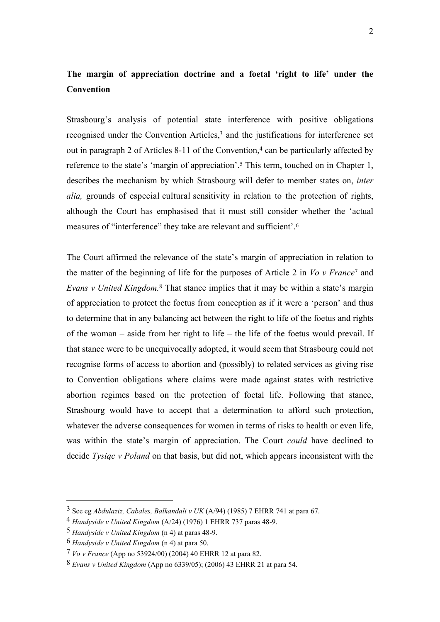## **The margin of appreciation doctrine and a foetal 'right to life' under the Convention**

Strasbourg's analysis of potential state interference with positive obligations recognised under the Convention Articles,<sup>3</sup> and the justifications for interference set out in paragraph 2 of Articles 8-11 of the Convention, $4$  can be particularly affected by reference to the state's 'margin of appreciation'.<sup>5</sup> This term, touched on in Chapter 1, describes the mechanism by which Strasbourg will defer to member states on, *inter alia,* grounds of especial cultural sensitivity in relation to the protection of rights, although the Court has emphasised that it must still consider whether the 'actual measures of "interference" they take are relevant and sufficient'.<sup>6</sup>

The Court affirmed the relevance of the state's margin of appreciation in relation to the matter of the beginning of life for the purposes of Article 2 in *Vo v France*<sup>7</sup> and *Evans v United Kingdom.*<sup>8</sup> That stance implies that it may be within a state's margin of appreciation to protect the foetus from conception as if it were a 'person' and thus to determine that in any balancing act between the right to life of the foetus and rights of the woman – aside from her right to life – the life of the foetus would prevail. If that stance were to be unequivocally adopted, it would seem that Strasbourg could not recognise forms of access to abortion and (possibly) to related services as giving rise to Convention obligations where claims were made against states with restrictive abortion regimes based on the protection of foetal life. Following that stance, Strasbourg would have to accept that a determination to afford such protection, whatever the adverse consequences for women in terms of risks to health or even life, was within the state's margin of appreciation. The Court *could* have declined to decide *Tysiąc v Poland* on that basis, but did not, which appears inconsistent with the

<sup>3</sup> See eg *Abdulaziz, Cabales, Balkandali v UK* (A/94) (1985) 7 EHRR 741 at para 67.

<sup>4</sup> *Handyside v United Kingdom* (A/24) (1976) 1 EHRR 737 paras 48-9.

<sup>5</sup> *Handyside v United Kingdom* (n 4) at paras 48-9.

<sup>6</sup> *Handyside v United Kingdom* (n 4) at para 50.

<sup>7</sup> *Vo v France* (App no 53924/00) (2004) 40 EHRR 12 at para 82.

<sup>8</sup> *Evans v United Kingdom* (App no 6339/05); (2006) 43 EHRR 21 at para 54.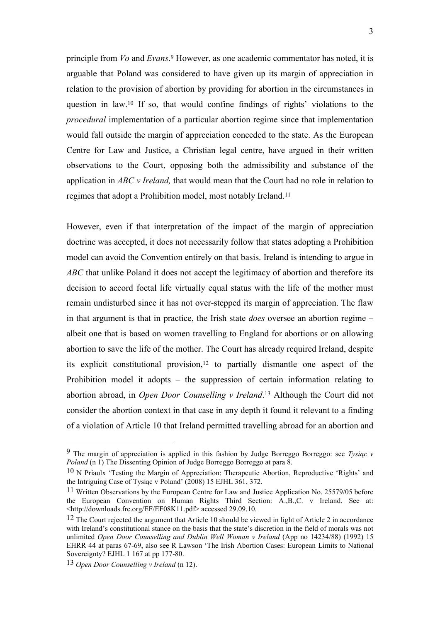principle from *Vo* and *Evans*. <sup>9</sup> However, as one academic commentator has noted, it is arguable that Poland was considered to have given up its margin of appreciation in relation to the provision of abortion by providing for abortion in the circumstances in question in law.<sup>10</sup> If so, that would confine findings of rights' violations to the *procedural* implementation of a particular abortion regime since that implementation would fall outside the margin of appreciation conceded to the state. As the European Centre for Law and Justice, a Christian legal centre, have argued in their written observations to the Court, opposing both the admissibility and substance of the application in *ABC v Ireland,* that would mean that the Court had no role in relation to regimes that adopt a Prohibition model, most notably Ireland.<sup>11</sup>

However, even if that interpretation of the impact of the margin of appreciation doctrine was accepted, it does not necessarily follow that states adopting a Prohibition model can avoid the Convention entirely on that basis. Ireland is intending to argue in *ABC* that unlike Poland it does not accept the legitimacy of abortion and therefore its decision to accord foetal life virtually equal status with the life of the mother must remain undisturbed since it has not over-stepped its margin of appreciation. The flaw in that argument is that in practice, the Irish state *does* oversee an abortion regime – albeit one that is based on women travelling to England for abortions or on allowing abortion to save the life of the mother. The Court has already required Ireland, despite its explicit constitutional provision,<sup>12</sup> to partially dismantle one aspect of the Prohibition model it adopts – the suppression of certain information relating to abortion abroad, in *Open Door Counselling v Ireland*. <sup>13</sup> Although the Court did not consider the abortion context in that case in any depth it found it relevant to a finding of a violation of Article 10 that Ireland permitted travelling abroad for an abortion and

<sup>9</sup> The margin of appreciation is applied in this fashion by Judge Borreggo Borreggo: see *Tysiąc v Poland* (n 1) The Dissenting Opinion of Judge Borreggo Borreggo at para 8.

<sup>10</sup> N Priaulx 'Testing the Margin of Appreciation: Therapeutic Abortion, Reproductive 'Rights' and the Intriguing Case of Tysiąc v Poland' (2008) 15 EJHL 361, 372.

<sup>11</sup> Written Observations by the European Centre for Law and Justice Application No. 25579/05 before the European Convention on Human Rights Third Section: A.,B.,C. v Ireland. See at: <http://downloads.frc.org/EF/EF08K11.pdf> accessed 29.09.10.

<sup>&</sup>lt;sup>12</sup> The Court rejected the argument that Article 10 should be viewed in light of Article 2 in accordance with Ireland's constitutional stance on the basis that the state's discretion in the field of morals was not unlimited *Open Door Counselling and Dublin Well Woman v Ireland* (App no 14234/88) (1992) 15 EHRR 44 at paras 67-69, also see R Lawson 'The Irish Abortion Cases: European Limits to National Sovereignty? EJHL 1 167 at pp 177-80.

<sup>13</sup> *Open Door Counselling v Ireland* (n 12).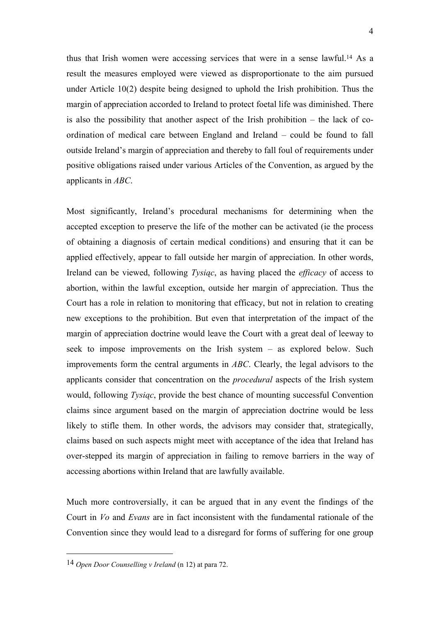thus that Irish women were accessing services that were in a sense lawful.<sup>14</sup> As a result the measures employed were viewed as disproportionate to the aim pursued under Article 10(2) despite being designed to uphold the Irish prohibition. Thus the margin of appreciation accorded to Ireland to protect foetal life was diminished. There is also the possibility that another aspect of the Irish prohibition – the lack of coordination of medical care between England and Ireland – could be found to fall outside Ireland's margin of appreciation and thereby to fall foul of requirements under positive obligations raised under various Articles of the Convention, as argued by the applicants in *ABC*.

Most significantly, Ireland's procedural mechanisms for determining when the accepted exception to preserve the life of the mother can be activated (ie the process of obtaining a diagnosis of certain medical conditions) and ensuring that it can be applied effectively, appear to fall outside her margin of appreciation. In other words, Ireland can be viewed, following *Tysiąc*, as having placed the *efficacy* of access to abortion, within the lawful exception, outside her margin of appreciation. Thus the Court has a role in relation to monitoring that efficacy, but not in relation to creating new exceptions to the prohibition. But even that interpretation of the impact of the margin of appreciation doctrine would leave the Court with a great deal of leeway to seek to impose improvements on the Irish system – as explored below. Such improvements form the central arguments in *ABC*. Clearly, the legal advisors to the applicants consider that concentration on the *procedural* aspects of the Irish system would, following *Tysiąc*, provide the best chance of mounting successful Convention claims since argument based on the margin of appreciation doctrine would be less likely to stifle them. In other words, the advisors may consider that, strategically, claims based on such aspects might meet with acceptance of the idea that Ireland has over-stepped its margin of appreciation in failing to remove barriers in the way of accessing abortions within Ireland that are lawfully available.

Much more controversially, it can be argued that in any event the findings of the Court in *Vo* and *Evans* are in fact inconsistent with the fundamental rationale of the Convention since they would lead to a disregard for forms of suffering for one group

<sup>14</sup> *Open Door Counselling v Ireland* (n 12) at para 72.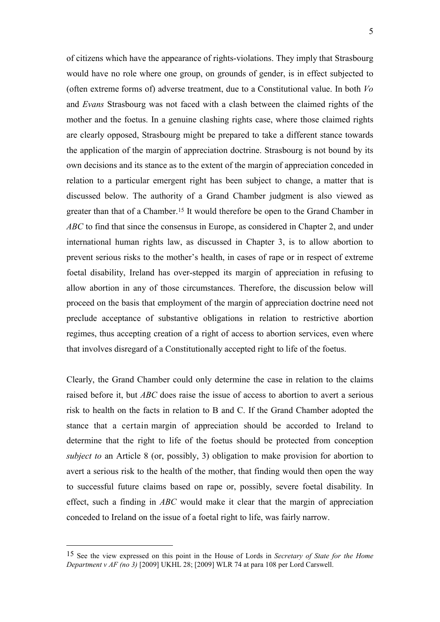of citizens which have the appearance of rights-violations. They imply that Strasbourg would have no role where one group, on grounds of gender, is in effect subjected to (often extreme forms of) adverse treatment, due to a Constitutional value. In both *Vo* and *Evans* Strasbourg was not faced with a clash between the claimed rights of the mother and the foetus. In a genuine clashing rights case, where those claimed rights are clearly opposed, Strasbourg might be prepared to take a different stance towards the application of the margin of appreciation doctrine. Strasbourg is not bound by its own decisions and its stance as to the extent of the margin of appreciation conceded in relation to a particular emergent right has been subject to change, a matter that is discussed below. The authority of a Grand Chamber judgment is also viewed as greater than that of a Chamber.<sup>15</sup> It would therefore be open to the Grand Chamber in *ABC* to find that since the consensus in Europe, as considered in Chapter 2, and under international human rights law, as discussed in Chapter 3, is to allow abortion to prevent serious risks to the mother's health, in cases of rape or in respect of extreme foetal disability, Ireland has over-stepped its margin of appreciation in refusing to allow abortion in any of those circumstances. Therefore, the discussion below will proceed on the basis that employment of the margin of appreciation doctrine need not preclude acceptance of substantive obligations in relation to restrictive abortion regimes, thus accepting creation of a right of access to abortion services, even where that involves disregard of a Constitutionally accepted right to life of the foetus.

Clearly, the Grand Chamber could only determine the case in relation to the claims raised before it, but *ABC* does raise the issue of access to abortion to avert a serious risk to health on the facts in relation to B and C. If the Grand Chamber adopted the stance that a certain margin of appreciation should be accorded to Ireland to determine that the right to life of the foetus should be protected from conception *subject to* an Article 8 (or, possibly, 3) obligation to make provision for abortion to avert a serious risk to the health of the mother, that finding would then open the way to successful future claims based on rape or, possibly, severe foetal disability. In effect, such a finding in *ABC* would make it clear that the margin of appreciation conceded to Ireland on the issue of a foetal right to life, was fairly narrow.

<sup>15</sup> See the view expressed on this point in the House of Lords in *Secretary of State for the Home Department v AF (no 3)* [2009] UKHL 28; [2009] WLR 74 at para 108 per Lord Carswell.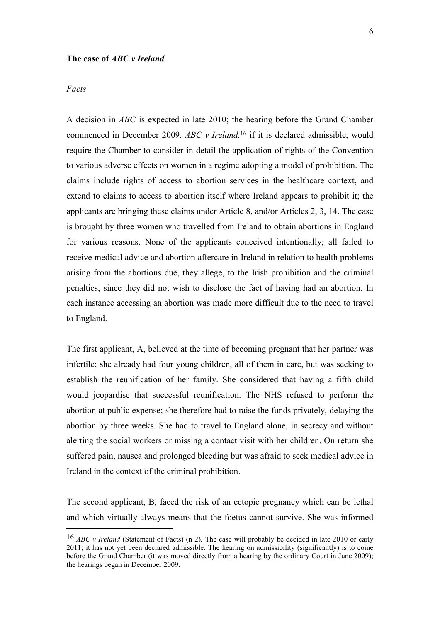### **The case of** *ABC v Ireland*

### *Facts*

<u>.</u>

A decision in *ABC* is expected in late 2010; the hearing before the Grand Chamber commenced in December 2009. *ABC v Ireland,*<sup>16</sup> if it is declared admissible, would require the Chamber to consider in detail the application of rights of the Convention to various adverse effects on women in a regime adopting a model of prohibition. The claims include rights of access to abortion services in the healthcare context, and extend to claims to access to abortion itself where Ireland appears to prohibit it; the applicants are bringing these claims under Article 8, and/or Articles 2, 3, 14. The case is brought by three women who travelled from Ireland to obtain abortions in England for various reasons. None of the applicants conceived intentionally; all failed to receive medical advice and abortion aftercare in Ireland in relation to health problems arising from the abortions due, they allege, to the Irish prohibition and the criminal penalties, since they did not wish to disclose the fact of having had an abortion. In each instance accessing an abortion was made more difficult due to the need to travel to England.

The first applicant, A, believed at the time of becoming pregnant that her partner was infertile; she already had four young children, all of them in care, but was seeking to establish the reunification of her family. She considered that having a fifth child would jeopardise that successful reunification. The NHS refused to perform the abortion at public expense; she therefore had to raise the funds privately, delaying the abortion by three weeks. She had to travel to England alone, in secrecy and without alerting the social workers or missing a contact visit with her children. On return she suffered pain, nausea and prolonged bleeding but was afraid to seek medical advice in Ireland in the context of the criminal prohibition.

The second applicant, B, faced the risk of an ectopic pregnancy which can be lethal and which virtually always means that the foetus cannot survive. She was informed

<sup>16</sup> *ABC v Ireland* (Statement of Facts) (n 2)*.* The case will probably be decided in late 2010 or early 2011; it has not yet been declared admissible. The hearing on admissibility (significantly) is to come before the Grand Chamber (it was moved directly from a hearing by the ordinary Court in June 2009); the hearings began in December 2009.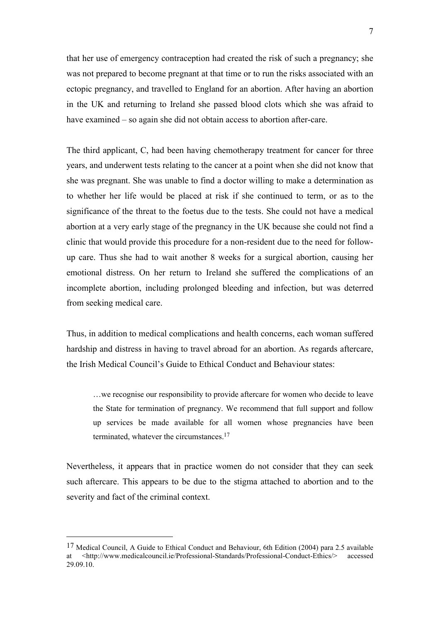that her use of emergency contraception had created the risk of such a pregnancy; she was not prepared to become pregnant at that time or to run the risks associated with an ectopic pregnancy, and travelled to England for an abortion. After having an abortion in the UK and returning to Ireland she passed blood clots which she was afraid to have examined – so again she did not obtain access to abortion after-care.

The third applicant, C, had been having chemotherapy treatment for cancer for three years, and underwent tests relating to the cancer at a point when she did not know that she was pregnant. She was unable to find a doctor willing to make a determination as to whether her life would be placed at risk if she continued to term, or as to the significance of the threat to the foetus due to the tests. She could not have a medical abortion at a very early stage of the pregnancy in the UK because she could not find a clinic that would provide this procedure for a non-resident due to the need for followup care. Thus she had to wait another 8 weeks for a surgical abortion, causing her emotional distress. On her return to Ireland she suffered the complications of an incomplete abortion, including prolonged bleeding and infection, but was deterred from seeking medical care.

Thus, in addition to medical complications and health concerns, each woman suffered hardship and distress in having to travel abroad for an abortion. As regards aftercare, the Irish Medical Council's Guide to Ethical Conduct and Behaviour states:

…we recognise our responsibility to provide aftercare for women who decide to leave the State for termination of pregnancy. We recommend that full support and follow up services be made available for all women whose pregnancies have been terminated, whatever the circumstances.<sup>17</sup>

Nevertheless, it appears that in practice women do not consider that they can seek such aftercare. This appears to be due to the stigma attached to abortion and to the severity and fact of the criminal context.

<sup>17</sup> Medical Council, A Guide to Ethical Conduct and Behaviour, 6th Edition (2004) para 2.5 available at <http://www.medicalcouncil.ie/Professional-Standards/Professional-Conduct-Ethics/> accessed 29.09.10.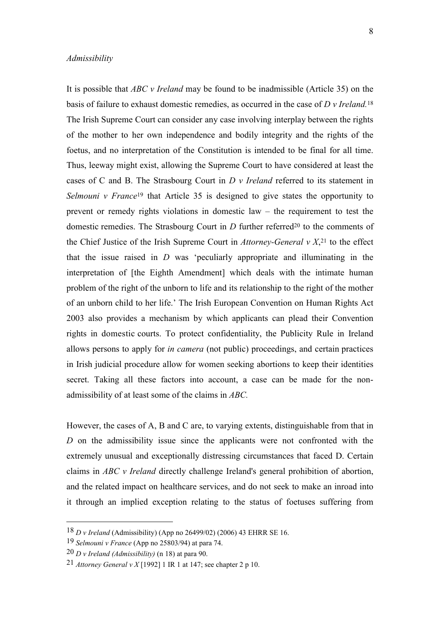### *Admissibility*

It is possible that *ABC v Ireland* may be found to be inadmissible (Article 35) on the basis of failure to exhaust domestic remedies, as occurred in the case of *D v Ireland.*<sup>18</sup> The Irish Supreme Court can consider any case involving interplay between the rights of the mother to her own independence and bodily integrity and the rights of the foetus, and no interpretation of the Constitution is intended to be final for all time. Thus, leeway might exist, allowing the Supreme Court to have considered at least the cases of C and B. The Strasbourg Court in *D v Ireland* referred to its statement in *Selmouni v France*<sup>19</sup> that Article 35 is designed to give states the opportunity to prevent or remedy rights violations in domestic law – the requirement to test the domestic remedies. The Strasbourg Court in *D* further referred<sup>20</sup> to the comments of the Chief Justice of the Irish Supreme Court in *Attorney-General v X*, <sup>21</sup> to the effect that the issue raised in *D* was 'peculiarly appropriate and illuminating in the interpretation of [the Eighth Amendment] which deals with the intimate human problem of the right of the unborn to life and its relationship to the right of the mother of an unborn child to her life.' The Irish European Convention on Human Rights Act 2003 also provides a mechanism by which applicants can plead their Convention rights in domestic courts. To protect confidentiality, the Publicity Rule in Ireland allows persons to apply for *in camera* (not public) proceedings, and certain practices in Irish judicial procedure allow for women seeking abortions to keep their identities secret. Taking all these factors into account, a case can be made for the nonadmissibility of at least some of the claims in *ABC.*

However, the cases of A, B and C are, to varying extents, distinguishable from that in *D* on the admissibility issue since the applicants were not confronted with the extremely unusual and exceptionally distressing circumstances that faced D. Certain claims in *ABC v Ireland* directly challenge Ireland's general prohibition of abortion, and the related impact on healthcare services, and do not seek to make an inroad into it through an implied exception relating to the status of foetuses suffering from

<sup>18</sup> *D v Ireland* (Admissibility) (App no 26499/02) (2006) 43 EHRR SE 16.

<sup>19</sup> *Selmouni v France* (App no 25803/94) at para 74.

<sup>20</sup> *D v Ireland (Admissibility)* (n 18) at para 90.

<sup>21</sup> *Attorney General v X* [1992] 1 IR 1 at 147; see chapter 2 p 10.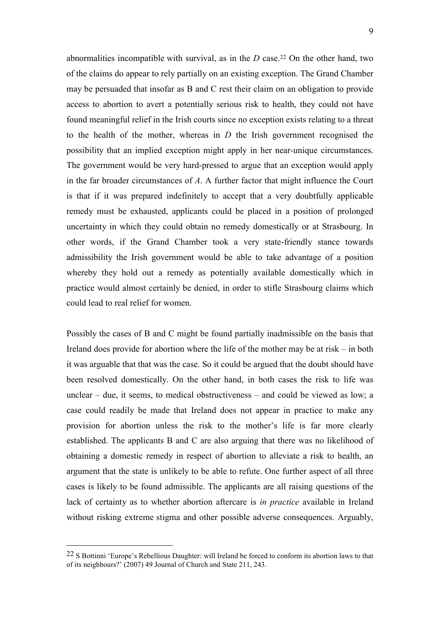abnormalities incompatible with survival, as in the *D* case.<sup>22</sup> On the other hand, two of the claims do appear to rely partially on an existing exception. The Grand Chamber may be persuaded that insofar as B and C rest their claim on an obligation to provide access to abortion to avert a potentially serious risk to health, they could not have found meaningful relief in the Irish courts since no exception exists relating to a threat to the health of the mother, whereas in *D* the Irish government recognised the possibility that an implied exception might apply in her near-unique circumstances. The government would be very hard-pressed to argue that an exception would apply in the far broader circumstances of *A*. A further factor that might influence the Court is that if it was prepared indefinitely to accept that a very doubtfully applicable remedy must be exhausted, applicants could be placed in a position of prolonged uncertainty in which they could obtain no remedy domestically or at Strasbourg. In other words, if the Grand Chamber took a very state-friendly stance towards admissibility the Irish government would be able to take advantage of a position whereby they hold out a remedy as potentially available domestically which in practice would almost certainly be denied, in order to stifle Strasbourg claims which could lead to real relief for women.

Possibly the cases of B and C might be found partially inadmissible on the basis that Ireland does provide for abortion where the life of the mother may be at risk – in both it was arguable that that was the case. So it could be argued that the doubt should have been resolved domestically. On the other hand, in both cases the risk to life was unclear – due, it seems, to medical obstructiveness – and could be viewed as low; a case could readily be made that Ireland does not appear in practice to make any provision for abortion unless the risk to the mother's life is far more clearly established. The applicants B and C are also arguing that there was no likelihood of obtaining a domestic remedy in respect of abortion to alleviate a risk to health, an argument that the state is unlikely to be able to refute. One further aspect of all three cases is likely to be found admissible. The applicants are all raising questions of the lack of certainty as to whether abortion aftercare is *in practice* available in Ireland without risking extreme stigma and other possible adverse consequences. Arguably,

<sup>22</sup> S Bottinni 'Europe's Rebellious Daughter: will Ireland be forced to conform its abortion laws to that of its neighbours?' (2007) 49 Journal of Church and State 211, 243.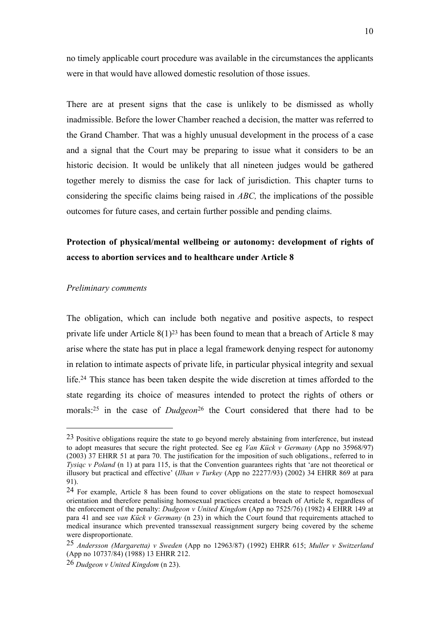no timely applicable court procedure was available in the circumstances the applicants were in that would have allowed domestic resolution of those issues.

There are at present signs that the case is unlikely to be dismissed as wholly inadmissible. Before the lower Chamber reached a decision, the matter was referred to the Grand Chamber. That was a highly unusual development in the process of a case and a signal that the Court may be preparing to issue what it considers to be an historic decision. It would be unlikely that all nineteen judges would be gathered together merely to dismiss the case for lack of jurisdiction. This chapter turns to considering the specific claims being raised in *ABC,* the implications of the possible outcomes for future cases, and certain further possible and pending claims.

## **Protection of physical/mental wellbeing or autonomy: development of rights of access to abortion services and to healthcare under Article 8**

#### *Preliminary comments*

<u>.</u>

The obligation, which can include both negative and positive aspects, to respect private life under Article  $8(1)^{23}$  has been found to mean that a breach of Article 8 may arise where the state has put in place a legal framework denying respect for autonomy in relation to intimate aspects of private life, in particular physical integrity and sexual life.<sup>24</sup> This stance has been taken despite the wide discretion at times afforded to the state regarding its choice of measures intended to protect the rights of others or morals:<sup>25</sup> in the case of *Dudgeon*<sup>26</sup> the Court considered that there had to be

<sup>&</sup>lt;sup>23</sup> Positive obligations require the state to go beyond merely abstaining from interference, but instead to adopt measures that secure the right protected. See eg *Van Kück v Germany* (App no 35968/97) (2003) 37 EHRR 51 at para 70. The justification for the imposition of such obligations., referred to in *Tysiąc v Poland* (n 1) at para 115, is that the Convention guarantees rights that 'are not theoretical or illusory but practical and effective' (*Ilhan v Turkey* (App no 22277/93) (2002) 34 EHRR 869 at para 91).

<sup>24</sup> For example, Article 8 has been found to cover obligations on the state to respect homosexual orientation and therefore penalising homosexual practices created a breach of Article 8, regardless of the enforcement of the penalty: *Dudgeon v United Kingdom* (App no 7525/76) (1982) 4 EHRR 149 at para 41 and see *van Kück v Germany* (n 23) in which the Court found that requirements attached to medical insurance which prevented transsexual reassignment surgery being covered by the scheme were disproportionate.

<sup>25</sup> *Andersson (Margaretta) v Sweden* (App no 12963/87) (1992) EHRR 615; *Muller v Switzerland* (App no 10737/84) (1988) 13 EHRR 212.

<sup>26</sup> *Dudgeon v United Kingdom* (n 23).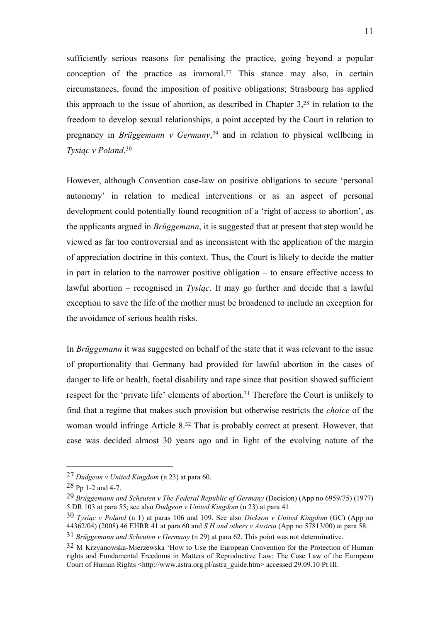sufficiently serious reasons for penalising the practice, going beyond a popular conception of the practice as immoral.<sup>27</sup> This stance may also, in certain circumstances, found the imposition of positive obligations; Strasbourg has applied this approach to the issue of abortion, as described in Chapter 3, <sup>28</sup> in relation to the freedom to develop sexual relationships, a point accepted by the Court in relation to pregnancy in *Brüggemann v Germany*, <sup>29</sup> and in relation to physical wellbeing in *Tysiąc v Poland*. 30

However, although Convention case-law on positive obligations to secure 'personal autonomy' in relation to medical interventions or as an aspect of personal development could potentially found recognition of a 'right of access to abortion', as the applicants argued in *Brüggemann*, it is suggested that at present that step would be viewed as far too controversial and as inconsistent with the application of the margin of appreciation doctrine in this context. Thus, the Court is likely to decide the matter in part in relation to the narrower positive obligation – to ensure effective access to lawful abortion – recognised in *Tysiąc*. It may go further and decide that a lawful exception to save the life of the mother must be broadened to include an exception for the avoidance of serious health risks.

In *Brüggemann* it was suggested on behalf of the state that it was relevant to the issue of proportionality that Germany had provided for lawful abortion in the cases of danger to life or health, foetal disability and rape since that position showed sufficient respect for the 'private life' elements of abortion.<sup>31</sup> Therefore the Court is unlikely to find that a regime that makes such provision but otherwise restricts the *choice* of the woman would infringe Article 8.<sup>32</sup> That is probably correct at present. However, that case was decided almost 30 years ago and in light of the evolving nature of the

<sup>27</sup> *Dudgeon v United Kingdom* (n 23) at para 60.

<sup>28</sup> Pp 1-2 and 4-7.

<sup>29</sup> *Brüggemann and Scheuten v The Federal Republic of Germany* (Decision) (App no 6959/75) (1977) 5 DR 103 at para 55; see also *Dudgeon v United Kingdom* (n 23) at para 41.

<sup>30</sup> *Tysiąc v Poland* (n 1) at paras 106 and 109. See also *Dickson v United Kingdom* (GC) (App no 44362/04) (2008) 46 EHRR 41 at para 60 and *S H and others v Austria* (App no 57813/00) at para 58.

<sup>31</sup> *Brüggemann and Scheuten v Germany* (n 29) at para 62. This point was not determinative.

<sup>32</sup> M Krzyanowska-Mierzewska 'How to Use the European Convention for the Protection of Human rights and Fundamental Freedoms in Matters of Reproductive Law: The Case Law of the European Court of Human Rights <http://www.astra.org.pl/astra\_guide.htm> accessed 29.09.10 Pt III.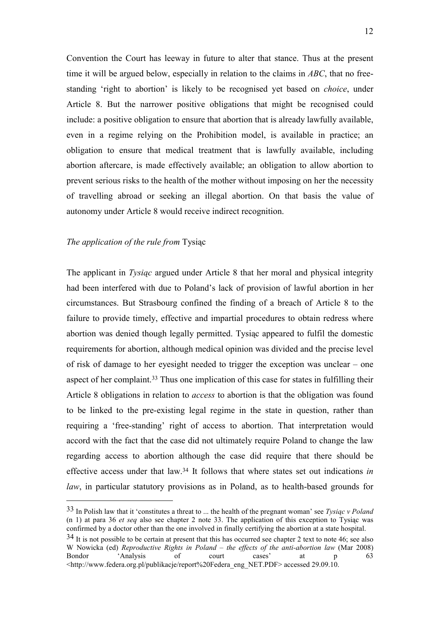Convention the Court has leeway in future to alter that stance. Thus at the present time it will be argued below, especially in relation to the claims in *ABC*, that no freestanding 'right to abortion' is likely to be recognised yet based on *choice*, under Article 8. But the narrower positive obligations that might be recognised could include: a positive obligation to ensure that abortion that is already lawfully available, even in a regime relying on the Prohibition model, is available in practice; an obligation to ensure that medical treatment that is lawfully available, including abortion aftercare, is made effectively available; an obligation to allow abortion to prevent serious risks to the health of the mother without imposing on her the necessity of travelling abroad or seeking an illegal abortion. On that basis the value of autonomy under Article 8 would receive indirect recognition.

### *The application of the rule from* Tysiąc

<u>.</u>

The applicant in *Tysiąc* argued under Article 8 that her moral and physical integrity had been interfered with due to Poland's lack of provision of lawful abortion in her circumstances. But Strasbourg confined the finding of a breach of Article 8 to the failure to provide timely, effective and impartial procedures to obtain redress where abortion was denied though legally permitted. Tysiąc appeared to fulfil the domestic requirements for abortion, although medical opinion was divided and the precise level of risk of damage to her eyesight needed to trigger the exception was unclear – one aspect of her complaint.<sup>33</sup> Thus one implication of this case for states in fulfilling their Article 8 obligations in relation to *access* to abortion is that the obligation was found to be linked to the pre-existing legal regime in the state in question, rather than requiring a 'free-standing' right of access to abortion. That interpretation would accord with the fact that the case did not ultimately require Poland to change the law regarding access to abortion although the case did require that there should be effective access under that law.<sup>34</sup> It follows that where states set out indications *in law*, in particular statutory provisions as in Poland, as to health-based grounds for

<sup>33</sup> In Polish law that it 'constitutes a threat to ... the health of the pregnant woman' see *Tysiąc v Poland*  (n 1) at para 36 *et seq* also see chapter 2 note 33. The application of this exception to Tysiąc was confirmed by a doctor other than the one involved in finally certifying the abortion at a state hospital.

 $34$  It is not possible to be certain at present that this has occurred see chapter 2 text to note 46; see also W Nowicka (ed) *Reproductive Rights in Poland – the effects of the anti-abortion law* (Mar 2008) Bondor 'Analysis of court cases' at p 63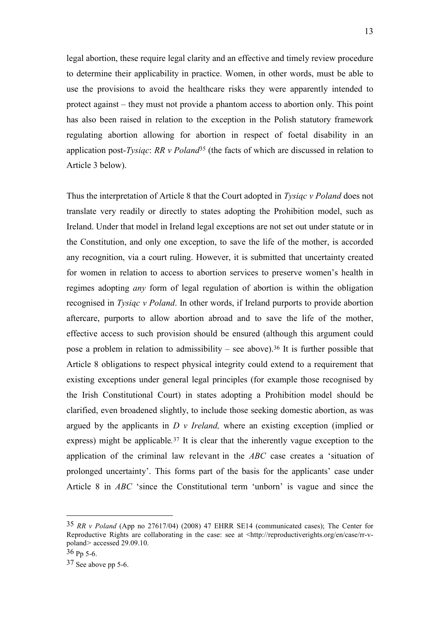legal abortion, these require legal clarity and an effective and timely review procedure to determine their applicability in practice. Women, in other words, must be able to use the provisions to avoid the healthcare risks they were apparently intended to protect against – they must not provide a phantom access to abortion only. This point has also been raised in relation to the exception in the Polish statutory framework regulating abortion allowing for abortion in respect of foetal disability in an application post-*Tysiąc*: *RR v Poland*<sup>35</sup> (the facts of which are discussed in relation to Article 3 below).

Thus the interpretation of Article 8 that the Court adopted in *Tysiąc v Poland* does not translate very readily or directly to states adopting the Prohibition model, such as Ireland. Under that model in Ireland legal exceptions are not set out under statute or in the Constitution, and only one exception, to save the life of the mother, is accorded any recognition, via a court ruling. However, it is submitted that uncertainty created for women in relation to access to abortion services to preserve women's health in regimes adopting *any* form of legal regulation of abortion is within the obligation recognised in *Tysiąc v Poland*. In other words, if Ireland purports to provide abortion aftercare, purports to allow abortion abroad and to save the life of the mother, effective access to such provision should be ensured (although this argument could pose a problem in relation to admissibility – see above).<sup>36</sup> It is further possible that Article 8 obligations to respect physical integrity could extend to a requirement that existing exceptions under general legal principles (for example those recognised by the Irish Constitutional Court) in states adopting a Prohibition model should be clarified, even broadened slightly, to include those seeking domestic abortion, as was argued by the applicants in *D v Ireland,* where an existing exception (implied or express) might be applicable*.* <sup>37</sup> It is clear that the inherently vague exception to the application of the criminal law relevant in the *ABC* case creates a 'situation of prolonged uncertainty'. This forms part of the basis for the applicants' case under Article 8 in *ABC* 'since the Constitutional term 'unborn' is vague and since the

<sup>35</sup> *RR v Poland* (App no 27617/04) (2008) 47 EHRR SE14 (communicated cases); The Center for Reproductive Rights are collaborating in the case: see at <http://reproductiverights.org/en/case/rr-vpoland*>* accessed 29.09.10.

<sup>36</sup> Pp 5-6.

<sup>37</sup> See above pp 5-6.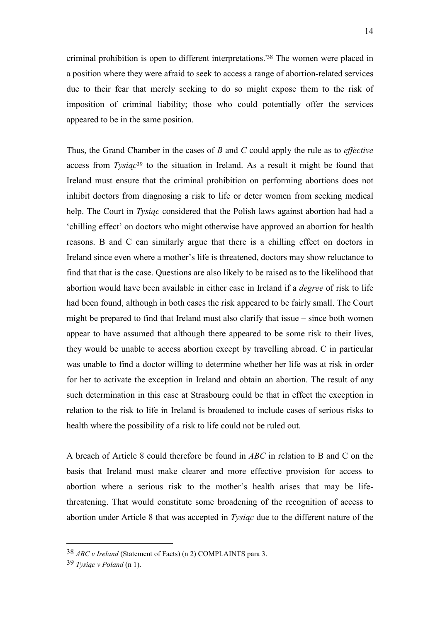criminal prohibition is open to different interpretations.'<sup>38</sup> The women were placed in a position where they were afraid to seek to access a range of abortion-related services due to their fear that merely seeking to do so might expose them to the risk of imposition of criminal liability; those who could potentially offer the services appeared to be in the same position.

Thus, the Grand Chamber in the cases of *B* and *C* could apply the rule as to *effective* access from *Tysiąc*<sup>39</sup> to the situation in Ireland. As a result it might be found that Ireland must ensure that the criminal prohibition on performing abortions does not inhibit doctors from diagnosing a risk to life or deter women from seeking medical help. The Court in *Tysiąc* considered that the Polish laws against abortion had had a 'chilling effect' on doctors who might otherwise have approved an abortion for health reasons. B and C can similarly argue that there is a chilling effect on doctors in Ireland since even where a mother's life is threatened, doctors may show reluctance to find that that is the case. Questions are also likely to be raised as to the likelihood that abortion would have been available in either case in Ireland if a *degree* of risk to life had been found, although in both cases the risk appeared to be fairly small. The Court might be prepared to find that Ireland must also clarify that issue – since both women appear to have assumed that although there appeared to be some risk to their lives, they would be unable to access abortion except by travelling abroad. C in particular was unable to find a doctor willing to determine whether her life was at risk in order for her to activate the exception in Ireland and obtain an abortion. The result of any such determination in this case at Strasbourg could be that in effect the exception in relation to the risk to life in Ireland is broadened to include cases of serious risks to health where the possibility of a risk to life could not be ruled out.

A breach of Article 8 could therefore be found in *ABC* in relation to B and C on the basis that Ireland must make clearer and more effective provision for access to abortion where a serious risk to the mother's health arises that may be lifethreatening. That would constitute some broadening of the recognition of access to abortion under Article 8 that was accepted in *Tysiąc* due to the different nature of the

<sup>38</sup> *ABC v Ireland* (Statement of Facts) (n 2) COMPLAINTS para 3.

<sup>39</sup> *Tysiąc v Poland* (n 1).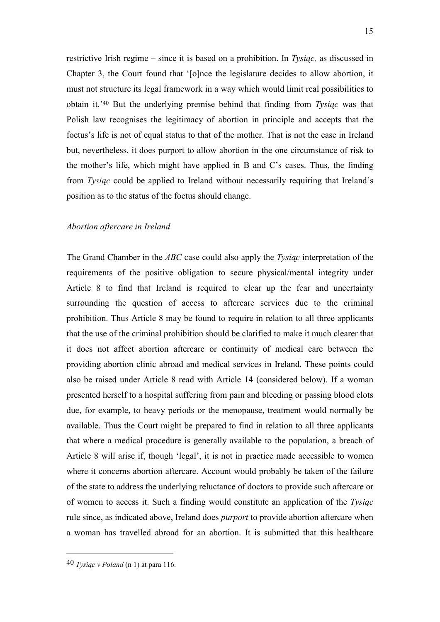restrictive Irish regime – since it is based on a prohibition. In *Tysiąc,* as discussed in Chapter 3, the Court found that '[o]nce the legislature decides to allow abortion, it must not structure its legal framework in a way which would limit real possibilities to obtain it.'<sup>40</sup> But the underlying premise behind that finding from *Tysiąc* was that Polish law recognises the legitimacy of abortion in principle and accepts that the foetus's life is not of equal status to that of the mother. That is not the case in Ireland but, nevertheless, it does purport to allow abortion in the one circumstance of risk to the mother's life, which might have applied in B and C's cases. Thus, the finding from *Tysiąc* could be applied to Ireland without necessarily requiring that Ireland's position as to the status of the foetus should change.

### *Abortion aftercare in Ireland*

The Grand Chamber in the *ABC* case could also apply the *Tysiąc* interpretation of the requirements of the positive obligation to secure physical/mental integrity under Article 8 to find that Ireland is required to clear up the fear and uncertainty surrounding the question of access to aftercare services due to the criminal prohibition. Thus Article 8 may be found to require in relation to all three applicants that the use of the criminal prohibition should be clarified to make it much clearer that it does not affect abortion aftercare or continuity of medical care between the providing abortion clinic abroad and medical services in Ireland. These points could also be raised under Article 8 read with Article 14 (considered below). If a woman presented herself to a hospital suffering from pain and bleeding or passing blood clots due, for example, to heavy periods or the menopause, treatment would normally be available. Thus the Court might be prepared to find in relation to all three applicants that where a medical procedure is generally available to the population, a breach of Article 8 will arise if, though 'legal', it is not in practice made accessible to women where it concerns abortion aftercare. Account would probably be taken of the failure of the state to address the underlying reluctance of doctors to provide such aftercare or of women to access it. Such a finding would constitute an application of the *Tysiąc* rule since, as indicated above, Ireland does *purport* to provide abortion aftercare when a woman has travelled abroad for an abortion. It is submitted that this healthcare

<sup>40</sup> *Tysiąc v Poland* (n 1) at para 116.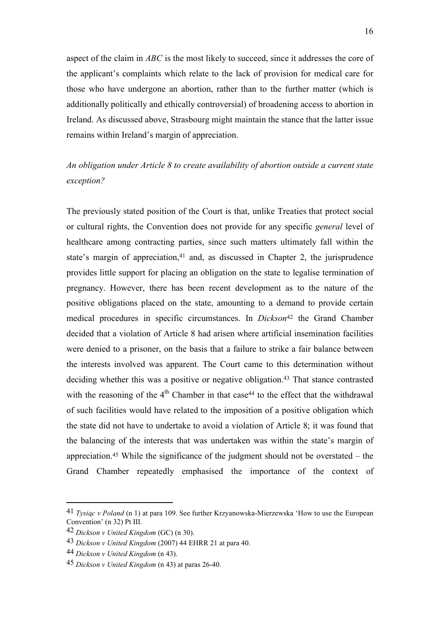aspect of the claim in *ABC* is the most likely to succeed, since it addresses the core of the applicant's complaints which relate to the lack of provision for medical care for those who have undergone an abortion, rather than to the further matter (which is additionally politically and ethically controversial) of broadening access to abortion in Ireland. As discussed above, Strasbourg might maintain the stance that the latter issue remains within Ireland's margin of appreciation.

## *An obligation under Article 8 to create availability of abortion outside a current state exception?*

The previously stated position of the Court is that, unlike Treaties that protect social or cultural rights, the Convention does not provide for any specific *general* level of healthcare among contracting parties, since such matters ultimately fall within the state's margin of appreciation,<sup>41</sup> and, as discussed in Chapter 2, the jurisprudence provides little support for placing an obligation on the state to legalise termination of pregnancy. However, there has been recent development as to the nature of the positive obligations placed on the state, amounting to a demand to provide certain medical procedures in specific circumstances. In *Dickson*<sup>42</sup> the Grand Chamber decided that a violation of Article 8 had arisen where artificial insemination facilities were denied to a prisoner, on the basis that a failure to strike a fair balance between the interests involved was apparent. The Court came to this determination without deciding whether this was a positive or negative obligation.<sup>43</sup> That stance contrasted with the reasoning of the  $4<sup>th</sup>$  Chamber in that case<sup>44</sup> to the effect that the withdrawal of such facilities would have related to the imposition of a positive obligation which the state did not have to undertake to avoid a violation of Article 8; it was found that the balancing of the interests that was undertaken was within the state's margin of appreciation.<sup>45</sup> While the significance of the judgment should not be overstated – the Grand Chamber repeatedly emphasised the importance of the context of

<sup>41</sup> *Tysiąc v Poland* (n 1) at para 109. See further Krzyanowska-Mierzewska 'How to use the European Convention' (n 32) Pt III.

<sup>42</sup> *Dickson v United Kingdom* (GC) (n 30).

<sup>43</sup> *Dickson v United Kingdom* (2007) 44 EHRR 21 at para 40.

<sup>44</sup> *Dickson v United Kingdom* (n 43).

<sup>45</sup> *Dickson v United Kingdom* (n 43) at paras 26-40.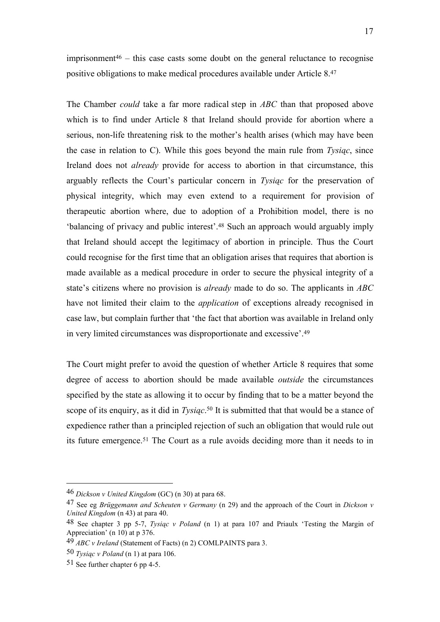$imprisomment<sup>46</sup> - this case casts some doubt on the general reductance to recognise$ positive obligations to make medical procedures available under Article 8.<sup>47</sup>

The Chamber *could* take a far more radical step in *ABC* than that proposed above which is to find under Article 8 that Ireland should provide for abortion where a serious, non-life threatening risk to the mother's health arises (which may have been the case in relation to C). While this goes beyond the main rule from *Tysiąc*, since Ireland does not *already* provide for access to abortion in that circumstance, this arguably reflects the Court's particular concern in *Tysiąc* for the preservation of physical integrity, which may even extend to a requirement for provision of therapeutic abortion where, due to adoption of a Prohibition model, there is no 'balancing of privacy and public interest'.<sup>48</sup> Such an approach would arguably imply that Ireland should accept the legitimacy of abortion in principle. Thus the Court could recognise for the first time that an obligation arises that requires that abortion is made available as a medical procedure in order to secure the physical integrity of a state's citizens where no provision is *already* made to do so. The applicants in *ABC*  have not limited their claim to the *application* of exceptions already recognised in case law, but complain further that 'the fact that abortion was available in Ireland only in very limited circumstances was disproportionate and excessive'.<sup>49</sup>

The Court might prefer to avoid the question of whether Article 8 requires that some degree of access to abortion should be made available *outside* the circumstances specified by the state as allowing it to occur by finding that to be a matter beyond the scope of its enquiry, as it did in *Tysiąc*. <sup>50</sup> It is submitted that that would be a stance of expedience rather than a principled rejection of such an obligation that would rule out its future emergence.<sup>51</sup> The Court as a rule avoids deciding more than it needs to in

<sup>46</sup> *Dickson v United Kingdom* (GC) (n 30) at para 68.

<sup>47</sup> See eg *Brüggemann and Scheuten v Germany* (n 29) and the approach of the Court in *Dickson v United Kingdom* (n 43) at para 40.

<sup>48</sup> See chapter 3 pp 5-7, *Tysiąc v Poland* (n 1) at para 107 and Priaulx 'Testing the Margin of Appreciation' (n 10) at p  $376$ .

<sup>49</sup> *ABC v Ireland* (Statement of Facts) (n 2) COMLPAINTS para 3.

<sup>50</sup> *Tysiąc v Poland* (n 1) at para 106.

<sup>51</sup> See further chapter 6 pp 4-5.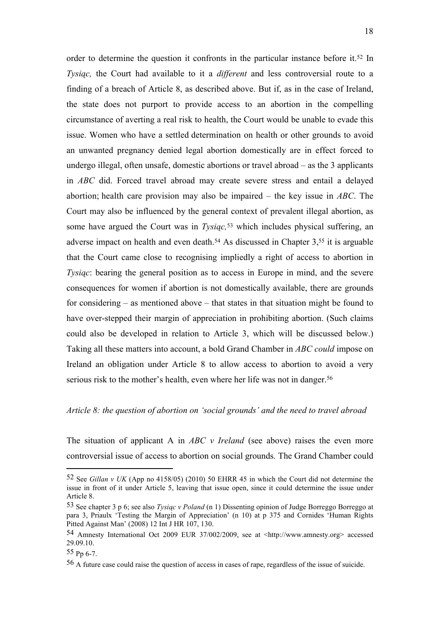order to determine the question it confronts in the particular instance before it.<sup>52</sup> In *Tysiąc,* the Court had available to it a *different* and less controversial route to a finding of a breach of Article 8, as described above. But if, as in the case of Ireland, the state does not purport to provide access to an abortion in the compelling circumstance of averting a real risk to health, the Court would be unable to evade this issue. Women who have a settled determination on health or other grounds to avoid an unwanted pregnancy denied legal abortion domestically are in effect forced to undergo illegal, often unsafe, domestic abortions or travel abroad – as the 3 applicants in *ABC* did. Forced travel abroad may create severe stress and entail a delayed abortion; health care provision may also be impaired – the key issue in *ABC*. The Court may also be influenced by the general context of prevalent illegal abortion, as some have argued the Court was in *Tysiąc,*<sup>53</sup> which includes physical suffering, an adverse impact on health and even death.<sup>54</sup> As discussed in Chapter  $3,55$  it is arguable that the Court came close to recognising impliedly a right of access to abortion in *Tysiąc*: bearing the general position as to access in Europe in mind, and the severe consequences for women if abortion is not domestically available, there are grounds for considering – as mentioned above – that states in that situation might be found to have over-stepped their margin of appreciation in prohibiting abortion. (Such claims could also be developed in relation to Article 3, which will be discussed below.) Taking all these matters into account, a bold Grand Chamber in *ABC could* impose on Ireland an obligation under Article 8 to allow access to abortion to avoid a very serious risk to the mother's health, even where her life was not in danger.<sup>56</sup>

#### *Article 8: the question of abortion on 'social grounds' and the need to travel abroad*

The situation of applicant A in *ABC v Ireland* (see above) raises the even more controversial issue of access to abortion on social grounds*.* The Grand Chamber could

<sup>52</sup> See *Gillan v UK* (App no 4158/05) (2010) 50 EHRR 45 in which the Court did not determine the issue in front of it under Article 5, leaving that issue open, since it could determine the issue under Article 8.

<sup>53</sup> See chapter 3 p 6; see also *Tysiąc v Poland* (n 1) Dissenting opinion of Judge Borreggo Borreggo at para 3, Priaulx 'Testing the Margin of Appreciation' (n 10) at p 375 and Cornides 'Human Rights Pitted Against Man' (2008) 12 Int J HR 107, 130.

<sup>54</sup> Amnesty International Oct 2009 EUR 37/002/2009, see at <http://www.amnesty.org> accessed 29.09.10.

<sup>55</sup> Pp 6-7.

<sup>56</sup> A future case could raise the question of access in cases of rape, regardless of the issue of suicide.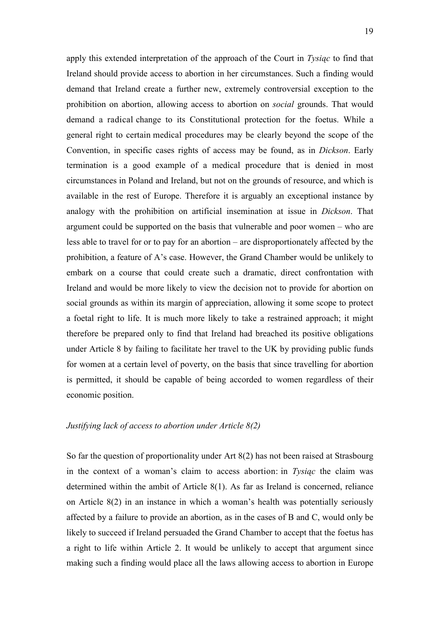apply this extended interpretation of the approach of the Court in *Tysiąc* to find that Ireland should provide access to abortion in her circumstances. Such a finding would demand that Ireland create a further new, extremely controversial exception to the prohibition on abortion, allowing access to abortion on *social* grounds. That would demand a radical change to its Constitutional protection for the foetus. While a general right to certain medical procedures may be clearly beyond the scope of the Convention, in specific cases rights of access may be found, as in *Dickson*. Early termination is a good example of a medical procedure that is denied in most circumstances in Poland and Ireland, but not on the grounds of resource, and which is available in the rest of Europe. Therefore it is arguably an exceptional instance by analogy with the prohibition on artificial insemination at issue in *Dickson*. That argument could be supported on the basis that vulnerable and poor women – who are less able to travel for or to pay for an abortion – are disproportionately affected by the prohibition, a feature of A's case. However, the Grand Chamber would be unlikely to embark on a course that could create such a dramatic, direct confrontation with Ireland and would be more likely to view the decision not to provide for abortion on social grounds as within its margin of appreciation, allowing it some scope to protect a foetal right to life. It is much more likely to take a restrained approach; it might therefore be prepared only to find that Ireland had breached its positive obligations under Article 8 by failing to facilitate her travel to the UK by providing public funds for women at a certain level of poverty, on the basis that since travelling for abortion is permitted, it should be capable of being accorded to women regardless of their economic position.

## *Justifying lack of access to abortion under Article 8(2)*

So far the question of proportionality under Art 8(2) has not been raised at Strasbourg in the context of a woman's claim to access abortion: in *Tysiąc* the claim was determined within the ambit of Article 8(1). As far as Ireland is concerned, reliance on Article 8(2) in an instance in which a woman's health was potentially seriously affected by a failure to provide an abortion, as in the cases of B and C, would only be likely to succeed if Ireland persuaded the Grand Chamber to accept that the foetus has a right to life within Article 2. It would be unlikely to accept that argument since making such a finding would place all the laws allowing access to abortion in Europe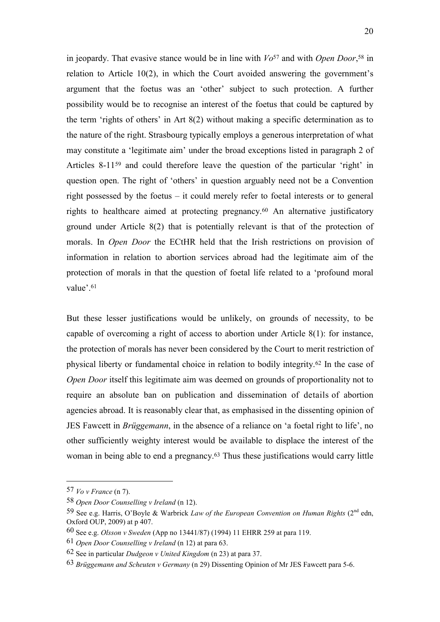in jeopardy. That evasive stance would be in line with *Vo*<sup>57</sup> and with *Open Door*, <sup>58</sup> in relation to Article 10(2), in which the Court avoided answering the government's argument that the foetus was an 'other' subject to such protection. A further possibility would be to recognise an interest of the foetus that could be captured by the term 'rights of others' in Art 8(2) without making a specific determination as to the nature of the right. Strasbourg typically employs a generous interpretation of what may constitute a 'legitimate aim' under the broad exceptions listed in paragraph 2 of Articles 8-11<sup>59</sup> and could therefore leave the question of the particular 'right' in question open. The right of 'others' in question arguably need not be a Convention right possessed by the foetus – it could merely refer to foetal interests or to general rights to healthcare aimed at protecting pregnancy. <sup>60</sup> An alternative justificatory ground under Article 8(2) that is potentially relevant is that of the protection of morals. In *Open Door* the ECtHR held that the Irish restrictions on provision of information in relation to abortion services abroad had the legitimate aim of the protection of morals in that the question of foetal life related to a 'profound moral value'.<sup>61</sup>

But these lesser justifications would be unlikely, on grounds of necessity, to be capable of overcoming a right of access to abortion under Article 8(1): for instance, the protection of morals has never been considered by the Court to merit restriction of physical liberty or fundamental choice in relation to bodily integrity.<sup>62</sup> In the case of *Open Door* itself this legitimate aim was deemed on grounds of proportionality not to require an absolute ban on publication and dissemination of details of abortion agencies abroad. It is reasonably clear that, as emphasised in the dissenting opinion of JES Fawcett in *Brüggemann*, in the absence of a reliance on 'a foetal right to life', no other sufficiently weighty interest would be available to displace the interest of the woman in being able to end a pregnancy. <sup>63</sup> Thus these justifications would carry little

<sup>57</sup> *Vo v France* (n 7).

<sup>58</sup> *Open Door Counselling v Ireland* (n 12).

<sup>59</sup> See e.g. Harris, O'Boyle & Warbrick *Law of the European Convention on Human Rights* (2nd edn, Oxford OUP, 2009) at p 407.

<sup>60</sup> See e.g. *Olsson v Sweden* (App no 13441/87) (1994) 11 EHRR 259 at para 119.

<sup>61</sup> *Open Door Counselling v Ireland* (n 12) at para 63.

<sup>62</sup> See in particular *Dudgeon v United Kingdom* (n 23) at para 37.

<sup>63</sup> *Brüggemann and Scheuten v Germany* (n 29) Dissenting Opinion of Mr JES Fawcett para 5-6.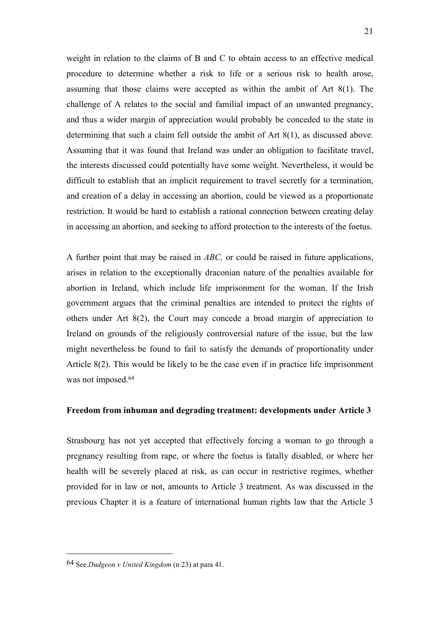weight in relation to the claims of B and C to obtain access to an effective medical procedure to determine whether a risk to life or a serious risk to health arose, assuming that those claims were accepted as within the ambit of Art 8(1). The challenge of A relates to the social and familial impact of an unwanted pregnancy, and thus a wider margin of appreciation would probably be conceded to the state in determining that such a claim fell outside the ambit of Art 8(1), as discussed above. Assuming that it was found that Ireland was under an obligation to facilitate travel, the interests discussed could potentially have some weight. Nevertheless, it would be difficult to establish that an implicit requirement to travel secretly for a termination, and creation of a delay in accessing an abortion, could be viewed as a proportionate restriction. It would be hard to establish a rational connection between creating delay in accessing an abortion, and seeking to afford protection to the interests of the foetus.

A further point that may be raised in *ABC,* or could be raised in future applications, arises in relation to the exceptionally draconian nature of the penalties available for abortion in Ireland, which include life imprisonment for the woman. If the Irish government argues that the criminal penalties are intended to protect the rights of others under Art 8(2), the Court may concede a broad margin of appreciation to Ireland on grounds of the religiously controversial nature of the issue, but the law might nevertheless be found to fail to satisfy the demands of proportionality under Article 8(2). This would be likely to be the case even if in practice life imprisonment was not imposed.<sup>64</sup>

## **Freedom from inhuman and degrading treatment: developments under Article 3**

Strasbourg has not yet accepted that effectively forcing a woman to go through a pregnancy resulting from rape, or where the foetus is fatally disabled, or where her health will be severely placed at risk, as can occur in restrictive regimes, whether provided for in law or not, amounts to Article 3 treatment. As was discussed in the previous Chapter it is a feature of international human rights law that the Article 3

<sup>64</sup> See *Dudgeon v United Kingdom* (n 23) at para 41.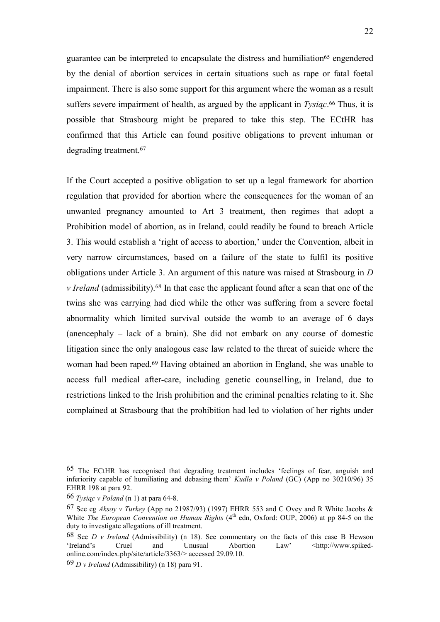guarantee can be interpreted to encapsulate the distress and humiliation<sup>65</sup> engendered by the denial of abortion services in certain situations such as rape or fatal foetal impairment. There is also some support for this argument where the woman as a result suffers severe impairment of health, as argued by the applicant in *Tysiąc*. <sup>66</sup> Thus, it is possible that Strasbourg might be prepared to take this step. The ECtHR has confirmed that this Article can found positive obligations to prevent inhuman or degrading treatment.<sup>67</sup>

If the Court accepted a positive obligation to set up a legal framework for abortion regulation that provided for abortion where the consequences for the woman of an unwanted pregnancy amounted to Art 3 treatment, then regimes that adopt a Prohibition model of abortion, as in Ireland, could readily be found to breach Article 3. This would establish a 'right of access to abortion,' under the Convention, albeit in very narrow circumstances, based on a failure of the state to fulfil its positive obligations under Article 3. An argument of this nature was raised at Strasbourg in *D v Ireland* (admissibility).<sup>68</sup> In that case the applicant found after a scan that one of the twins she was carrying had died while the other was suffering from a severe foetal abnormality which limited survival outside the womb to an average of 6 days (anencephaly – lack of a brain). She did not embark on any course of domestic litigation since the only analogous case law related to the threat of suicide where the woman had been raped.<sup>69</sup> Having obtained an abortion in England, she was unable to access full medical after-care, including genetic counselling, in Ireland, due to restrictions linked to the Irish prohibition and the criminal penalties relating to it. She complained at Strasbourg that the prohibition had led to violation of her rights under

<sup>65</sup> The ECtHR has recognised that degrading treatment includes 'feelings of fear, anguish and inferiority capable of humiliating and debasing them' *Kudla v Poland* (GC) (App no 30210/96) 35 EHRR 198 at para 92.

<sup>66</sup> *Tysiąc v Poland* (n 1) at para 64-8.

<sup>67</sup> See eg *Aksoy v Turkey* (App no 21987/93) (1997) EHRR 553 and C Ovey and R White Jacobs & White *The European Convention on Human Rights* (4<sup>th</sup> edn, Oxford: OUP, 2006) at pp 84-5 on the duty to investigate allegations of ill treatment.

<sup>68</sup> See *D v Ireland* (Admissibility) (n 18). See commentary on the facts of this case B Hewson 'Ireland's Cruel and Unusual Abortion Law' <http://www.spikedonline.com/index.php/site/article/3363/> accessed 29.09.10.

<sup>69</sup> *D v Ireland* (Admissibility) (n 18) para 91.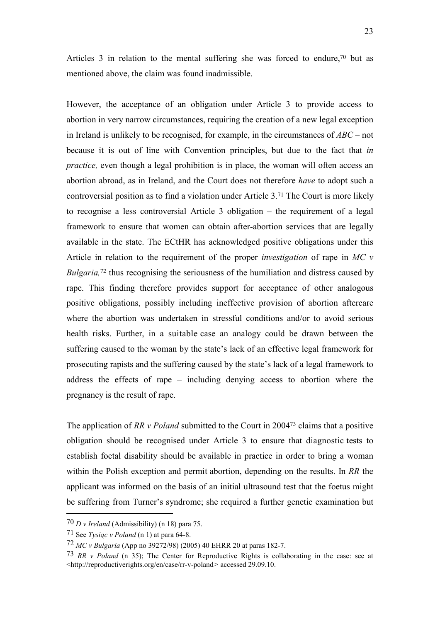Articles 3 in relation to the mental suffering she was forced to endure, $70$  but as mentioned above, the claim was found inadmissible.

However, the acceptance of an obligation under Article 3 to provide access to abortion in very narrow circumstances, requiring the creation of a new legal exception in Ireland is unlikely to be recognised, for example, in the circumstances of *ABC* – not because it is out of line with Convention principles, but due to the fact that *in practice,* even though a legal prohibition is in place, the woman will often access an abortion abroad, as in Ireland, and the Court does not therefore *have* to adopt such a controversial position as to find a violation under Article 3.<sup>71</sup> The Court is more likely to recognise a less controversial Article 3 obligation – the requirement of a legal framework to ensure that women can obtain after-abortion services that are legally available in the state. The ECtHR has acknowledged positive obligations under this Article in relation to the requirement of the proper *investigation* of rape in *MC v Bulgaria*,<sup>72</sup> thus recognising the seriousness of the humiliation and distress caused by rape. This finding therefore provides support for acceptance of other analogous positive obligations, possibly including ineffective provision of abortion aftercare where the abortion was undertaken in stressful conditions and/or to avoid serious health risks. Further, in a suitable case an analogy could be drawn between the suffering caused to the woman by the state's lack of an effective legal framework for prosecuting rapists and the suffering caused by the state's lack of a legal framework to address the effects of rape – including denying access to abortion where the pregnancy is the result of rape.

The application of *RR v Poland* submitted to the Court in 2004<sup>73</sup> claims that a positive obligation should be recognised under Article 3 to ensure that diagnostic tests to establish foetal disability should be available in practice in order to bring a woman within the Polish exception and permit abortion, depending on the results. In *RR* the applicant was informed on the basis of an initial ultrasound test that the foetus might be suffering from Turner's syndrome; she required a further genetic examination but

<sup>70</sup> *D v Ireland* (Admissibility) (n 18) para 75.

<sup>71</sup> See *Tysiąc v Poland* (n 1) at para 64-8.

<sup>72</sup> *MC v Bulgaria* (App no 39272/98) (2005) 40 EHRR 20 at paras 182-7.

<sup>73</sup> *RR v Poland* (n 35); The Center for Reproductive Rights is collaborating in the case: see at <http://reproductiverights.org/en/case/rr-v-poland*>* accessed 29.09.10.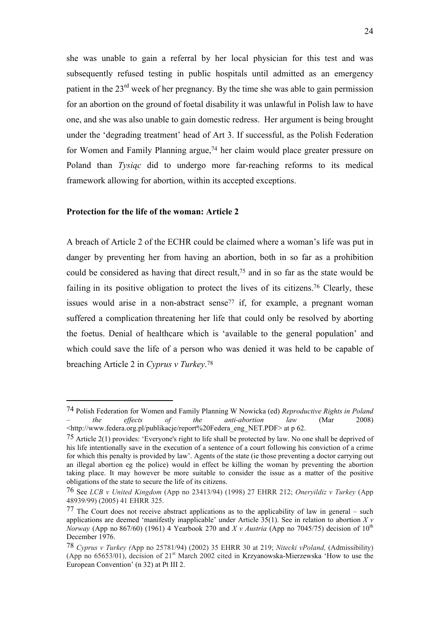she was unable to gain a referral by her local physician for this test and was subsequently refused testing in public hospitals until admitted as an emergency patient in the  $23<sup>rd</sup>$  week of her pregnancy. By the time she was able to gain permission for an abortion on the ground of foetal disability it was unlawful in Polish law to have one, and she was also unable to gain domestic redress. Her argument is being brought under the 'degrading treatment' head of Art 3. If successful, as the Polish Federation for Women and Family Planning argue,<sup>74</sup> her claim would place greater pressure on Poland than *Tysiąc* did to undergo more far-reaching reforms to its medical framework allowing for abortion, within its accepted exceptions.

#### **Protection for the life of the woman: Article 2**

1

A breach of Article 2 of the ECHR could be claimed where a woman's life was put in danger by preventing her from having an abortion, both in so far as a prohibition could be considered as having that direct result,<sup>75</sup> and in so far as the state would be failing in its positive obligation to protect the lives of its citizens.<sup>76</sup> Clearly, these issues would arise in a non-abstract sense<sup> $77$ </sup> if, for example, a pregnant woman suffered a complication threatening her life that could only be resolved by aborting the foetus. Denial of healthcare which is 'available to the general population' and which could save the life of a person who was denied it was held to be capable of breaching Article 2 in *Cyprus v Turkey*. 78

<sup>74</sup> Polish Federation for Women and Family Planning W Nowicka (ed) *Reproductive Rights in Poland – the effects of the anti-abortion law* (Mar 2008) <http://www.federa.org.pl/publikacje/report%20Federa\_eng\_NET.PDF> at p 62.

<sup>&</sup>lt;sup>75</sup> Article 2(1) provides: 'Everyone's right to life shall be protected by law. No one shall be deprived of his life intentionally save in the execution of a sentence of a court following his conviction of a crime for which this penalty is provided by law'. Agents of the state (ie those preventing a doctor carrying out an illegal abortion eg the police) would in effect be killing the woman by preventing the abortion taking place. It may however be more suitable to consider the issue as a matter of the positive obligations of the state to secure the life of its citizens.

<sup>76</sup> See *LCB v United Kingdom* (App no 23413/94) (1998) 27 EHRR 212; *Oneryildiz v Turkey* (App 48939/99) (2005) 41 EHRR 325.

<sup>77</sup> The Court does not receive abstract applications as to the applicability of law in general – such applications are deemed 'manifestly inapplicable' under Article 35(1). See in relation to abortion  $X y$ *Norway* (App no 867/60) (1961) 4 Yearbook 270 and *X v Austria* (App no 7045/75) decision of 10<sup>th</sup> December 1976.

<sup>78</sup> *Cyprus v Turkey (*App no 25781/94) (2002) 35 EHRR 30 at 219; *Nitecki vPoland,* (Admissibility) (App no 65653/01), decision of 21st March 2002 cited in Krzyanowska-Mierzewska 'How to use the European Convention' (n 32) at Pt III 2.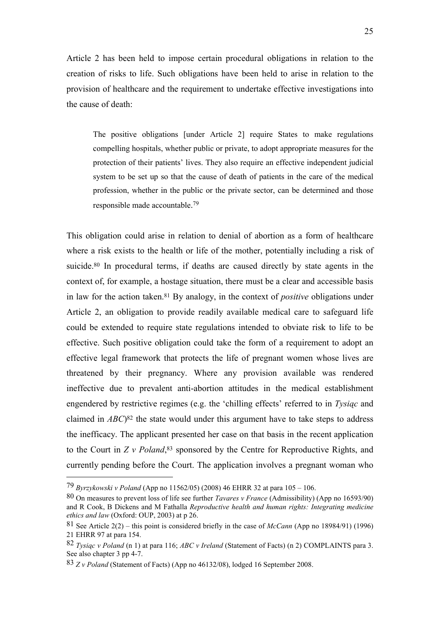Article 2 has been held to impose certain procedural obligations in relation to the creation of risks to life. Such obligations have been held to arise in relation to the provision of healthcare and the requirement to undertake effective investigations into the cause of death:

The positive obligations funder Article 21 require States to make regulations compelling hospitals, whether public or private, to adopt appropriate measures for the protection of their patients' lives. They also require an effective independent judicial system to be set up so that the cause of death of patients in the care of the medical profession, whether in the public or the private sector, can be determined and those responsible made accountable. 79

This obligation could arise in relation to denial of abortion as a form of healthcare where a risk exists to the health or life of the mother, potentially including a risk of suicide.<sup>80</sup> In procedural terms, if deaths are caused directly by state agents in the context of, for example, a hostage situation, there must be a clear and accessible basis in law for the action taken.<sup>81</sup> By analogy, in the context of *positive* obligations under Article 2, an obligation to provide readily available medical care to safeguard life could be extended to require state regulations intended to obviate risk to life to be effective. Such positive obligation could take the form of a requirement to adopt an effective legal framework that protects the life of pregnant women whose lives are threatened by their pregnancy. Where any provision available was rendered ineffective due to prevalent anti-abortion attitudes in the medical establishment engendered by restrictive regimes (e.g. the 'chilling effects' referred to in *Tysiąc* and claimed in *ABC*) <sup>82</sup> the state would under this argument have to take steps to address the inefficacy. The applicant presented her case on that basis in the recent application to the Court in *Z v Poland*, <sup>83</sup> sponsored by the Centre for Reproductive Rights, and currently pending before the Court. The application involves a pregnant woman who

<sup>79</sup> *Byrzykowski v Poland* (App no 11562/05) (2008) 46 EHRR 32 at para 105 – 106.

<sup>80</sup> On measures to prevent loss of life see further *Tavares v France* (Admissibility) (App no 16593/90) and R Cook, B Dickens and M Fathalla *Reproductive health and human rights: Integrating medicine ethics and law* (Oxford: OUP, 2003) at p 26.

<sup>81</sup> See Article 2(2) – this point is considered briefly in the case of *McCann* (App no 18984/91) (1996) 21 EHRR 97 at para 154.

<sup>82</sup> *Tysiąc v Poland* (n 1) at para 116; *ABC v Ireland* (Statement of Facts) (n 2) COMPLAINTS para 3. See also chapter 3 pp 4-7.

<sup>83</sup> *Z v Poland* (Statement of Facts) (App no 46132/08), lodged 16 September 2008.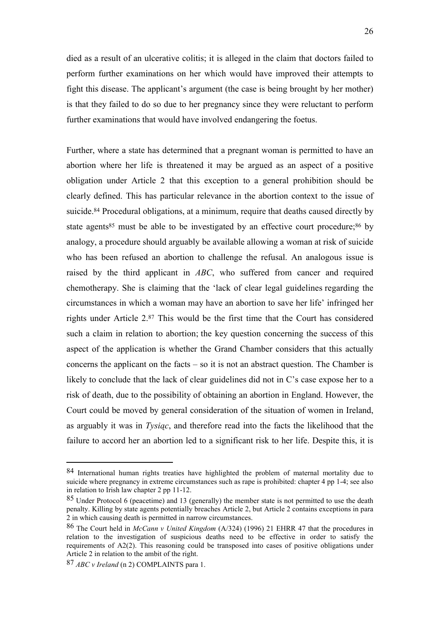died as a result of an ulcerative colitis; it is alleged in the claim that doctors failed to perform further examinations on her which would have improved their attempts to fight this disease. The applicant's argument (the case is being brought by her mother) is that they failed to do so due to her pregnancy since they were reluctant to perform further examinations that would have involved endangering the foetus.

Further, where a state has determined that a pregnant woman is permitted to have an abortion where her life is threatened it may be argued as an aspect of a positive obligation under Article 2 that this exception to a general prohibition should be clearly defined. This has particular relevance in the abortion context to the issue of suicide.<sup>84</sup> Procedural obligations, at a minimum, require that deaths caused directly by state agents<sup>85</sup> must be able to be investigated by an effective court procedure;<sup>86</sup> by analogy, a procedure should arguably be available allowing a woman at risk of suicide who has been refused an abortion to challenge the refusal. An analogous issue is raised by the third applicant in *ABC*, who suffered from cancer and required chemotherapy. She is claiming that the 'lack of clear legal guidelines regarding the circumstances in which a woman may have an abortion to save her life' infringed her rights under Article 2.<sup>87</sup> This would be the first time that the Court has considered such a claim in relation to abortion; the key question concerning the success of this aspect of the application is whether the Grand Chamber considers that this actually concerns the applicant on the facts – so it is not an abstract question. The Chamber is likely to conclude that the lack of clear guidelines did not in C's case expose her to a risk of death, due to the possibility of obtaining an abortion in England. However, the Court could be moved by general consideration of the situation of women in Ireland, as arguably it was in *Tysiąc*, and therefore read into the facts the likelihood that the failure to accord her an abortion led to a significant risk to her life. Despite this, it is

<sup>84</sup> International human rights treaties have highlighted the problem of maternal mortality due to suicide where pregnancy in extreme circumstances such as rape is prohibited: chapter 4 pp 1-4; see also in relation to Irish law chapter 2 pp 11-12.

<sup>85</sup> Under Protocol 6 (peacetime) and 13 (generally) the member state is not permitted to use the death penalty. Killing by state agents potentially breaches Article 2, but Article 2 contains exceptions in para 2 in which causing death is permitted in narrow circumstances.

<sup>86</sup> The Court held in *McCann v United Kingdom* (A/324) (1996) 21 EHRR 47 that the procedures in relation to the investigation of suspicious deaths need to be effective in order to satisfy the requirements of A2(2). This reasoning could be transposed into cases of positive obligations under Article 2 in relation to the ambit of the right.

<sup>87</sup> *ABC v Ireland* (n 2) COMPLAINTS para 1.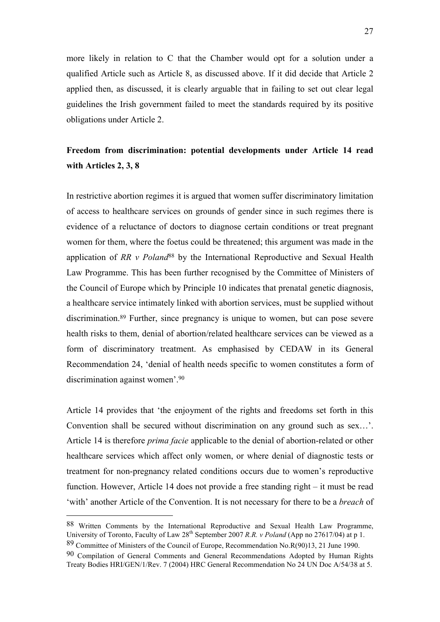more likely in relation to C that the Chamber would opt for a solution under a qualified Article such as Article 8, as discussed above. If it did decide that Article 2 applied then, as discussed, it is clearly arguable that in failing to set out clear legal guidelines the Irish government failed to meet the standards required by its positive obligations under Article 2.

# **Freedom from discrimination: potential developments under Article 14 read with Articles 2, 3, 8**

In restrictive abortion regimes it is argued that women suffer discriminatory limitation of access to healthcare services on grounds of gender since in such regimes there is evidence of a reluctance of doctors to diagnose certain conditions or treat pregnant women for them, where the foetus could be threatened; this argument was made in the application of *RR v Poland*<sup>88</sup> by the International Reproductive and Sexual Health Law Programme. This has been further recognised by the Committee of Ministers of the Council of Europe which by Principle 10 indicates that prenatal genetic diagnosis, a healthcare service intimately linked with abortion services, must be supplied without discrimination.<sup>89</sup> Further, since pregnancy is unique to women, but can pose severe health risks to them, denial of abortion/related healthcare services can be viewed as a form of discriminatory treatment. As emphasised by CEDAW in its General Recommendation 24, 'denial of health needs specific to women constitutes a form of discrimination against women'.<sup>90</sup>

Article 14 provides that 'the enjoyment of the rights and freedoms set forth in this Convention shall be secured without discrimination on any ground such as sex…'. Article 14 is therefore *prima facie* applicable to the denial of abortion-related or other healthcare services which affect only women, or where denial of diagnostic tests or treatment for non-pregnancy related conditions occurs due to women's reproductive function. However, Article 14 does not provide a free standing right – it must be read 'with' another Article of the Convention. It is not necessary for there to be a *breach* of

88 Written Comments by the International Reproductive and Sexual Health Law Programme, University of Toronto, Faculty of Law 28<sup>th</sup> September 2007 *R.R. v Poland* (App no 27617/04) at p 1. 89 Committee of Ministers of the Council of Europe, Recommendation No.R(90)13, 21 June 1990.

<sup>90</sup> Compilation of General Comments and General Recommendations Adopted by Human Rights Treaty Bodies HRI/GEN/1/Rev. 7 (2004) HRC General Recommendation No 24 UN Doc A/54/38 at 5.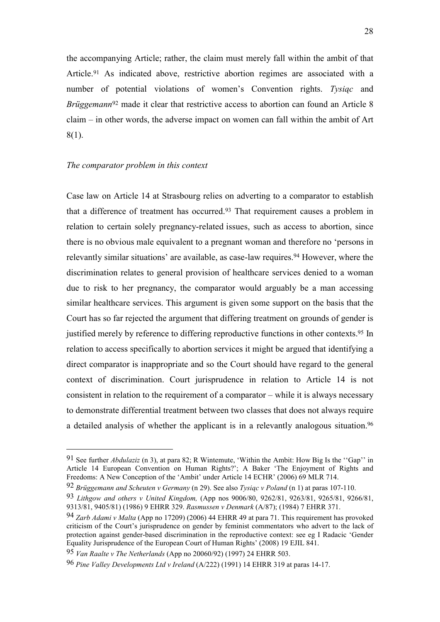the accompanying Article; rather, the claim must merely fall within the ambit of that Article.<sup>91</sup> As indicated above, restrictive abortion regimes are associated with a number of potential violations of women's Convention rights. *Tysiąc* and *Brüggemann*<sup>92</sup> made it clear that restrictive access to abortion can found an Article 8 claim – in other words, the adverse impact on women can fall within the ambit of Art 8(1).

## *The comparator problem in this context*

1

Case law on Article 14 at Strasbourg relies on adverting to a comparator to establish that a difference of treatment has occurred.<sup>93</sup> That requirement causes a problem in relation to certain solely pregnancy-related issues, such as access to abortion, since there is no obvious male equivalent to a pregnant woman and therefore no 'persons in relevantly similar situations' are available, as case-law requires.<sup>94</sup> However, where the discrimination relates to general provision of healthcare services denied to a woman due to risk to her pregnancy, the comparator would arguably be a man accessing similar healthcare services. This argument is given some support on the basis that the Court has so far rejected the argument that differing treatment on grounds of gender is justified merely by reference to differing reproductive functions in other contexts.<sup>95</sup> In relation to access specifically to abortion services it might be argued that identifying a direct comparator is inappropriate and so the Court should have regard to the general context of discrimination. Court jurisprudence in relation to Article 14 is not consistent in relation to the requirement of a comparator – while it is always necessary to demonstrate differential treatment between two classes that does not always require a detailed analysis of whether the applicant is in a relevantly analogous situation.<sup>96</sup>

95 *Van Raalte v The Netherlands* (App no 20060/92) (1997) 24 EHRR 503.

<sup>91</sup> See further *Abdulaziz* (n 3), at para 82; R Wintemute, 'Within the Ambit: How Big Is the ''Gap'' in Article 14 European Convention on Human Rights?'; A Baker 'The Enjoyment of Rights and Freedoms: A New Conception of the 'Ambit' under Article 14 ECHR' (2006) 69 MLR 714.

<sup>92</sup> *Brüggemann and Scheuten v Germany* (n 29). See also *Tysiąc v Poland* (n 1) at paras 107-110.

<sup>93</sup> *Lithgow and others v United Kingdom,* (App nos 9006/80, 9262/81, 9263/81, 9265/81, 9266/81, 9313/81, 9405/81) (1986) 9 EHRR 329. *Rasmussen v Denmark* (A/87); (1984) 7 EHRR 371.

<sup>94</sup> *Zarb Adami v Malta* (App no 17209) (2006) 44 EHRR 49 at para 71. This requirement has provoked criticism of the Court's jurisprudence on gender by feminist commentators who advert to the lack of protection against gender-based discrimination in the reproductive context: see eg I Radacic 'Gender Equality Jurisprudence of the European Court of Human Rights' (2008) 19 EJIL 841.

<sup>96</sup> *Pine Valley Developments Ltd v Ireland* (A/222) (1991) 14 EHRR 319 at paras 14-17.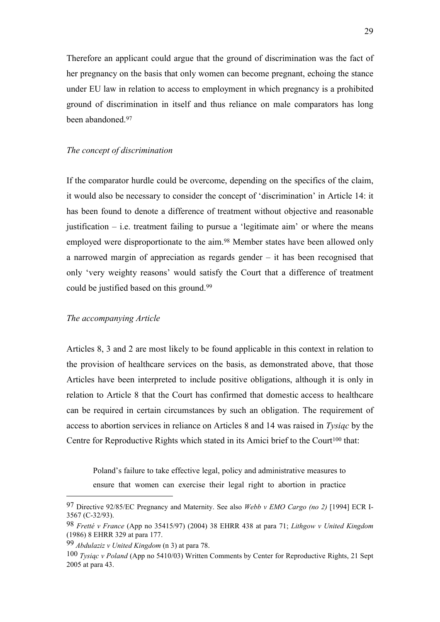Therefore an applicant could argue that the ground of discrimination was the fact of her pregnancy on the basis that only women can become pregnant, echoing the stance under EU law in relation to access to employment in which pregnancy is a prohibited ground of discrimination in itself and thus reliance on male comparators has long been abandoned.<sup>97</sup>

## *The concept of discrimination*

If the comparator hurdle could be overcome, depending on the specifics of the claim, it would also be necessary to consider the concept of 'discrimination' in Article 14: it has been found to denote a difference of treatment without objective and reasonable justification  $-$  i.e. treatment failing to pursue a 'legitimate aim' or where the means employed were disproportionate to the aim.<sup>98</sup> Member states have been allowed only a narrowed margin of appreciation as regards gender – it has been recognised that only 'very weighty reasons' would satisfy the Court that a difference of treatment could be justified based on this ground.<sup>99</sup>

## *The accompanying Article*

Articles 8, 3 and 2 are most likely to be found applicable in this context in relation to the provision of healthcare services on the basis, as demonstrated above, that those Articles have been interpreted to include positive obligations, although it is only in relation to Article 8 that the Court has confirmed that domestic access to healthcare can be required in certain circumstances by such an obligation. The requirement of access to abortion services in reliance on Articles 8 and 14 was raised in *Tysiąc* by the Centre for Reproductive Rights which stated in its Amici brief to the Court<sup>100</sup> that:

Poland's failure to take effective legal, policy and administrative measures to ensure that women can exercise their legal right to abortion in practice

<sup>97</sup> Directive 92/85/EC Pregnancy and Maternity. See also *Webb v EMO Cargo (no 2)* [1994] ECR I-3567 (C-32/93).

<sup>98</sup> *Fretté v France* (App no 35415/97) (2004) 38 EHRR 438 at para 71; *Lithgow v United Kingdom*  (1986) 8 EHRR 329 at para 177.

<sup>99</sup> *Abdulaziz v United Kingdom* (n 3) at para 78.

<sup>100</sup> *Tysiąc v Poland* (App no 5410/03) Written Comments by Center for Reproductive Rights, 21 Sept 2005 at para 43.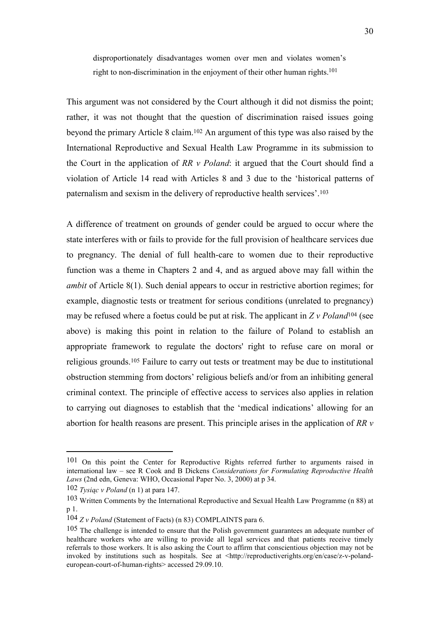disproportionately disadvantages women over men and violates women's right to non-discrimination in the enjoyment of their other human rights.<sup>101</sup>

This argument was not considered by the Court although it did not dismiss the point; rather, it was not thought that the question of discrimination raised issues going beyond the primary Article 8 claim.<sup>102</sup> An argument of this type was also raised by the International Reproductive and Sexual Health Law Programme in its submission to the Court in the application of *RR v Poland*: it argued that the Court should find a violation of Article 14 read with Articles 8 and 3 due to the 'historical patterns of paternalism and sexism in the delivery of reproductive health services'.<sup>103</sup>

A difference of treatment on grounds of gender could be argued to occur where the state interferes with or fails to provide for the full provision of healthcare services due to pregnancy. The denial of full health-care to women due to their reproductive function was a theme in Chapters 2 and 4, and as argued above may fall within the *ambit* of Article 8(1). Such denial appears to occur in restrictive abortion regimes; for example, diagnostic tests or treatment for serious conditions (unrelated to pregnancy) may be refused where a foetus could be put at risk. The applicant in *Z v Poland*<sup>104</sup> (see above) is making this point in relation to the failure of Poland to establish an appropriate framework to regulate the doctors' right to refuse care on moral or religious grounds.<sup>105</sup> Failure to carry out tests or treatment may be due to institutional obstruction stemming from doctors' religious beliefs and/or from an inhibiting general criminal context. The principle of effective access to services also applies in relation to carrying out diagnoses to establish that the 'medical indications' allowing for an abortion for health reasons are present. This principle arises in the application of *RR v* 

<sup>101</sup> On this point the Center for Reproductive Rights referred further to arguments raised in international law – see R Cook and B Dickens *Considerations for Formulating Reproductive Health Laws* (2nd edn, Geneva: WHO, Occasional Paper No. 3, 2000) at p 34.

<sup>102</sup> *Tysiąc v Poland* (n 1) at para 147.

<sup>103</sup> Written Comments by the International Reproductive and Sexual Health Law Programme (n 88) at p 1.

<sup>104</sup> *Z v Poland* (Statement of Facts) (n 83) COMPLAINTS para 6.

<sup>105</sup> The challenge is intended to ensure that the Polish government guarantees an adequate number of healthcare workers who are willing to provide all legal services and that patients receive timely referrals to those workers. It is also asking the Court to affirm that conscientious objection may not be invoked by institutions such as hospitals. See at <http://reproductiverights.org/en/case/z-v-polandeuropean-court-of-human-rights> accessed 29.09.10.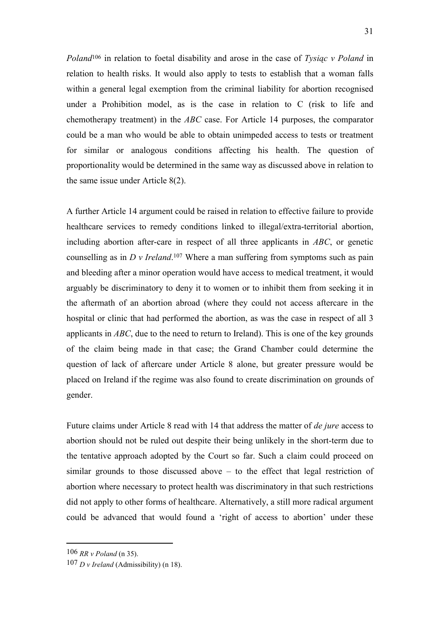*Poland*<sup>106</sup> in relation to foetal disability and arose in the case of *Tysiąc v Poland* in relation to health risks. It would also apply to tests to establish that a woman falls within a general legal exemption from the criminal liability for abortion recognised under a Prohibition model, as is the case in relation to C (risk to life and chemotherapy treatment) in the *ABC* case. For Article 14 purposes, the comparator could be a man who would be able to obtain unimpeded access to tests or treatment for similar or analogous conditions affecting his health. The question of proportionality would be determined in the same way as discussed above in relation to the same issue under Article 8(2).

A further Article 14 argument could be raised in relation to effective failure to provide healthcare services to remedy conditions linked to illegal/extra-territorial abortion, including abortion after-care in respect of all three applicants in *ABC*, or genetic counselling as in *D v Ireland*. <sup>107</sup> Where a man suffering from symptoms such as pain and bleeding after a minor operation would have access to medical treatment, it would arguably be discriminatory to deny it to women or to inhibit them from seeking it in the aftermath of an abortion abroad (where they could not access aftercare in the hospital or clinic that had performed the abortion, as was the case in respect of all 3 applicants in *ABC*, due to the need to return to Ireland). This is one of the key grounds of the claim being made in that case; the Grand Chamber could determine the question of lack of aftercare under Article 8 alone, but greater pressure would be placed on Ireland if the regime was also found to create discrimination on grounds of gender.

Future claims under Article 8 read with 14 that address the matter of *de jure* access to abortion should not be ruled out despite their being unlikely in the short-term due to the tentative approach adopted by the Court so far. Such a claim could proceed on similar grounds to those discussed above – to the effect that legal restriction of abortion where necessary to protect health was discriminatory in that such restrictions did not apply to other forms of healthcare. Alternatively, a still more radical argument could be advanced that would found a 'right of access to abortion' under these

<sup>106</sup> *RR v Poland* (n 35).

<sup>107</sup> *D v Ireland* (Admissibility) (n 18).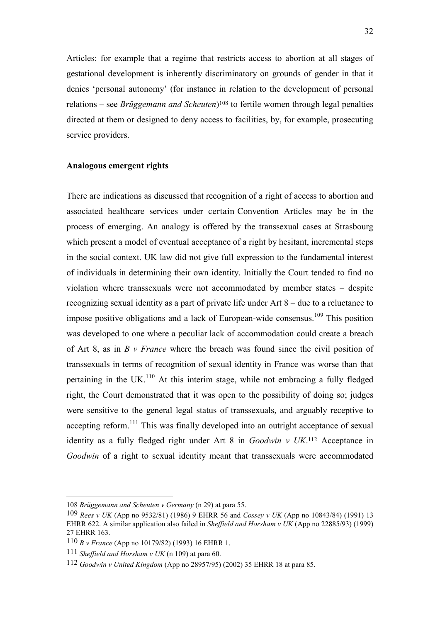Articles: for example that a regime that restricts access to abortion at all stages of gestational development is inherently discriminatory on grounds of gender in that it denies 'personal autonomy' (for instance in relation to the development of personal relations – see *Brüggemann and Scheuten*) <sup>108</sup> to fertile women through legal penalties directed at them or designed to deny access to facilities, by, for example, prosecuting service providers.

## **Analogous emergent rights**

There are indications as discussed that recognition of a right of access to abortion and associated healthcare services under certain Convention Articles may be in the process of emerging. An analogy is offered by the transsexual cases at Strasbourg which present a model of eventual acceptance of a right by hesitant, incremental steps in the social context. UK law did not give full expression to the fundamental interest of individuals in determining their own identity. Initially the Court tended to find no violation where transsexuals were not accommodated by member states – despite recognizing sexual identity as a part of private life under Art 8 – due to a reluctance to impose positive obligations and a lack of European-wide consensus.<sup>109</sup> This position was developed to one where a peculiar lack of accommodation could create a breach of Art 8, as in *B v France* where the breach was found since the civil position of transsexuals in terms of recognition of sexual identity in France was worse than that pertaining in the UK $^{110}$  At this interim stage, while not embracing a fully fledged right, the Court demonstrated that it was open to the possibility of doing so; judges were sensitive to the general legal status of transsexuals, and arguably receptive to accepting reform.<sup>111</sup> This was finally developed into an outright acceptance of sexual identity as a fully fledged right under Art 8 in *Goodwin v UK*. <sup>112</sup> Acceptance in *Goodwin* of a right to sexual identity meant that transsexuals were accommodated

<sup>108</sup> *Brüggemann and Scheuten v Germany* (n 29) at para 55.

<sup>109</sup> *Rees v UK* (App no 9532/81) (1986) 9 EHRR 56 and *Cossey v UK* (App no 10843/84) (1991) 13 EHRR 622. A similar application also failed in *Sheffield and Horsham v UK* (App no 22885/93) (1999) 27 EHRR 163.

<sup>110</sup> *B v France* (App no 10179/82) (1993) 16 EHRR 1.

<sup>111</sup> *Sheffield and Horsham v UK* (n 109) at para 60.

<sup>112</sup> *Goodwin v United Kingdom* (App no 28957/95) (2002) 35 EHRR 18 at para 85.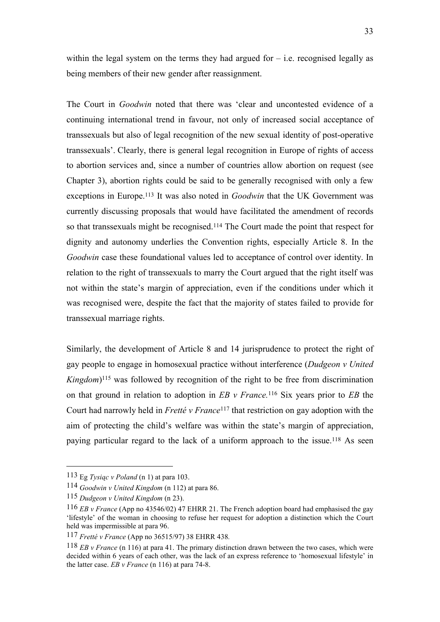within the legal system on the terms they had argued for  $-$  i.e. recognised legally as being members of their new gender after reassignment.

The Court in *Goodwin* noted that there was 'clear and uncontested evidence of a continuing international trend in favour, not only of increased social acceptance of transsexuals but also of legal recognition of the new sexual identity of post-operative transsexuals'. Clearly, there is general legal recognition in Europe of rights of access to abortion services and, since a number of countries allow abortion on request (see Chapter 3), abortion rights could be said to be generally recognised with only a few exceptions in Europe.<sup>113</sup> It was also noted in *Goodwin* that the UK Government was currently discussing proposals that would have facilitated the amendment of records so that transsexuals might be recognised.<sup>114</sup> The Court made the point that respect for dignity and autonomy underlies the Convention rights, especially Article 8. In the *Goodwin* case these foundational values led to acceptance of control over identity. In relation to the right of transsexuals to marry the Court argued that the right itself was not within the state's margin of appreciation, even if the conditions under which it was recognised were, despite the fact that the majority of states failed to provide for transsexual marriage rights.

Similarly, the development of Article 8 and 14 jurisprudence to protect the right of gay people to engage in homosexual practice without interference (*Dudgeon v United Kingdom*) <sup>115</sup> was followed by recognition of the right to be free from discrimination on that ground in relation to adoption in *EB v France.*<sup>116</sup> Six years prior to *EB* the Court had narrowly held in *Fretté v France*<sup>117</sup> that restriction on gay adoption with the aim of protecting the child's welfare was within the state's margin of appreciation, paying particular regard to the lack of a uniform approach to the issue.<sup>118</sup> As seen

<sup>113</sup> Eg *Tysiąc v Poland* (n 1) at para 103.

<sup>114</sup> *Goodwin v United Kingdom* (n 112) at para 86.

<sup>115</sup> *Dudgeon v United Kingdom* (n 23).

<sup>116</sup> *EB v France* (App no 43546/02) 47 EHRR 21. The French adoption board had emphasised the gay 'lifestyle' of the woman in choosing to refuse her request for adoption a distinction which the Court held was impermissible at para 96.

<sup>117</sup> *Fretté v France* (App no 36515/97) 38 EHRR 438*.*

<sup>118</sup> *EB v France* (n 116) at para 41. The primary distinction drawn between the two cases, which were decided within 6 years of each other, was the lack of an express reference to 'homosexual lifestyle' in the latter case. *EB v France* (n 116) at para 74-8.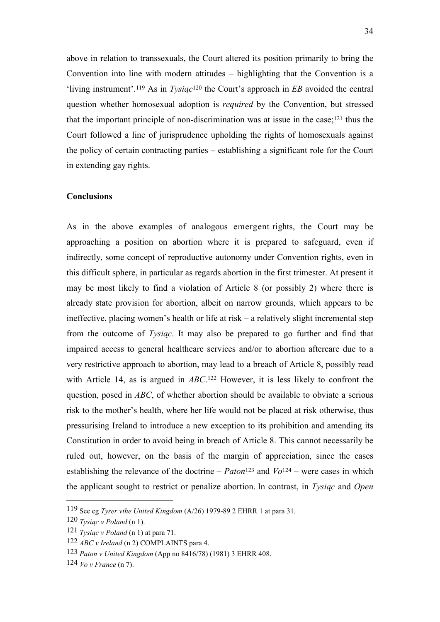above in relation to transsexuals, the Court altered its position primarily to bring the Convention into line with modern attitudes – highlighting that the Convention is a 'living instrument'.<sup>119</sup> As in *Tysiąc*<sup>120</sup> the Court's approach in *EB* avoided the central question whether homosexual adoption is *required* by the Convention, but stressed that the important principle of non-discrimination was at issue in the case;<sup>121</sup> thus the Court followed a line of jurisprudence upholding the rights of homosexuals against the policy of certain contracting parties – establishing a significant role for the Court in extending gay rights.

## **Conclusions**

As in the above examples of analogous emergent rights, the Court may be approaching a position on abortion where it is prepared to safeguard, even if indirectly, some concept of reproductive autonomy under Convention rights, even in this difficult sphere, in particular as regards abortion in the first trimester. At present it may be most likely to find a violation of Article 8 (or possibly 2) where there is already state provision for abortion, albeit on narrow grounds, which appears to be ineffective, placing women's health or life at risk – a relatively slight incremental step from the outcome of *Tysiąc*. It may also be prepared to go further and find that impaired access to general healthcare services and/or to abortion aftercare due to a very restrictive approach to abortion, may lead to a breach of Article 8, possibly read with Article 14, as is argued in *ABC*.<sup>122</sup> However, it is less likely to confront the question, posed in *ABC*, of whether abortion should be available to obviate a serious risk to the mother's health, where her life would not be placed at risk otherwise, thus pressurising Ireland to introduce a new exception to its prohibition and amending its Constitution in order to avoid being in breach of Article 8. This cannot necessarily be ruled out, however, on the basis of the margin of appreciation, since the cases establishing the relevance of the doctrine –  $Paton<sup>123</sup>$  and  $Vol<sup>24</sup>$  – were cases in which the applicant sought to restrict or penalize abortion. In contrast, in *Tysiąc* and *Open* 

<sup>119</sup> See eg *Tyrer vthe United Kingdom* (A/26) 1979-89 2 EHRR 1 at para 31.

<sup>120</sup> *Tysiąc v Poland* (n 1).

<sup>121</sup> *Tysiąc v Poland* (n 1) at para 71.

<sup>122</sup> *ABC v Ireland* (n 2) COMPLAINTS para 4.

<sup>123</sup> *Paton v United Kingdom* (App no 8416/78) (1981) 3 EHRR 408.

<sup>124</sup> *Vo v France* (n 7).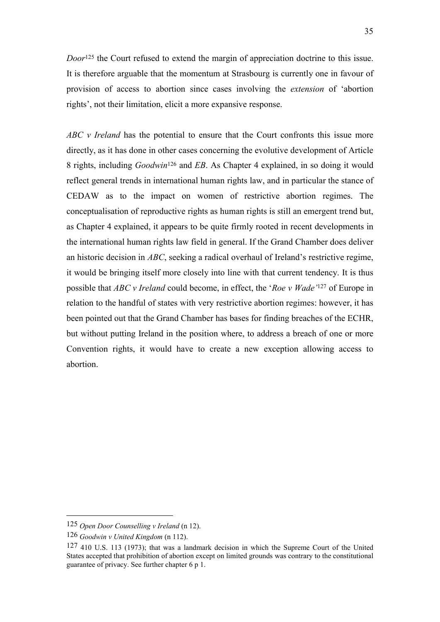*Door*<sup>125</sup> the Court refused to extend the margin of appreciation doctrine to this issue. It is therefore arguable that the momentum at Strasbourg is currently one in favour of provision of access to abortion since cases involving the *extension* of 'abortion rights', not their limitation, elicit a more expansive response.

*ABC v Ireland* has the potential to ensure that the Court confronts this issue more directly, as it has done in other cases concerning the evolutive development of Article 8 rights, including *Goodwin*<sup>126</sup> and *EB*. As Chapter 4 explained, in so doing it would reflect general trends in international human rights law, and in particular the stance of CEDAW as to the impact on women of restrictive abortion regimes. The conceptualisation of reproductive rights as human rights is still an emergent trend but, as Chapter 4 explained, it appears to be quite firmly rooted in recent developments in the international human rights law field in general. If the Grand Chamber does deliver an historic decision in *ABC*, seeking a radical overhaul of Ireland's restrictive regime, it would be bringing itself more closely into line with that current tendency. It is thus possible that *ABC v Ireland* could become, in effect, the '*Roe v Wade'*<sup>127</sup> of Europe in relation to the handful of states with very restrictive abortion regimes: however, it has been pointed out that the Grand Chamber has bases for finding breaches of the ECHR, but without putting Ireland in the position where, to address a breach of one or more Convention rights, it would have to create a new exception allowing access to abortion.

<sup>125</sup> *Open Door Counselling v Ireland* (n 12).

<sup>126</sup> *Goodwin v United Kingdom* (n 112).

<sup>127</sup> 410 U.S. 113 (1973); that was a landmark decision in which the Supreme Court of the United States accepted that prohibition of abortion except on limited grounds was contrary to the constitutional guarantee of privacy. See further chapter 6 p 1.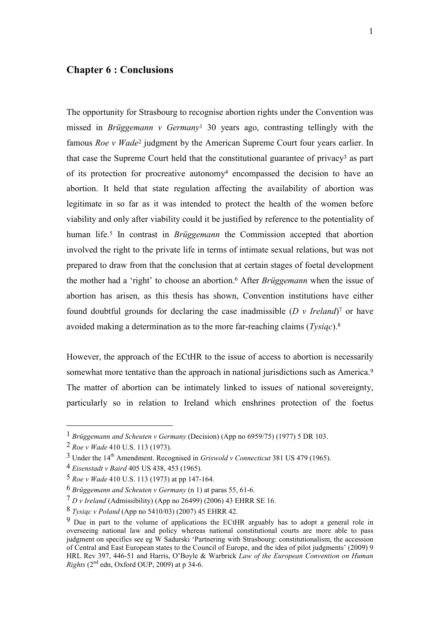# **Chapter 6 : Conclusions**

The opportunity for Strasbourg to recognise abortion rights under the Convention was missed in *Brüggemann v Germany*<sup>1</sup> 30 years ago, contrasting tellingly with the famous *Roe v Wade*<sup>2</sup> judgment by the American Supreme Court four years earlier. In that case the Supreme Court held that the constitutional guarantee of privacy<sup>3</sup> as part of its protection for procreative autonomy<sup>4</sup> encompassed the decision to have an abortion. It held that state regulation affecting the availability of abortion was legitimate in so far as it was intended to protect the health of the women before viability and only after viability could it be justified by reference to the potentiality of human life.<sup>5</sup> In contrast in *Brüggemann* the Commission accepted that abortion involved the right to the private life in terms of intimate sexual relations, but was not prepared to draw from that the conclusion that at certain stages of foetal development the mother had a 'right' to choose an abortion.<sup>6</sup> After *Brüggemann* when the issue of abortion has arisen, as this thesis has shown, Convention institutions have either found doubtful grounds for declaring the case inadmissible  $(D \, v \, Ireland)^7$  or have avoided making a determination as to the more far-reaching claims (*Tysiąc*).<sup>8</sup>

However, the approach of the ECtHR to the issue of access to abortion is necessarily somewhat more tentative than the approach in national jurisdictions such as America.<sup>9</sup> The matter of abortion can be intimately linked to issues of national sovereignty, particularly so in relation to Ireland which enshrines protection of the foetus

<sup>1</sup> *Brüggemann and Scheuten v Germany* (Decision) (App no 6959/75) (1977) 5 DR 103.

<sup>2</sup> *Roe v Wade* 410 U.S. 113 (1973).

<sup>3</sup> Under the 14th Amendment. Recognised in *Griswold v Connecticut* 381 US 479 (1965).

<sup>4</sup> *Eisenstadt v Baird* 405 US 438, 453 (1965).

<sup>5</sup> *Roe v Wade* 410 U.S. 113 (1973) at pp 147-164.

<sup>6</sup> *Brüggemann and Scheuten v Germany* (n 1) at paras 55, 61-6.

<sup>7</sup> *D v Ireland* (Admissibility) (App no 26499) (2006) 43 EHRR SE 16.

<sup>8</sup> *Tysiąc v Poland* (App no 5410/03) (2007) 45 EHRR 42.

<sup>9</sup> Due in part to the volume of applications the ECtHR arguably has to adopt a general role in overseeing national law and policy whereas national constitutional courts are more able to pass judgment on specifics see eg W Sadurski 'Partnering with Strasbourg: constitutionalism, the accession of Central and East European states to the Council of Europe, and the idea of pilot judgments' (2009) 9 HRL Rev 397, 446-51 and Harris, O'Boyle & Warbrick *Law of the European Convention on Human Rights*  $(2<sup>nd</sup>$  edn, Oxford OUP, 2009) at p 34-6.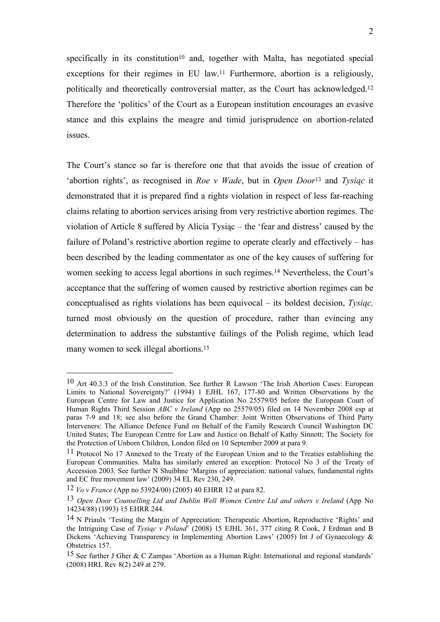specifically in its constitution<sup>10</sup> and, together with Malta, has negotiated special exceptions for their regimes in EU law.<sup>11</sup> Furthermore, abortion is a religiously, politically and theoretically controversial matter, as the Court has acknowledged.<sup>12</sup> Therefore the 'politics' of the Court as a European institution encourages an evasive stance and this explains the meagre and timid jurisprudence on abortion-related issues.

The Court's stance so far is therefore one that that avoids the issue of creation of 'abortion rights', as recognised in *Roe v Wade*, but in *Open Door*<sup>13</sup> and *Tysiąc* it demonstrated that it is prepared find a rights violation in respect of less far-reaching claims relating to abortion services arising from very restrictive abortion regimes. The violation of Article 8 suffered by Alicia Tysiąc – the 'fear and distress' caused by the failure of Poland's restrictive abortion regime to operate clearly and effectively – has been described by the leading commentator as one of the key causes of suffering for women seeking to access legal abortions in such regimes.<sup>14</sup> Nevertheless, the Court's acceptance that the suffering of women caused by restrictive abortion regimes can be conceptualised as rights violations has been equivocal – its boldest decision, *Tysiąc,*  turned most obviously on the question of procedure, rather than evincing any determination to address the substantive failings of the Polish regime, which lead many women to seek illegal abortions.<sup>15</sup>

<sup>10</sup> Art 40.3.3 of the Irish Constitution. See further R Lawson 'The Irish Abortion Cases: European Limits to National Sovereignty?' (1994) 1 EJHL 167, 177-80 and Written Observations by the European Centre for Law and Justice for Application No 25579/05 before the European Court of Human Rights Third Session *ABC v Ireland* (App no 25579/05) filed on 14 November 2008 esp at paras 7-9 and 18; see also before the Grand Chamber: Joint Written Observations of Third Party Interveners: The Alliance Defence Fund on Behalf of the Family Research Council Washington DC United States; The European Centre for Law and Justice on Behalf of Kathy Sinnott; The Society for the Protection of Unborn Children, London filed on 10 September 2009 at para 9.

<sup>11</sup> Protocol No 17 Annexed to the Treaty of the European Union and to the Treaties establishing the European Communities. Malta has similarly entered an exception: Protocol No 3 of the Treaty of Accession 2003. See further N Shuibhne 'Margins of appreciation: national values, fundamental rights and EC free movement law' (2009) 34 EL Rev 230, 249.

<sup>12</sup> *Vo v France* (App no 53924/00) (2005) 40 EHRR 12 at para 82.

<sup>13</sup> *Open Door Counselling Ltd and Dublin Well Women Centre Ltd and others v Ireland* (App No 14234/88) (1993) 15 EHRR 244.

<sup>14</sup> N Priaulx 'Testing the Margin of Appreciation: Therapeutic Abortion, Reproductive 'Rights' and the Intriguing Case of *Tysiąc v Poland*' (2008) 15 EJHL 361, 377 citing R Cook, J Erdman and B Dickens 'Achieving Transparency in Implementing Abortion Laws' (2005) Int J of Gynaecology & Obstetrics 157.

<sup>15</sup> See further J Gher & C Zampas 'Abortion as a Human Right: International and regional standards' (2008) HRL Rev 8(2) 249 at 279.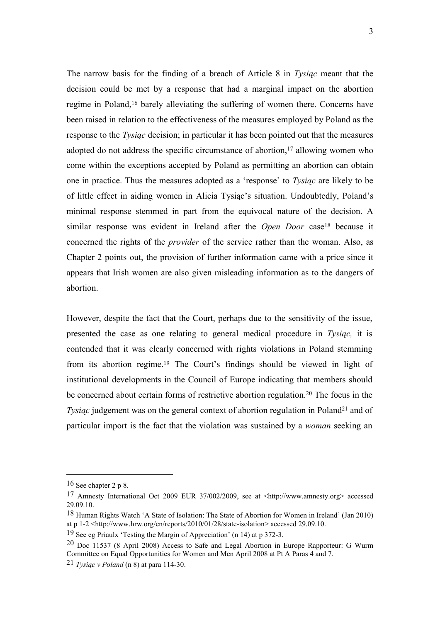The narrow basis for the finding of a breach of Article 8 in *Tysiąc* meant that the decision could be met by a response that had a marginal impact on the abortion regime in Poland,<sup>16</sup> barely alleviating the suffering of women there. Concerns have been raised in relation to the effectiveness of the measures employed by Poland as the response to the *Tysiąc* decision; in particular it has been pointed out that the measures adopted do not address the specific circumstance of abortion,<sup>17</sup> allowing women who come within the exceptions accepted by Poland as permitting an abortion can obtain one in practice. Thus the measures adopted as a 'response' to *Tysiąc* are likely to be of little effect in aiding women in Alicia Tysiąc's situation. Undoubtedly, Poland's minimal response stemmed in part from the equivocal nature of the decision. A similar response was evident in Ireland after the *Open Door* case<sup>18</sup> because it concerned the rights of the *provider* of the service rather than the woman. Also, as Chapter 2 points out, the provision of further information came with a price since it appears that Irish women are also given misleading information as to the dangers of abortion.

However, despite the fact that the Court, perhaps due to the sensitivity of the issue, presented the case as one relating to general medical procedure in *Tysiąc,* it is contended that it was clearly concerned with rights violations in Poland stemming from its abortion regime.<sup>19</sup> The Court's findings should be viewed in light of institutional developments in the Council of Europe indicating that members should be concerned about certain forms of restrictive abortion regulation.<sup>20</sup> The focus in the *Tysiąc* judgement was on the general context of abortion regulation in Poland<sup>21</sup> and of particular import is the fact that the violation was sustained by a *woman* seeking an

<sup>16</sup> See chapter 2 p 8.

<sup>17</sup> Amnesty International Oct 2009 EUR 37/002/2009, see at <http://www.amnesty.org> accessed 29.09.10.

<sup>18</sup> Human Rights Watch 'A State of Isolation: The State of Abortion for Women in Ireland' (Jan 2010) at p 1-2 <http://www.hrw.org/en/reports/2010/01/28/state-isolation> accessed 29.09.10.

<sup>19</sup> See eg Priaulx 'Testing the Margin of Appreciation' (n 14) at p 372-3.

<sup>20</sup> Doc 11537 (8 April 2008) Access to Safe and Legal Abortion in Europe Rapporteur: G Wurm Committee on Equal Opportunities for Women and Men April 2008 at Pt A Paras 4 and 7.

<sup>21</sup> *Tysiąc v Poland* (n 8) at para 114-30.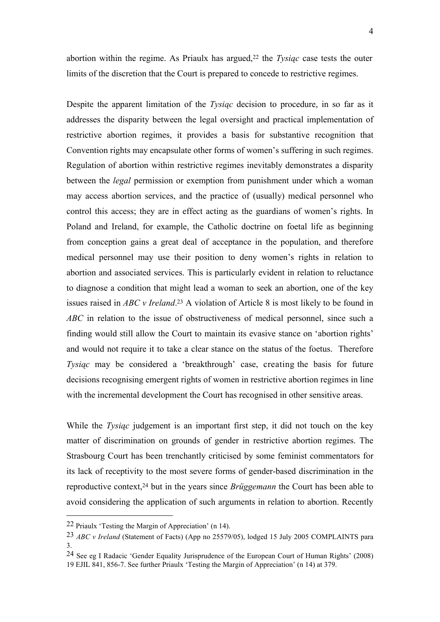abortion within the regime. As Priaulx has argued,<sup>22</sup> the *Tysiąc* case tests the outer limits of the discretion that the Court is prepared to concede to restrictive regimes.

Despite the apparent limitation of the *Tysiąc* decision to procedure, in so far as it addresses the disparity between the legal oversight and practical implementation of restrictive abortion regimes, it provides a basis for substantive recognition that Convention rights may encapsulate other forms of women's suffering in such regimes. Regulation of abortion within restrictive regimes inevitably demonstrates a disparity between the *legal* permission or exemption from punishment under which a woman may access abortion services, and the practice of (usually) medical personnel who control this access; they are in effect acting as the guardians of women's rights. In Poland and Ireland, for example, the Catholic doctrine on foetal life as beginning from conception gains a great deal of acceptance in the population, and therefore medical personnel may use their position to deny women's rights in relation to abortion and associated services. This is particularly evident in relation to reluctance to diagnose a condition that might lead a woman to seek an abortion, one of the key issues raised in *ABC v Ireland*. <sup>23</sup> A violation of Article 8 is most likely to be found in *ABC* in relation to the issue of obstructiveness of medical personnel, since such a finding would still allow the Court to maintain its evasive stance on 'abortion rights' and would not require it to take a clear stance on the status of the foetus. Therefore *Tysiąc* may be considered a 'breakthrough' case, creating the basis for future decisions recognising emergent rights of women in restrictive abortion regimes in line with the incremental development the Court has recognised in other sensitive areas.

While the *Tysiąc* judgement is an important first step, it did not touch on the key matter of discrimination on grounds of gender in restrictive abortion regimes. The Strasbourg Court has been trenchantly criticised by some feminist commentators for its lack of receptivity to the most severe forms of gender-based discrimination in the reproductive context,<sup>24</sup> but in the years since *Brüggemann* the Court has been able to avoid considering the application of such arguments in relation to abortion. Recently

<sup>22</sup> Priaulx 'Testing the Margin of Appreciation' (n 14).

<sup>23</sup> *ABC v Ireland* (Statement of Facts) (App no 25579/05), lodged 15 July 2005 COMPLAINTS para 3.

<sup>24</sup> See eg I Radacic 'Gender Equality Jurisprudence of the European Court of Human Rights' (2008) 19 EJIL 841, 856-7. See further Priaulx 'Testing the Margin of Appreciation' (n 14) at 379.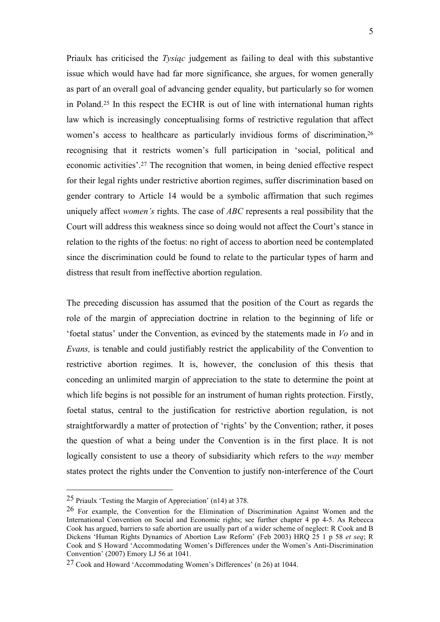Priaulx has criticised the *Tysiąc* judgement as failing to deal with this substantive issue which would have had far more significance, she argues, for women generally as part of an overall goal of advancing gender equality, but particularly so for women in Poland.<sup>25</sup> In this respect the ECHR is out of line with international human rights law which is increasingly conceptualising forms of restrictive regulation that affect women's access to healthcare as particularly invidious forms of discrimination, 26 recognising that it restricts women's full participation in 'social, political and economic activities'.<sup>27</sup> The recognition that women, in being denied effective respect for their legal rights under restrictive abortion regimes, suffer discrimination based on gender contrary to Article 14 would be a symbolic affirmation that such regimes uniquely affect *women's* rights. The case of *ABC* represents a real possibility that the Court will address this weakness since so doing would not affect the Court's stance in relation to the rights of the foetus: no right of access to abortion need be contemplated since the discrimination could be found to relate to the particular types of harm and distress that result from ineffective abortion regulation.

The preceding discussion has assumed that the position of the Court as regards the role of the margin of appreciation doctrine in relation to the beginning of life or 'foetal status' under the Convention, as evinced by the statements made in *Vo* and in *Evans,* is tenable and could justifiably restrict the applicability of the Convention to restrictive abortion regimes. It is, however, the conclusion of this thesis that conceding an unlimited margin of appreciation to the state to determine the point at which life begins is not possible for an instrument of human rights protection. Firstly, foetal status, central to the justification for restrictive abortion regulation, is not straightforwardly a matter of protection of 'rights' by the Convention; rather, it poses the question of what a being under the Convention is in the first place. It is not logically consistent to use a theory of subsidiarity which refers to the *way* member states protect the rights under the Convention to justify non-interference of the Court

<sup>25</sup> Priaulx 'Testing the Margin of Appreciation' (n14) at 378.

<sup>26</sup> For example, the Convention for the Elimination of Discrimination Against Women and the International Convention on Social and Economic rights; see further chapter 4 pp 4-5. As Rebecca Cook has argued, barriers to safe abortion are usually part of a wider scheme of neglect: R Cook and B Dickens 'Human Rights Dynamics of Abortion Law Reform' (Feb 2003) HRQ 25 1 p 58 *et seq*; R Cook and S Howard 'Accommodating Women's Differences under the Women's Anti-Discrimination Convention' (2007) Emory LJ 56 at 1041.

<sup>27</sup> Cook and Howard 'Accommodating Women's Differences' (n 26) at 1044.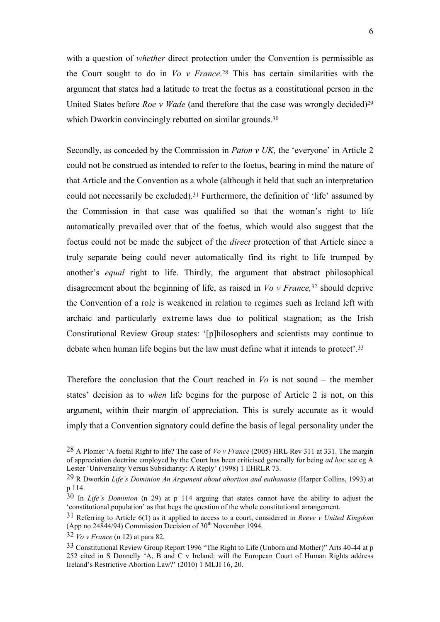with a question of *whether* direct protection under the Convention is permissible as the Court sought to do in *Vo v France*. <sup>28</sup> This has certain similarities with the argument that states had a latitude to treat the foetus as a constitutional person in the United States before *Roe v Wade* (and therefore that the case was wrongly decided)<sup>29</sup> which Dworkin convincingly rebutted on similar grounds.<sup>30</sup>

Secondly, as conceded by the Commission in *Paton v UK,* the 'everyone' in Article 2 could not be construed as intended to refer to the foetus, bearing in mind the nature of that Article and the Convention as a whole (although it held that such an interpretation could not necessarily be excluded).<sup>31</sup> Furthermore, the definition of 'life' assumed by the Commission in that case was qualified so that the woman's right to life automatically prevailed over that of the foetus, which would also suggest that the foetus could not be made the subject of the *direct* protection of that Article since a truly separate being could never automatically find its right to life trumped by another's *equal* right to life. Thirdly, the argument that abstract philosophical disagreement about the beginning of life, as raised in *Vo v France,*<sup>32</sup> should deprive the Convention of a role is weakened in relation to regimes such as Ireland left with archaic and particularly extreme laws due to political stagnation; as the Irish Constitutional Review Group states: '[p]hilosophers and scientists may continue to debate when human life begins but the law must define what it intends to protect'.<sup>33</sup>

Therefore the conclusion that the Court reached in *Vo* is not sound – the member states' decision as to *when* life begins for the purpose of Article 2 is not, on this argument, within their margin of appreciation. This is surely accurate as it would imply that a Convention signatory could define the basis of legal personality under the

<sup>28</sup> A Plomer 'A foetal Right to life? The case of *Vo v France* (2005) HRL Rev 311 at 331. The margin of appreciation doctrine employed by the Court has been criticised generally for being *ad hoc* see eg A Lester 'Universality Versus Subsidiarity: A Reply' (1998) 1 EHRLR 73.

<sup>29</sup> R Dworkin *Life's Dominion An Argument about abortion and euthanasia* (Harper Collins, 1993) at p 114.

<sup>30</sup> In *Life's Dominion* (n 29) at p 114 arguing that states cannot have the ability to adjust the 'constitutional population' as that begs the question of the whole constitutional arrangement.

<sup>31</sup> Referring to Article 6(1) as it applied to access to a court, considered in *Reeve v United Kingdom*  (App no  $24844/94$ ) Commission Decision of  $30<sup>th</sup>$  November 1994.

<sup>32</sup> *Vo v France* (n 12) at para 82.

<sup>33</sup> Constitutional Review Group Report 1996 "The Right to Life (Unborn and Mother)" Arts 40-44 at p 252 cited in S Donnelly 'A, B and C v Ireland: will the European Court of Human Rights address Ireland's Restrictive Abortion Law?' (2010) 1 MLJI 16, 20.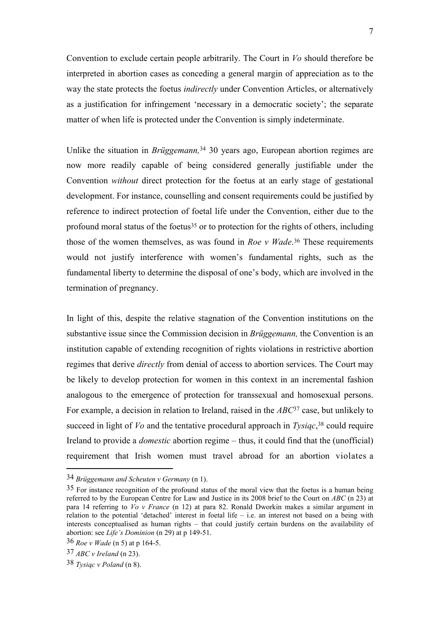Convention to exclude certain people arbitrarily. The Court in *Vo* should therefore be interpreted in abortion cases as conceding a general margin of appreciation as to the way the state protects the foetus *indirectly* under Convention Articles, or alternatively as a justification for infringement 'necessary in a democratic society'; the separate matter of when life is protected under the Convention is simply indeterminate.

Unlike the situation in *Brüggemann,*<sup>34</sup> 30 years ago, European abortion regimes are now more readily capable of being considered generally justifiable under the Convention *without* direct protection for the foetus at an early stage of gestational development. For instance, counselling and consent requirements could be justified by reference to indirect protection of foetal life under the Convention, either due to the profound moral status of the foetus<sup>35</sup> or to protection for the rights of others, including those of the women themselves, as was found in *Roe v Wade*. <sup>36</sup> These requirements would not justify interference with women's fundamental rights, such as the fundamental liberty to determine the disposal of one's body, which are involved in the termination of pregnancy.

In light of this, despite the relative stagnation of the Convention institutions on the substantive issue since the Commission decision in *Brüggemann,* the Convention is an institution capable of extending recognition of rights violations in restrictive abortion regimes that derive *directly* from denial of access to abortion services. The Court may be likely to develop protection for women in this context in an incremental fashion analogous to the emergence of protection for transsexual and homosexual persons. For example, a decision in relation to Ireland, raised in the *ABC*<sup>37</sup> case, but unlikely to succeed in light of *Vo* and the tentative procedural approach in *Tysiąc*, <sup>38</sup> could require Ireland to provide a *domestic* abortion regime – thus, it could find that the (unofficial) requirement that Irish women must travel abroad for an abortion violates a

<sup>34</sup> *Brüggemann and Scheuten v Germany* (n 1).

<sup>35</sup> For instance recognition of the profound status of the moral view that the foetus is a human being referred to by the European Centre for Law and Justice in its 2008 brief to the Court on *ABC* (n 23) at para 14 referring to *Vo v France* (n 12) at para 82. Ronald Dworkin makes a similar argument in relation to the potential 'detached' interest in foetal life – i.e. an interest not based on a being with interests conceptualised as human rights – that could justify certain burdens on the availability of abortion: see *Life's Dominion* (n 29) at p 149-51.

<sup>36</sup> *Roe v Wade* (n 5) at p 164-5.

<sup>37</sup> *ABC v Ireland* (n 23).

<sup>38</sup> *Tysiąc v Poland* (n 8).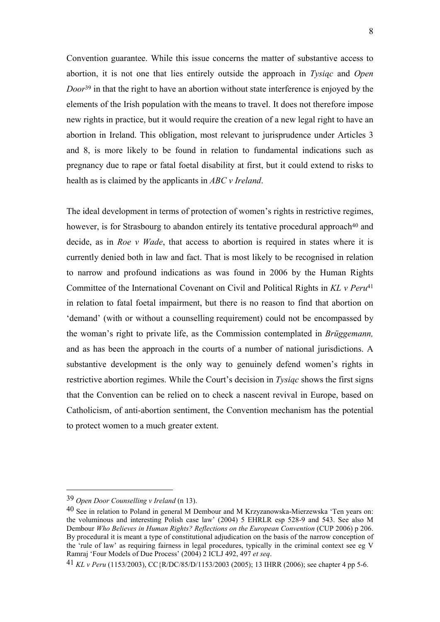Convention guarantee. While this issue concerns the matter of substantive access to abortion, it is not one that lies entirely outside the approach in *Tysiąc* and *Open Door*<sup>39</sup> in that the right to have an abortion without state interference is enjoyed by the elements of the Irish population with the means to travel. It does not therefore impose new rights in practice, but it would require the creation of a new legal right to have an abortion in Ireland. This obligation, most relevant to jurisprudence under Articles 3 and 8, is more likely to be found in relation to fundamental indications such as pregnancy due to rape or fatal foetal disability at first, but it could extend to risks to health as is claimed by the applicants in *ABC v Ireland*.

The ideal development in terms of protection of women's rights in restrictive regimes, however, is for Strasbourg to abandon entirely its tentative procedural approach<sup>40</sup> and decide, as in *Roe v Wade*, that access to abortion is required in states where it is currently denied both in law and fact. That is most likely to be recognised in relation to narrow and profound indications as was found in 2006 by the Human Rights Committee of the International Covenant on Civil and Political Rights in *KL v Peru*<sup>41</sup> in relation to fatal foetal impairment, but there is no reason to find that abortion on 'demand' (with or without a counselling requirement) could not be encompassed by the woman's right to private life, as the Commission contemplated in *Brüggemann,*  and as has been the approach in the courts of a number of national jurisdictions. A substantive development is the only way to genuinely defend women's rights in restrictive abortion regimes. While the Court's decision in *Tysiąc* shows the first signs that the Convention can be relied on to check a nascent revival in Europe, based on Catholicism, of anti-abortion sentiment, the Convention mechanism has the potential to protect women to a much greater extent.

<sup>39</sup> *Open Door Counselling v Ireland* (n 13).

<sup>40</sup> See in relation to Poland in general M Dembour and M Krzyzanowska-Mierzewska 'Ten years on: the voluminous and interesting Polish case law' (2004) 5 EHRLR esp 528-9 and 543. See also M Dembour *Who Believes in Human Rights? Reflections on the European Convention* (CUP 2006) p 206. By procedural it is meant a type of constitutional adjudication on the basis of the narrow conception of the 'rule of law' as requiring fairness in legal procedures, typically in the criminal context see eg V Ramraj 'Four Models of Due Process' (2004) 2 ICLJ 492, 497 *et seq*.

<sup>41</sup> *KL v Peru* (1153/2003), CC{R/DC/85/D/1153/2003 (2005); 13 IHRR (2006); see chapter 4 pp 5-6.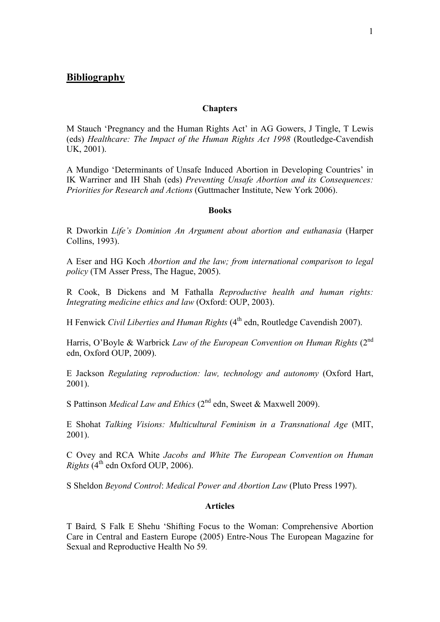## **Chapters**

M Stauch 'Pregnancy and the Human Rights Act' in AG Gowers, J Tingle, T Lewis (eds) *Healthcare: The Impact of the Human Rights Act 1998* (Routledge-Cavendish UK, 2001).

A Mundigo 'Determinants of Unsafe Induced Abortion in Developing Countries' in IK Warriner and IH Shah (eds) *Preventing Unsafe Abortion and its Consequences: Priorities for Research and Actions* (Guttmacher Institute, New York 2006).

#### **Books**

R Dworkin *Life's Dominion An Argument about abortion and euthanasia* (Harper Collins, 1993).

A Eser and HG Koch *Abortion and the law; from international comparison to legal policy* (TM Asser Press, The Hague, 2005).

R Cook, B Dickens and M Fathalla *Reproductive health and human rights: Integrating medicine ethics and law* (Oxford: OUP, 2003).

H Fenwick *Civil Liberties and Human Rights* (4<sup>th</sup> edn, Routledge Cavendish 2007).

Harris, O'Boyle & Warbrick *Law of the European Convention on Human Rights* (2<sup>nd</sup>) edn, Oxford OUP, 2009).

E Jackson *Regulating reproduction: law, technology and autonomy* (Oxford Hart, 2001).

S Pattinson *Medical Law and Ethics* (2<sup>nd</sup> edn, Sweet & Maxwell 2009).

E Shohat *Talking Visions: Multicultural Feminism in a Transnational Age* (MIT, 2001).

C Ovey and RCA White *Jacobs and White The European Convention on Human Rights* (4<sup>th</sup> edn Oxford OUP, 2006).

S Sheldon *Beyond Control*: *Medical Power and Abortion Law* (Pluto Press 1997).

## **Articles**

T Baird*,* S Falk E Shehu 'Shifting Focus to the Woman: Comprehensive Abortion Care in Central and Eastern Europe (2005) Entre-Nous The European Magazine for Sexual and Reproductive Health No 59*.*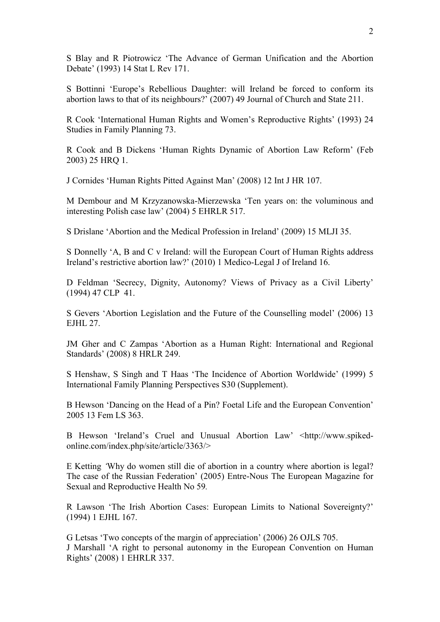S Blay and R Piotrowicz 'The Advance of German Unification and the Abortion Debate' (1993) 14 Stat L Rev 171.

S Bottinni 'Europe's Rebellious Daughter: will Ireland be forced to conform its abortion laws to that of its neighbours?' (2007) 49 Journal of Church and State 211.

R Cook 'International Human Rights and Women's Reproductive Rights' (1993) 24 Studies in Family Planning 73.

R Cook and B Dickens 'Human Rights Dynamic of Abortion Law Reform' (Feb 2003) 25 HRQ 1.

J Cornides 'Human Rights Pitted Against Man' (2008) 12 Int J HR 107.

M Dembour and M Krzyzanowska-Mierzewska 'Ten years on: the voluminous and interesting Polish case law' (2004) 5 EHRLR 517.

S Drislane 'Abortion and the Medical Profession in Ireland' (2009) 15 MLJI 35.

S Donnelly 'A, B and C v Ireland: will the European Court of Human Rights address Ireland's restrictive abortion law?' (2010) 1 Medico-Legal J of Ireland 16.

D Feldman 'Secrecy, Dignity, Autonomy? Views of Privacy as a Civil Liberty' (1994) 47 CLP 41.

S Gevers 'Abortion Legislation and the Future of the Counselling model' (2006) 13 EJHL 27.

JM Gher and C Zampas 'Abortion as a Human Right: International and Regional Standards' (2008) 8 HRLR 249.

S Henshaw, S Singh and T Haas 'The Incidence of Abortion Worldwide' (1999) 5 International Family Planning Perspectives S30 (Supplement).

B Hewson 'Dancing on the Head of a Pin? Foetal Life and the European Convention' 2005 13 Fem LS 363.

B Hewson 'Ireland's Cruel and Unusual Abortion Law' <http://www.spikedonline.com/index.php/site/article/3363/>

E Ketting *'*Why do women still die of abortion in a country where abortion is legal? The case of the Russian Federation' (2005) Entre-Nous The European Magazine for Sexual and Reproductive Health No 59*.*

R Lawson 'The Irish Abortion Cases: European Limits to National Sovereignty?' (1994) 1 EJHL 167.

G Letsas 'Two concepts of the margin of appreciation' (2006) 26 OJLS 705. J Marshall 'A right to personal autonomy in the European Convention on Human Rights' (2008) 1 EHRLR 337.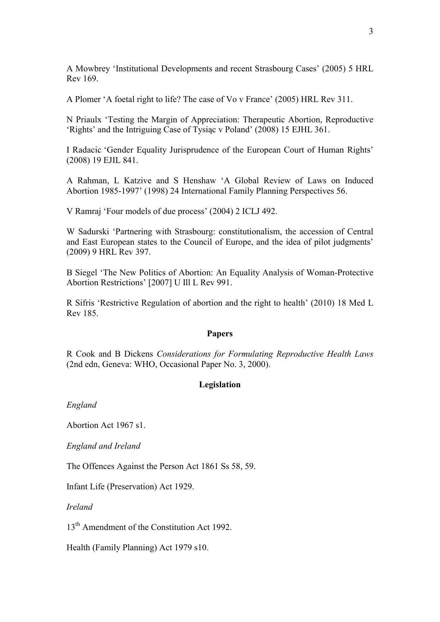A Mowbrey 'Institutional Developments and recent Strasbourg Cases' (2005) 5 HRL Rev 169.

A Plomer 'A foetal right to life? The case of Vo v France' (2005) HRL Rev 311.

N Priaulx 'Testing the Margin of Appreciation: Therapeutic Abortion, Reproductive 'Rights' and the Intriguing Case of Tysiąc v Poland' (2008) 15 EJHL 361.

I Radacic 'Gender Equality Jurisprudence of the European Court of Human Rights' (2008) 19 EJIL 841.

A Rahman, L Katzive and S Henshaw 'A Global Review of Laws on Induced Abortion 1985-1997' (1998) 24 International Family Planning Perspectives 56.

V Ramraj 'Four models of due process' (2004) 2 ICLJ 492.

W Sadurski 'Partnering with Strasbourg: constitutionalism, the accession of Central and East European states to the Council of Europe, and the idea of pilot judgments' (2009) 9 HRL Rev 397.

B Siegel 'The New Politics of Abortion: An Equality Analysis of Woman-Protective Abortion Restrictions' [2007] U Ill L Rev 991.

R Sifris 'Restrictive Regulation of abortion and the right to health' (2010) 18 Med L Rev 185.

## **Papers**

R Cook and B Dickens *Considerations for Formulating Reproductive Health Laws*  (2nd edn, Geneva: WHO, Occasional Paper No. 3, 2000).

## **Legislation**

*England*

Abortion Act 1967 s1.

*England and Ireland* 

The Offences Against the Person Act 1861 Ss 58, 59.

Infant Life (Preservation) Act 1929.

*Ireland*

13<sup>th</sup> Amendment of the Constitution Act 1992.

Health (Family Planning) Act 1979 s10.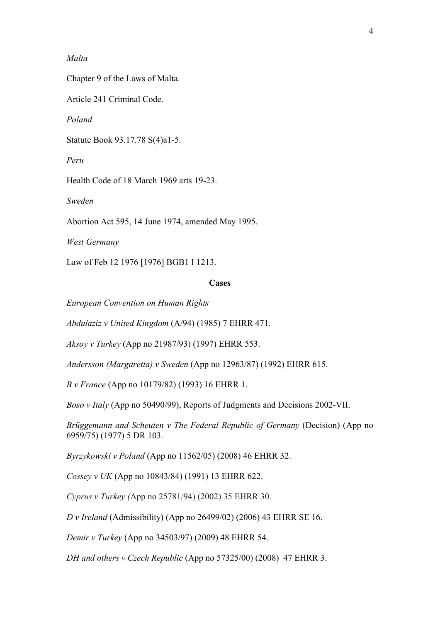## *Malta*

Chapter 9 of the Laws of Malta.

Article 241 Criminal Code.

*Poland*

Statute Book 93.17.78 S(4)a1-5.

*Peru*

Health Code of 18 March 1969 arts 19-23.

*Sweden*

Abortion Act 595, 14 June 1974, amended May 1995.

*West Germany*

Law of Feb 12 1976 [1976] BGB1 I 1213.

## **Cases**

*European Convention on Human Rights*

*Abdulaziz v United Kingdom* (A/94) (1985) 7 EHRR 471.

*Aksoy v Turkey* (App no 21987/93) (1997) EHRR 553.

*Andersson (Margaretta) v Sweden* (App no 12963/87) (1992) EHRR 615.

*B v France* (App no 10179/82) (1993) 16 EHRR 1.

*Boso v Italy* (App no 50490/99), Reports of Judgments and Decisions 2002-VII.

*Brüggemann and Scheuten v The Federal Republic of Germany* (Decision) (App no 6959/75) (1977) 5 DR 103.

*Byrzykowski v Poland* (App no 11562/05) (2008) 46 EHRR 32.

*Cossey v UK* (App no 10843/84) (1991) 13 EHRR 622.

*Cyprus v Turkey (*App no 25781/94) (2002) 35 EHRR 30.

*D v Ireland* (Admissibility) (App no 26499/02) (2006) 43 EHRR SE 16.

*Demir v Turkey* (App no 34503/97) (2009) 48 EHRR 54.

*DH and others v Czech Republic* (App no 57325/00) (2008) 47 EHRR 3.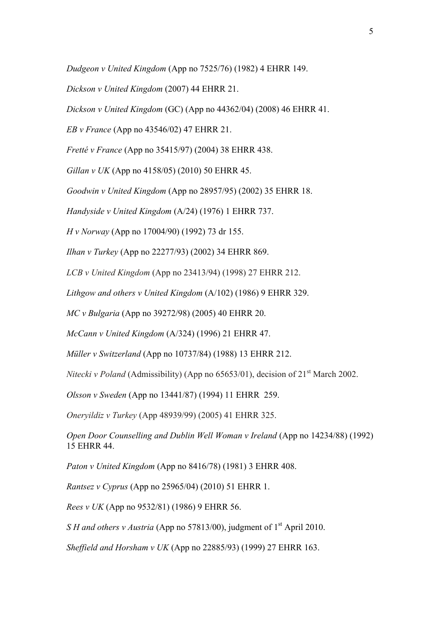*Dudgeon v United Kingdom* (App no 7525/76) (1982) 4 EHRR 149.

*Dickson v United Kingdom* (2007) 44 EHRR 21.

*Dickson v United Kingdom* (GC) (App no 44362/04) (2008) 46 EHRR 41.

*EB v France* (App no 43546/02) 47 EHRR 21.

*Fretté v France* (App no 35415/97) (2004) 38 EHRR 438.

*Gillan v UK* (App no 4158/05) (2010) 50 EHRR 45.

*Goodwin v United Kingdom* (App no 28957/95) (2002) 35 EHRR 18.

*Handyside v United Kingdom* (A/24) (1976) 1 EHRR 737.

*H v Norway* (App no 17004/90) (1992) 73 dr 155.

*Ilhan v Turkey* (App no 22277/93) (2002) 34 EHRR 869.

*LCB v United Kingdom* (App no 23413/94) (1998) 27 EHRR 212.

*Lithgow and others v United Kingdom* (A/102) (1986) 9 EHRR 329.

*MC v Bulgaria* (App no 39272/98) (2005) 40 EHRR 20.

*McCann v United Kingdom* (A/324) (1996) 21 EHRR 47.

*Müller v Switzerland* (App no 10737/84) (1988) 13 EHRR 212.

*Nitecki v Poland* (Admissibility) (App no 65653/01), decision of 21<sup>st</sup> March 2002.

*Olsson v Sweden* (App no 13441/87) (1994) 11 EHRR 259.

*Oneryildiz v Turkey* (App 48939/99) (2005) 41 EHRR 325.

*Open Door Counselling and Dublin Well Woman v Ireland* (App no 14234/88) (1992) 15 EHRR 44.

*Paton v United Kingdom* (App no 8416/78) (1981) 3 EHRR 408.

*Rantsez v Cyprus* (App no 25965/04) (2010) 51 EHRR 1.

*Rees v UK* (App no 9532/81) (1986) 9 EHRR 56.

*S H and others v Austria* (App no 57813/00), judgment of 1<sup>st</sup> April 2010.

*Sheffield and Horsham v UK* (App no 22885/93) (1999) 27 EHRR 163.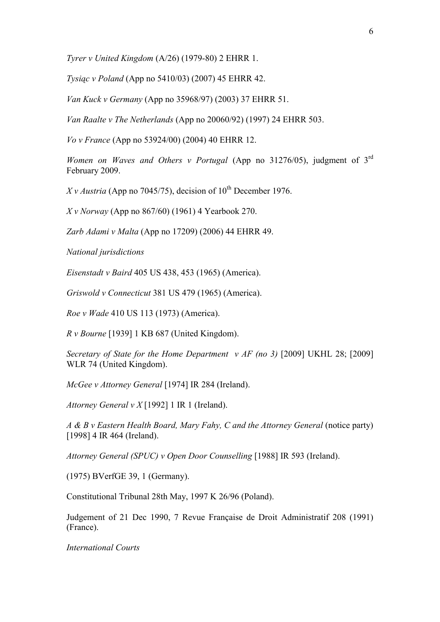*Tyrer v United Kingdom* (A/26) (1979-80) 2 EHRR 1.

*Tysiąc v Poland* (App no 5410/03) (2007) 45 EHRR 42.

*Van Kuck v Germany* (App no 35968/97) (2003) 37 EHRR 51.

*Van Raalte v The Netherlands* (App no 20060/92) (1997) 24 EHRR 503.

*Vo v France* (App no 53924/00) (2004) 40 EHRR 12.

Women on Waves and Others v Portugal (App no 31276/05), judgment of 3<sup>rd</sup> February 2009.

*X v Austria* (App no 7045/75), decision of  $10^{th}$  December 1976.

*X v Norway* (App no 867/60) (1961) 4 Yearbook 270.

*Zarb Adami v Malta* (App no 17209) (2006) 44 EHRR 49.

*National jurisdictions*

*Eisenstadt v Baird* 405 US 438, 453 (1965) (America).

*Griswold v Connecticut* 381 US 479 (1965) (America).

*Roe v Wade* 410 US 113 (1973) (America).

*R v Bourne* [1939] 1 KB 687 (United Kingdom).

*Secretary of State for the Home Department v AF (no 3)* [2009] UKHL 28; [2009] WLR 74 (United Kingdom).

*McGee v Attorney General* [1974] IR 284 (Ireland).

*Attorney General v X* [1992] 1 IR 1 (Ireland).

*A & B v Eastern Health Board, Mary Fahy, C and the Attorney General* (notice party) [1998] 4 IR 464 (Ireland).

*Attorney General (SPUC) v Open Door Counselling* [1988] IR 593 (Ireland).

(1975) BVerfGE 39, 1 (Germany).

Constitutional Tribunal 28th May, 1997 K 26/96 (Poland).

Judgement of 21 Dec 1990, 7 Revue Française de Droit Administratif 208 (1991) (France).

*International Courts*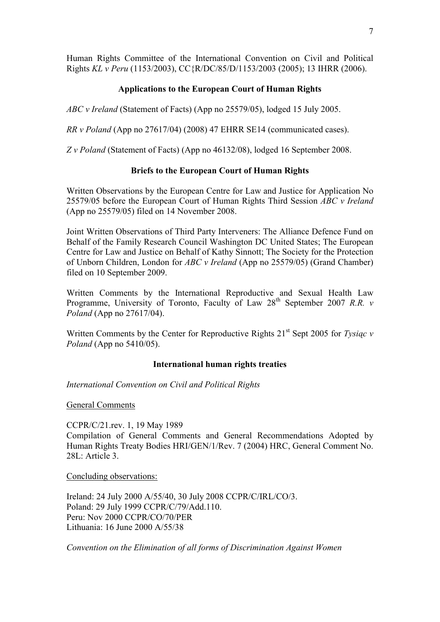Human Rights Committee of the International Convention on Civil and Political Rights *KL v Peru* (1153/2003), CC{R/DC/85/D/1153/2003 (2005); 13 IHRR (2006).

# **Applications to the European Court of Human Rights**

*ABC v Ireland* (Statement of Facts) (App no 25579/05), lodged 15 July 2005.

*RR v Poland* (App no 27617/04) (2008) 47 EHRR SE14 (communicated cases).

*Z v Poland* (Statement of Facts) (App no 46132/08), lodged 16 September 2008.

# **Briefs to the European Court of Human Rights**

Written Observations by the European Centre for Law and Justice for Application No 25579/05 before the European Court of Human Rights Third Session *ABC v Ireland*  (App no 25579/05) filed on 14 November 2008.

Joint Written Observations of Third Party Interveners: The Alliance Defence Fund on Behalf of the Family Research Council Washington DC United States; The European Centre for Law and Justice on Behalf of Kathy Sinnott; The Society for the Protection of Unborn Children, London for *ABC v Ireland* (App no 25579/05) (Grand Chamber) filed on 10 September 2009.

Written Comments by the International Reproductive and Sexual Health Law Programme, University of Toronto, Faculty of Law 28<sup>th</sup> September 2007 *R.R. v Poland* (App no 27617/04).

Written Comments by the Center for Reproductive Rights 21<sup>st</sup> Sept 2005 for *Tysiąc v Poland* (App no 5410/05).

## **International human rights treaties**

*International Convention on Civil and Political Rights*

General Comments

CCPR/C/21.rev. 1, 19 May 1989 Compilation of General Comments and General Recommendations Adopted by Human Rights Treaty Bodies HRI/GEN/1/Rev. 7 (2004) HRC, General Comment No. 28L: Article 3

Concluding observations:

Ireland: 24 July 2000 A/55/40, 30 July 2008 CCPR/C/IRL/CO/3. Poland: 29 July 1999 CCPR/C/79/Add.110. Peru: Nov 2000 CCPR/CO/70/PER Lithuania: 16 June 2000 A/55/38

*Convention on the Elimination of all forms of Discrimination Against Women*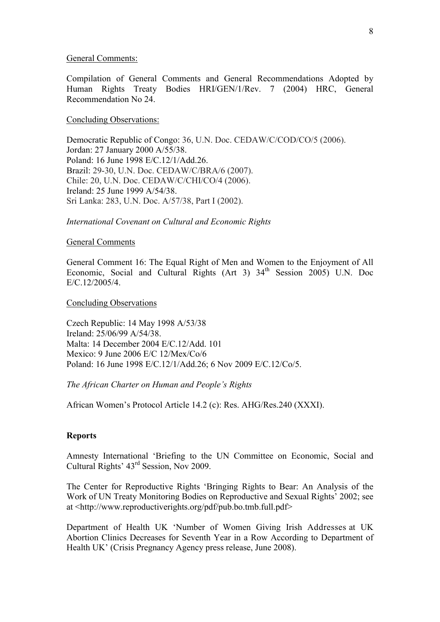#### General Comments:

Compilation of General Comments and General Recommendations Adopted by Human Rights Treaty Bodies HRI/GEN/1/Rev. 7 (2004) HRC, General Recommendation No 24.

#### Concluding Observations:

Democratic Republic of Congo: 36, U.N. Doc. CEDAW/C/COD/CO/5 (2006). Jordan: 27 January 2000 A/55/38. Poland: 16 June 1998 E/C.12/1/Add.26. Brazil: 29-30, U.N. Doc. CEDAW/C/BRA/6 (2007). Chile: 20, U.N. Doc. CEDAW/C/CHI/CO/4 (2006). Ireland: 25 June 1999 A/54/38. Sri Lanka: 283, U.N. Doc. A/57/38, Part I (2002).

#### *International Covenant on Cultural and Economic Rights*

#### General Comments

General Comment 16: The Equal Right of Men and Women to the Enjoyment of All Economic, Social and Cultural Rights (Art 3)  $34<sup>th</sup>$  Session 2005) U.N. Doc E/C.12/2005/4.

## Concluding Observations

Czech Republic: 14 May 1998 A/53/38 Ireland: 25/06/99 A/54/38. Malta: 14 December 2004 E/C.12/Add. 101 Mexico: 9 June 2006 E/C 12/Mex/Co/6 Poland: 16 June 1998 E/C.12/1/Add.26; 6 Nov 2009 E/C.12/Co/5.

# *The African Charter on Human and People's Rights*

African Women's Protocol Article 14.2 (c): Res. AHG/Res.240 (XXXI).

#### **Reports**

Amnesty International 'Briefing to the UN Committee on Economic, Social and Cultural Rights' 43rd Session, Nov 2009.

The Center for Reproductive Rights 'Bringing Rights to Bear: An Analysis of the Work of UN Treaty Monitoring Bodies on Reproductive and Sexual Rights' 2002; see at <http://www.reproductiverights.org/pdf/pub.bo.tmb.full.pdf>

Department of Health UK 'Number of Women Giving Irish Addresses at UK Abortion Clinics Decreases for Seventh Year in a Row According to Department of Health UK' (Crisis Pregnancy Agency press release, June 2008).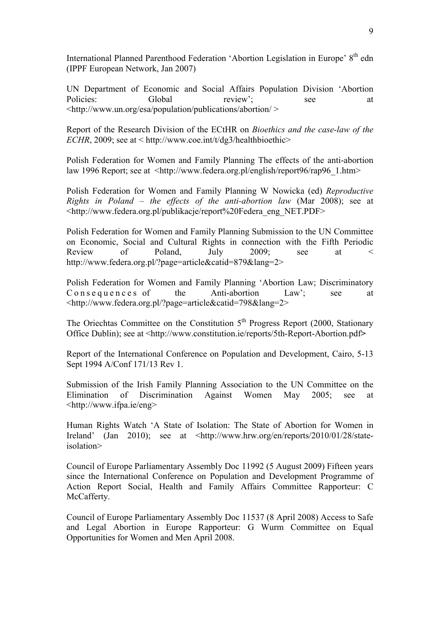International Planned Parenthood Federation 'Abortion Legislation in Europe' 8<sup>th</sup> edn (IPPF European Network, Jan 2007)

UN Department of Economic and Social Affairs Population Division 'Abortion Policies: Global review'; see at <http://www.un.org/esa/population/publications/abortion/ >

Report of the Research Division of the ECtHR on *Bioethics and the case-law of the ECHR*, 2009; see at < http://www.coe.int/t/dg3/healthbioethic>

Polish Federation for Women and Family Planning The effects of the anti-abortion law 1996 Report; see at <http://www.federa.org.pl/english/report96/rap96\_1.htm>

Polish Federation for Women and Family Planning W Nowicka (ed) *Reproductive Rights in Poland – the effects of the anti-abortion law* (Mar 2008); see at <http://www.federa.org.pl/publikacje/report%20Federa\_eng\_NET.PDF>

Polish Federation for Women and Family Planning Submission to the UN Committee on Economic, Social and Cultural Rights in connection with the Fifth Periodic Review of Poland, July 2009; see at < http://www.federa.org.pl/?page=article&catid=879&lang=2>

Polish Federation for Women and Family Planning 'Abortion Law; Discriminatory Consequences of the Anti-abortion Law'; see at <http://www.federa.org.pl/?page=article&catid=798&lang=2>

The Oriechtas Committee on the Constitution  $5<sup>th</sup>$  Progress Report (2000, Stationary Office Dublin); see at <http://www.constitution.ie/reports/5th-Report-Abortion.pdf**>** 

Report of the International Conference on Population and Development, Cairo, 5-13 Sept 1994 A/Conf 171/13 Rev 1.

Submission of the Irish Family Planning Association to the UN Committee on the Elimination of Discrimination Against Women May 2005; see at <http://www.ifpa.ie/eng>

Human Rights Watch 'A State of Isolation: The State of Abortion for Women in Ireland' (Jan 2010); see at <http://www.hrw.org/en/reports/2010/01/28/stateisolation>

Council of Europe Parliamentary Assembly Doc 11992 (5 August 2009) Fifteen years since the International Conference on Population and Development Programme of Action Report Social, Health and Family Affairs Committee Rapporteur: C McCafferty.

Council of Europe Parliamentary Assembly Doc 11537 (8 April 2008) Access to Safe and Legal Abortion in Europe Rapporteur: G Wurm Committee on Equal Opportunities for Women and Men April 2008.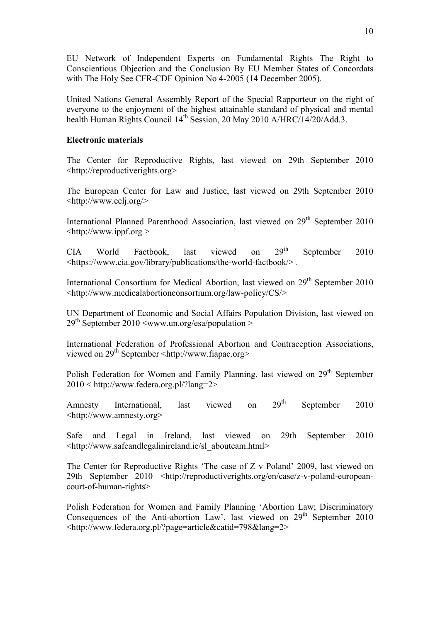EU Network of Independent Experts on Fundamental Rights The Right to Conscientious Objection and the Conclusion By EU Member States of Concordats with The Holy See CFR-CDF Opinion No 4-2005 (14 December 2005).

United Nations General Assembly Report of the Special Rapporteur on the right of everyone to the enjoyment of the highest attainable standard of physical and mental health Human Rights Council 14<sup>th</sup> Session, 20 May 2010 A/HRC/14/20/Add.3.

## **Electronic materials**

The Center for Reproductive Rights, last viewed on 29th September 2010 <http://reproductiverights.org>

The European Center for Law and Justice, last viewed on 29th September 2010 <http://www.eclj.org/>

International Planned Parenthood Association, last viewed on 29<sup>th</sup> September 2010  $\text{thttp://www.ippf.org} >$ 

CIA World Factbook, last viewed on 29<sup>th</sup> September 2010 <https://www.cia.gov/library/publications/the-world-factbook/> .

International Consortium for Medical Abortion, last viewed on 29<sup>th</sup> September 2010 <http://www.medicalabortionconsortium.org/law-policy/CS/>

UN Department of Economic and Social Affairs Population Division, last viewed on 29<sup>th</sup> September 2010 <www.un.org/esa/population >

International Federation of Professional Abortion and Contraception Associations, viewed on 29<sup>th</sup> September <http://www.fiapac.org>

Polish Federation for Women and Family Planning, last viewed on 29<sup>th</sup> September 2010 < http://www.federa.org.pl/?lang=2>

Amnesty International, last viewed on  $29<sup>th</sup>$  September 2010 <http://www.amnesty.org>

Safe and Legal in Ireland, last viewed on 29th September 2010 <http://www.safeandlegalinireland.ie/sl\_aboutcam.html>

The Center for Reproductive Rights 'The case of Z v Poland' 2009, last viewed on 29th September 2010 <http://reproductiverights.org/en/case/z-v-poland-europeancourt-of-human-rights>

Polish Federation for Women and Family Planning 'Abortion Law; Discriminatory Consequences of the Anti-abortion Law', last viewed on  $29<sup>th</sup>$  September 2010 <http://www.federa.org.pl/?page=article&catid=798&lang=2>